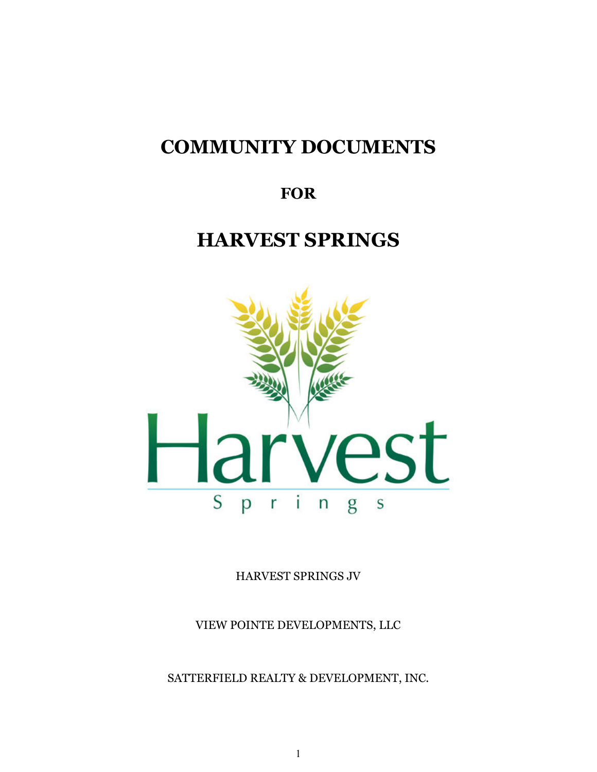# **COMMUNITY DOCUMENTS**

# **FOR**

# **HARVEST SPRINGS**



HARVEST SPRINGS JV

VIEW POINTE DEVELOPMENTS, LLC

SATTERFIELD REALTY & DEVELOPMENT, INC.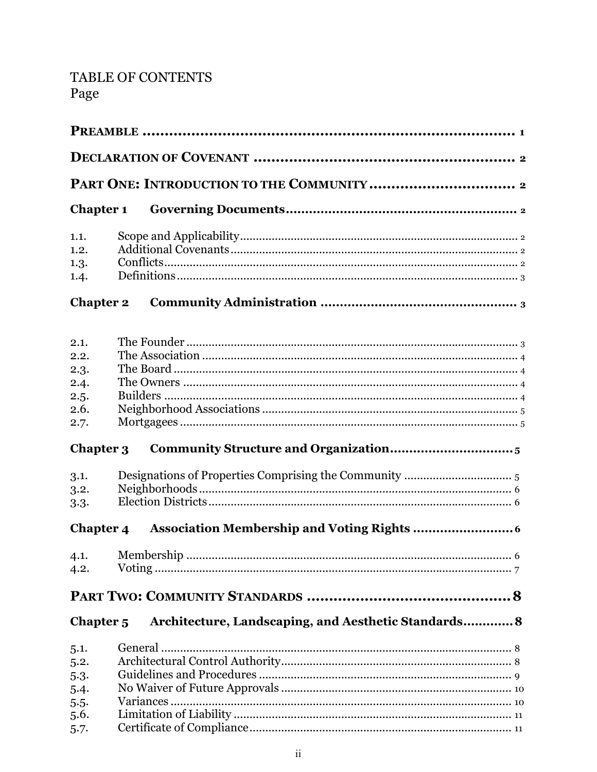# TABLE OF CONTENTS Page

| <b>Chapter 1</b>     |                                                      |
|----------------------|------------------------------------------------------|
| 1.1.                 |                                                      |
| 1.2.                 |                                                      |
| 1.3.                 |                                                      |
| 1.4.                 |                                                      |
| <b>Chapter 2</b>     |                                                      |
| 2.1.                 |                                                      |
| 2.2.                 |                                                      |
| 2.3.                 |                                                      |
| 2.4.                 |                                                      |
| 2.5.                 |                                                      |
| 2.6.                 |                                                      |
| 2.7.                 |                                                      |
| <b>Chapter 3</b>     |                                                      |
| 3.1.                 |                                                      |
| 3.2.                 |                                                      |
| 3.3.                 |                                                      |
| Chapter 4            |                                                      |
| 4.1.                 |                                                      |
| 4.2.                 |                                                      |
|                      |                                                      |
| Chapter <sub>5</sub> | Architecture, Landscaping, and Aesthetic Standards 8 |
| 5.1.                 |                                                      |
| 5.2.                 |                                                      |
| 5.3.                 |                                                      |
| 5.4.                 |                                                      |
| 5.5.                 |                                                      |
| 5.6.                 |                                                      |
| 5.7.                 |                                                      |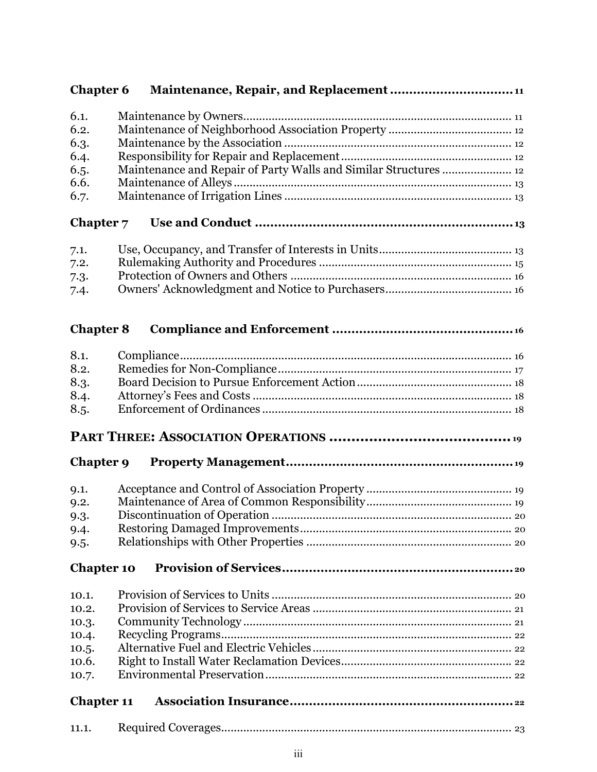| <b>Chapter 6</b>  |                                                                  |
|-------------------|------------------------------------------------------------------|
| 6.1.              |                                                                  |
| 6.2.              |                                                                  |
| 6.3.              |                                                                  |
| 6.4.              |                                                                  |
| 6.5.              | Maintenance and Repair of Party Walls and Similar Structures  12 |
| 6.6.              |                                                                  |
| 6.7.              |                                                                  |
|                   |                                                                  |
| Chapter 7         |                                                                  |
| 7.1.              |                                                                  |
| 7.2.              |                                                                  |
| 7.3.              |                                                                  |
| 7.4.              |                                                                  |
|                   |                                                                  |
| <b>Chapter 8</b>  |                                                                  |
|                   |                                                                  |
| 8.1.<br>8.2.      |                                                                  |
|                   |                                                                  |
| 8.3.              |                                                                  |
| 8.4.              |                                                                  |
| 8.5.              |                                                                  |
|                   |                                                                  |
| Chapter 9         |                                                                  |
| 9.1.              |                                                                  |
| 9.2.              |                                                                  |
| 9.3.              |                                                                  |
| 9.4.              |                                                                  |
| 9.5.              |                                                                  |
|                   |                                                                  |
| <b>Chapter 10</b> |                                                                  |
| 10.1.             |                                                                  |
| 10.2.             |                                                                  |
| 10.3.             |                                                                  |
| 10.4.             |                                                                  |
| 10.5.             |                                                                  |
| 10.6.             |                                                                  |
| 10.7.             |                                                                  |
|                   |                                                                  |
| <b>Chapter 11</b> |                                                                  |
| 11.1.             |                                                                  |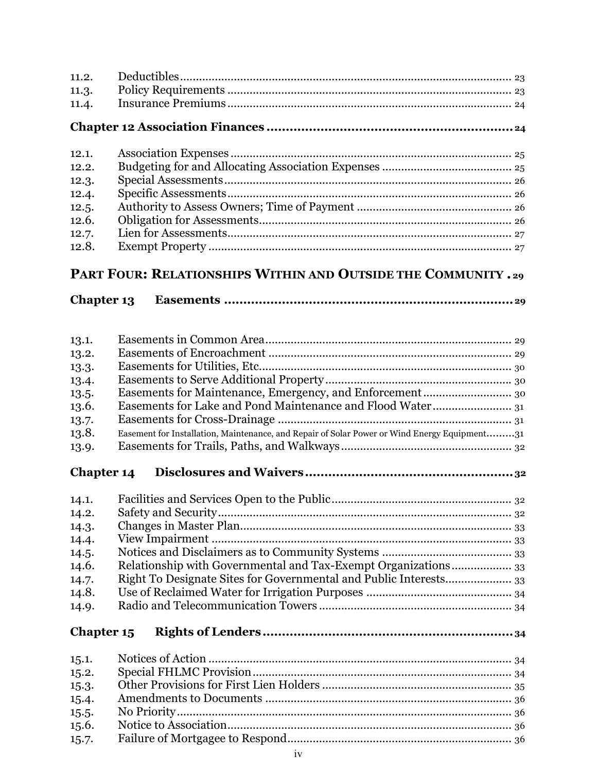| 11.2.             |                                                                                              |
|-------------------|----------------------------------------------------------------------------------------------|
| 11.3.             |                                                                                              |
| 11.4.             |                                                                                              |
|                   |                                                                                              |
|                   |                                                                                              |
| 12.1.             |                                                                                              |
| 12.2.             |                                                                                              |
|                   |                                                                                              |
| 12.3.             |                                                                                              |
| 12.4.             |                                                                                              |
| 12.5.             |                                                                                              |
| 12.6.             |                                                                                              |
| 12.7.             |                                                                                              |
| 12.8.             |                                                                                              |
|                   | PART FOUR: RELATIONSHIPS WITHIN AND OUTSIDE THE COMMUNITY . 29                               |
| <b>Chapter 13</b> |                                                                                              |
|                   |                                                                                              |
| 13.1.             |                                                                                              |
| 13.2.             |                                                                                              |
| 13.3.             |                                                                                              |
| 13.4.             |                                                                                              |
|                   |                                                                                              |
| 13.5.             |                                                                                              |
| 13.6.             |                                                                                              |
| 13.7.             |                                                                                              |
| 13.8.             | Easement for Installation, Maintenance, and Repair of Solar Power or Wind Energy Equipment31 |
| 13.9.             |                                                                                              |
| <b>Chapter 14</b> |                                                                                              |
| 14.1.             |                                                                                              |
| 14.2.             |                                                                                              |
| 14.3.             |                                                                                              |
|                   |                                                                                              |
| 14.4.             |                                                                                              |
| 14.5.             |                                                                                              |
| 14.6.             | Relationship with Governmental and Tax-Exempt Organizations 33                               |
| 14.7.             | Right To Designate Sites for Governmental and Public Interests 33                            |
| 14.8.             |                                                                                              |
| 14.9.             |                                                                                              |
| Chapter 15        |                                                                                              |
| 15.1.             |                                                                                              |
| 15.2.             |                                                                                              |
| 15.3.             |                                                                                              |
| 15.4.             |                                                                                              |
| 15.5.             |                                                                                              |
| 15.6.             |                                                                                              |
|                   |                                                                                              |
| 15.7.             |                                                                                              |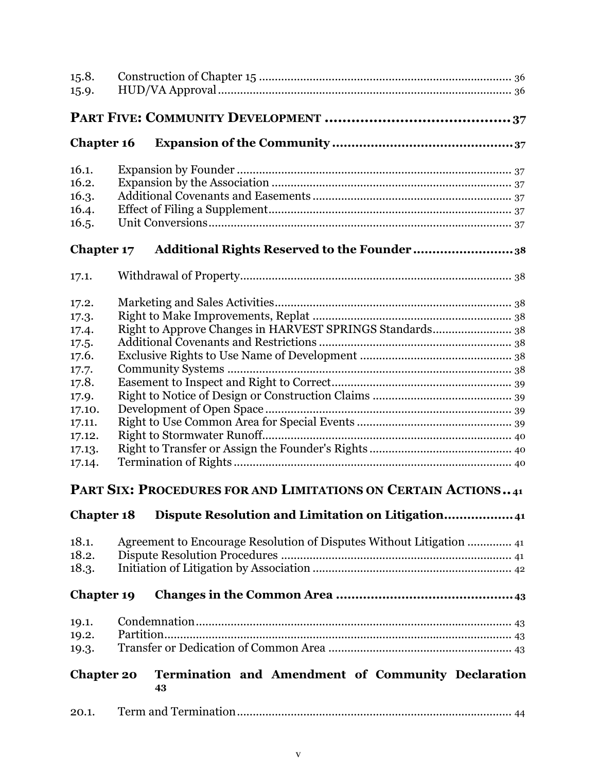| 15.8.             |                                                                      |
|-------------------|----------------------------------------------------------------------|
| 15.9.             |                                                                      |
|                   |                                                                      |
| <b>Chapter 16</b> |                                                                      |
| 16.1.             |                                                                      |
| 16.2.             |                                                                      |
| 16.3.             |                                                                      |
| 16.4.             |                                                                      |
| 16.5.             |                                                                      |
| <b>Chapter 17</b> | Additional Rights Reserved to the Founder38                          |
| 17.1.             |                                                                      |
| 17.2.             |                                                                      |
| 17.3.             |                                                                      |
| 17.4.             | Right to Approve Changes in HARVEST SPRINGS Standards 38             |
| 17.5.             |                                                                      |
| 17.6.             |                                                                      |
| 17.7.             |                                                                      |
| 17.8.             |                                                                      |
| 17.9.             |                                                                      |
| 17.10.            |                                                                      |
| 17.11.            |                                                                      |
| 17.12.            |                                                                      |
| 17.13.            |                                                                      |
| 17.14.            |                                                                      |
|                   | PART SIX: PROCEDURES FOR AND LIMITATIONS ON CERTAIN ACTIONS41        |
| <b>Chapter 18</b> | Dispute Resolution and Limitation on Litigation41                    |
| 18.1.             | Agreement to Encourage Resolution of Disputes Without Litigation  41 |
| 18.2.             |                                                                      |
| 18.3.             |                                                                      |
| <b>Chapter 19</b> |                                                                      |
| 19.1.             |                                                                      |
| 19.2.             |                                                                      |
| 19.3.             |                                                                      |
| <b>Chapter 20</b> | Termination and Amendment of Community Declaration<br>43             |
| 20.1.             |                                                                      |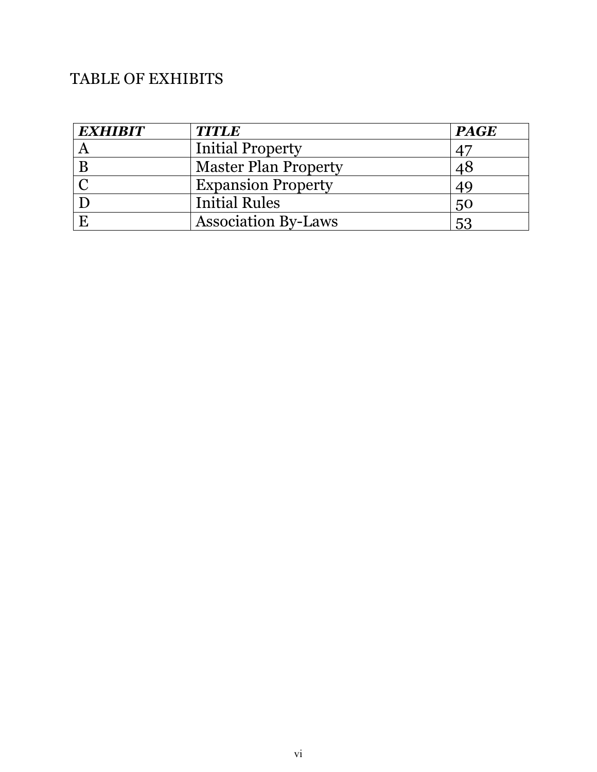# TABLE OF EXHIBITS

| <b>EXHIBIT</b> | <b>TITLE</b>                | <b>PAGE</b> |
|----------------|-----------------------------|-------------|
|                | <b>Initial Property</b>     |             |
|                | <b>Master Plan Property</b> | 48          |
|                | <b>Expansion Property</b>   | 49          |
|                | <b>Initial Rules</b>        | 50          |
|                | <b>Association By-Laws</b>  | 53          |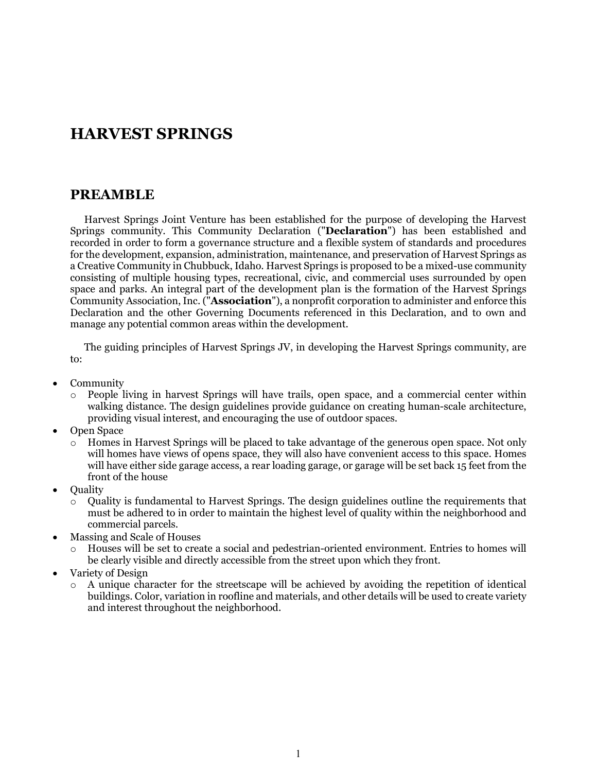# **HARVEST SPRINGS**

### **PREAMBLE**

Harvest Springs Joint Venture has been established for the purpose of developing the Harvest Springs community. This Community Declaration ("**Declaration**") has been established and recorded in order to form a governance structure and a flexible system of standards and procedures for the development, expansion, administration, maintenance, and preservation of Harvest Springs as a Creative Community in Chubbuck, Idaho. Harvest Springs is proposed to be a mixed-use community consisting of multiple housing types, recreational, civic, and commercial uses surrounded by open space and parks. An integral part of the development plan is the formation of the Harvest Springs Community Association, Inc. ("**Association**"), a nonprofit corporation to administer and enforce this Declaration and the other Governing Documents referenced in this Declaration, and to own and manage any potential common areas within the development.

The guiding principles of Harvest Springs JV, in developing the Harvest Springs community, are to:

- Community
	- People living in harvest Springs will have trails, open space, and a commercial center within walking distance. The design guidelines provide guidance on creating human-scale architecture, providing visual interest, and encouraging the use of outdoor spaces.
- Open Space
	- o Homes in Harvest Springs will be placed to take advantage of the generous open space. Not only will homes have views of opens space, they will also have convenient access to this space. Homes will have either side garage access, a rear loading garage, or garage will be set back 15 feet from the front of the house
- **Quality** 
	- o Quality is fundamental to Harvest Springs. The design guidelines outline the requirements that must be adhered to in order to maintain the highest level of quality within the neighborhood and commercial parcels.
- Massing and Scale of Houses
	- o Houses will be set to create a social and pedestrian-oriented environment. Entries to homes will be clearly visible and directly accessible from the street upon which they front.
- Variety of Design
	- A unique character for the streetscape will be achieved by avoiding the repetition of identical buildings. Color, variation in roofline and materials, and other details will be used to create variety and interest throughout the neighborhood.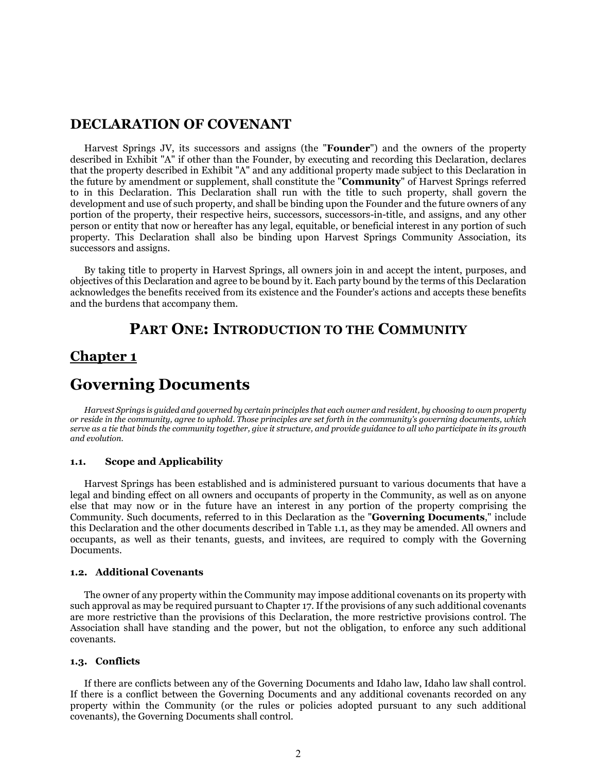### **DECLARATION OF COVENANT**

Harvest Springs JV, its successors and assigns (the "**Founder**") and the owners of the property described in Exhibit "A" if other than the Founder, by executing and recording this Declaration, declares that the property described in Exhibit "A" and any additional property made subject to this Declaration in the future by amendment or supplement, shall constitute the "**Community**" of Harvest Springs referred to in this Declaration. This Declaration shall run with the title to such property, shall govern the development and use of such property, and shall be binding upon the Founder and the future owners of any portion of the property, their respective heirs, successors, successors-in-title, and assigns, and any other person or entity that now or hereafter has any legal, equitable, or beneficial interest in any portion of such property. This Declaration shall also be binding upon Harvest Springs Community Association, its successors and assigns.

By taking title to property in Harvest Springs, all owners join in and accept the intent, purposes, and objectives of this Declaration and agree to be bound by it. Each party bound by the terms of this Declaration acknowledges the benefits received from its existence and the Founder's actions and accepts these benefits and the burdens that accompany them.

### **PART ONE: INTRODUCTION TO THE COMMUNITY**

### **Chapter 1**

## **Governing Documents**

*Harvest Springs is guided and governed by certain principles that each owner and resident, by choosing to own property or reside in the community, agree to uphold. Those principles are set forth in the community's governing documents, which serve as a tie that binds the community together, give it structure, and provide guidance to all who participate in its growth and evolution.*

### **1.1. Scope and Applicability**

Harvest Springs has been established and is administered pursuant to various documents that have a legal and binding effect on all owners and occupants of property in the Community, as well as on anyone else that may now or in the future have an interest in any portion of the property comprising the Community. Such documents, referred to in this Declaration as the "**Governing Documents**," include this Declaration and the other documents described in Table 1.1, as they may be amended. All owners and occupants, as well as their tenants, guests, and invitees, are required to comply with the Governing Documents.

### **1.2. Additional Covenants**

The owner of any property within the Community may impose additional covenants on its property with such approval as may be required pursuant to Chapter 17. If the provisions of any such additional covenants are more restrictive than the provisions of this Declaration, the more restrictive provisions control. The Association shall have standing and the power, but not the obligation, to enforce any such additional covenants.

#### **1.3. Conflicts**

If there are conflicts between any of the Governing Documents and Idaho law, Idaho law shall control. If there is a conflict between the Governing Documents and any additional covenants recorded on any property within the Community (or the rules or policies adopted pursuant to any such additional covenants), the Governing Documents shall control.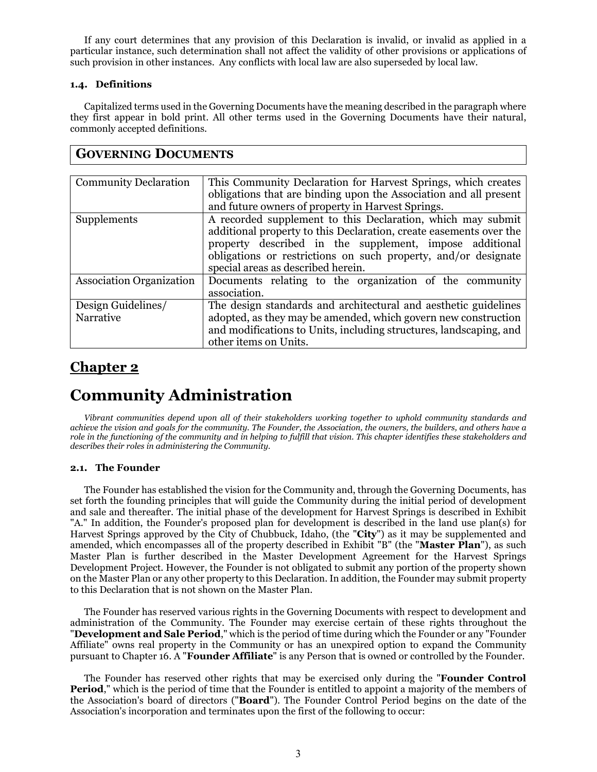If any court determines that any provision of this Declaration is invalid, or invalid as applied in a particular instance, such determination shall not affect the validity of other provisions or applications of such provision in other instances. Any conflicts with local law are also superseded by local law.

### **1.4. Definitions**

**GOVERNING DOCUMENTS**

Capitalized terms used in the Governing Documents have the meaning described in the paragraph where they first appear in bold print. All other terms used in the Governing Documents have their natural, commonly accepted definitions.

| <b>Community Declaration</b>    | This Community Declaration for Harvest Springs, which creates      |
|---------------------------------|--------------------------------------------------------------------|
|                                 | obligations that are binding upon the Association and all present  |
|                                 | and future owners of property in Harvest Springs.                  |
| Supplements                     | A recorded supplement to this Declaration, which may submit        |
|                                 | additional property to this Declaration, create easements over the |
|                                 | property described in the supplement, impose additional            |
|                                 | obligations or restrictions on such property, and/or designate     |
|                                 | special areas as described herein.                                 |
| <b>Association Organization</b> | Documents relating to the organization of the community            |
|                                 | association.                                                       |
| Design Guidelines/              | The design standards and architectural and aesthetic guidelines    |
| Narrative                       | adopted, as they may be amended, which govern new construction     |
|                                 | and modifications to Units, including structures, landscaping, and |
|                                 | other items on Units.                                              |

## **Chapter 2**

# **Community Administration**

*Vibrant communities depend upon all of their stakeholders working together to uphold community standards and achieve the vision and goals for the community. The Founder, the Association, the owners, the builders, and others have a role in the functioning of the community and in helping to fulfill that vision. This chapter identifies these stakeholders and describes their roles in administering the Community.*

### **2.1. The Founder**

The Founder has established the vision for the Community and, through the Governing Documents, has set forth the founding principles that will guide the Community during the initial period of development and sale and thereafter. The initial phase of the development for Harvest Springs is described in Exhibit "A." In addition, the Founder's proposed plan for development is described in the land use plan(s) for Harvest Springs approved by the City of Chubbuck, Idaho, (the "**City**") as it may be supplemented and amended, which encompasses all of the property described in Exhibit "B" (the "**Master Plan**"), as such Master Plan is further described in the Master Development Agreement for the Harvest Springs Development Project. However, the Founder is not obligated to submit any portion of the property shown on the Master Plan or any other property to this Declaration. In addition, the Founder may submit property to this Declaration that is not shown on the Master Plan.

The Founder has reserved various rights in the Governing Documents with respect to development and administration of the Community. The Founder may exercise certain of these rights throughout the "**Development and Sale Period**," which is the period of time during which the Founder or any "Founder Affiliate" owns real property in the Community or has an unexpired option to expand the Community pursuant to Chapter 16. A "**Founder Affiliate**" is any Person that is owned or controlled by the Founder.

The Founder has reserved other rights that may be exercised only during the "**Founder Control Period**," which is the period of time that the Founder is entitled to appoint a majority of the members of the Association's board of directors ("**Board**"). The Founder Control Period begins on the date of the Association's incorporation and terminates upon the first of the following to occur: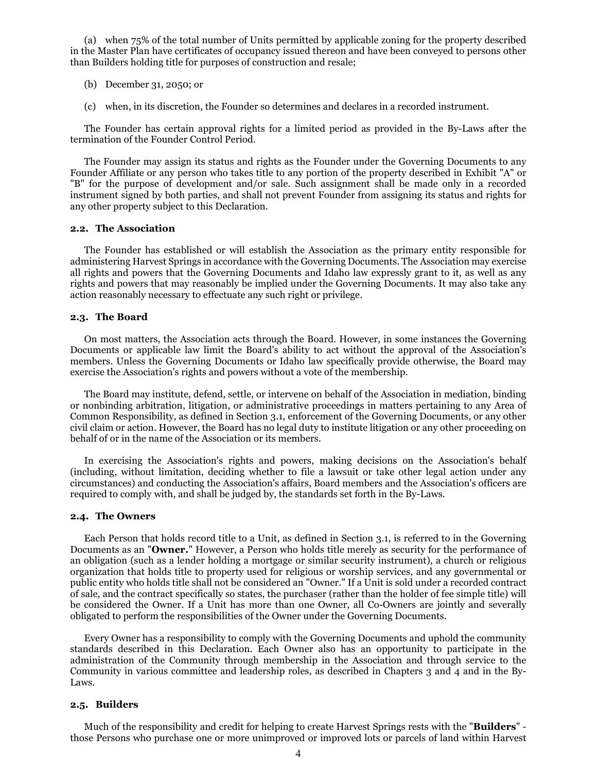(a) when 75% of the total number of Units permitted by applicable zoning for the property described in the Master Plan have certificates of occupancy issued thereon and have been conveyed to persons other than Builders holding title for purposes of construction and resale;

- (b) December 31, 2050; or
- (c) when, in its discretion, the Founder so determines and declares in a recorded instrument.

The Founder has certain approval rights for a limited period as provided in the By-Laws after the termination of the Founder Control Period.

The Founder may assign its status and rights as the Founder under the Governing Documents to any Founder Affiliate or any person who takes title to any portion of the property described in Exhibit "A" or "B" for the purpose of development and/or sale. Such assignment shall be made only in a recorded instrument signed by both parties, and shall not prevent Founder from assigning its status and rights for any other property subject to this Declaration.

#### **2.2. The Association**

The Founder has established or will establish the Association as the primary entity responsible for administering Harvest Springs in accordance with the Governing Documents. The Association may exercise all rights and powers that the Governing Documents and Idaho law expressly grant to it, as well as any rights and powers that may reasonably be implied under the Governing Documents. It may also take any action reasonably necessary to effectuate any such right or privilege.

### **2.3. The Board**

On most matters, the Association acts through the Board. However, in some instances the Governing Documents or applicable law limit the Board's ability to act without the approval of the Association's members. Unless the Governing Documents or Idaho law specifically provide otherwise, the Board may exercise the Association's rights and powers without a vote of the membership.

The Board may institute, defend, settle, or intervene on behalf of the Association in mediation, binding or nonbinding arbitration, litigation, or administrative proceedings in matters pertaining to any Area of Common Responsibility, as defined in Section 3.1, enforcement of the Governing Documents, or any other civil claim or action. However, the Board has no legal duty to institute litigation or any other proceeding on behalf of or in the name of the Association or its members.

In exercising the Association's rights and powers, making decisions on the Association's behalf (including, without limitation, deciding whether to file a lawsuit or take other legal action under any circumstances) and conducting the Association's affairs, Board members and the Association's officers are required to comply with, and shall be judged by, the standards set forth in the By-Laws.

#### **2.4. The Owners**

Each Person that holds record title to a Unit, as defined in Section 3.1, is referred to in the Governing Documents as an "**Owner.**" However, a Person who holds title merely as security for the performance of an obligation (such as a lender holding a mortgage or similar security instrument), a church or religious organization that holds title to property used for religious or worship services, and any governmental or public entity who holds title shall not be considered an "Owner." If a Unit is sold under a recorded contract of sale, and the contract specifically so states, the purchaser (rather than the holder of fee simple title) will be considered the Owner. If a Unit has more than one Owner, all Co-Owners are jointly and severally obligated to perform the responsibilities of the Owner under the Governing Documents.

Every Owner has a responsibility to comply with the Governing Documents and uphold the community standards described in this Declaration. Each Owner also has an opportunity to participate in the administration of the Community through membership in the Association and through service to the Community in various committee and leadership roles, as described in Chapters 3 and 4 and in the By-Laws.

### **2.5. Builders**

Much of the responsibility and credit for helping to create Harvest Springs rests with the "**Builders**" those Persons who purchase one or more unimproved or improved lots or parcels of land within Harvest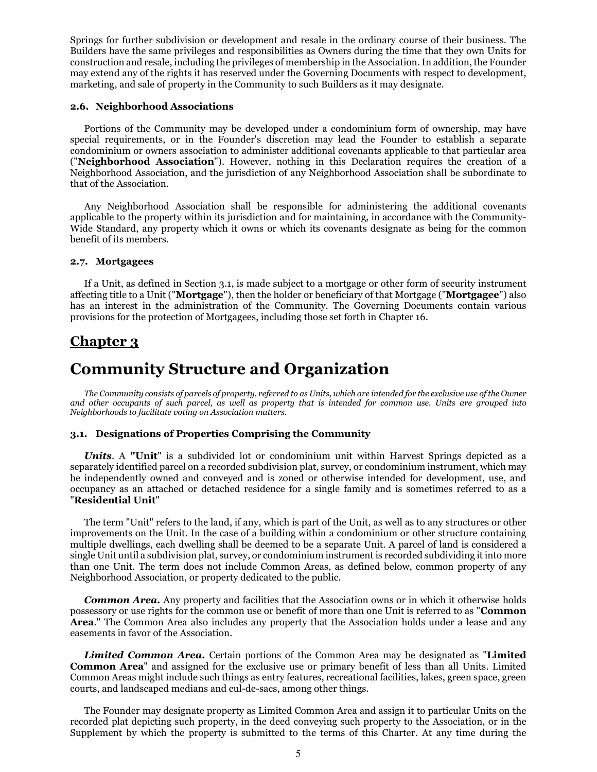Springs for further subdivision or development and resale in the ordinary course of their business. The Builders have the same privileges and responsibilities as Owners during the time that they own Units for construction and resale, including the privileges of membership in the Association. In addition, the Founder may extend any of the rights it has reserved under the Governing Documents with respect to development, marketing, and sale of property in the Community to such Builders as it may designate.

### **2.6. Neighborhood Associations**

Portions of the Community may be developed under a condominium form of ownership, may have special requirements, or in the Founder's discretion may lead the Founder to establish a separate condominium or owners association to administer additional covenants applicable to that particular area ("**Neighborhood Association**"). However, nothing in this Declaration requires the creation of a Neighborhood Association, and the jurisdiction of any Neighborhood Association shall be subordinate to that of the Association.

Any Neighborhood Association shall be responsible for administering the additional covenants applicable to the property within its jurisdiction and for maintaining, in accordance with the Community-Wide Standard, any property which it owns or which its covenants designate as being for the common benefit of its members.

### **2.7. Mortgagees**

If a Unit, as defined in Section 3.1, is made subject to a mortgage or other form of security instrument affecting title to a Unit ("**Mortgage**"), then the holder or beneficiary of that Mortgage ("**Mortgagee**") also has an interest in the administration of the Community. The Governing Documents contain various provisions for the protection of Mortgagees, including those set forth in Chapter 16.

### **Chapter 3**

## **Community Structure and Organization**

*The Community consists of parcels of property, referred to as Units, which are intended for the exclusive use of the Owner and other occupants of such parcel, as well as property that is intended for common use. Units are grouped into Neighborhoods to facilitate voting on Association matters.* 

### **3.1. Designations of Properties Comprising the Community**

*Units*. A **"Unit**" is a subdivided lot or condominium unit within Harvest Springs depicted as a separately identified parcel on a recorded subdivision plat, survey, or condominium instrument, which may be independently owned and conveyed and is zoned or otherwise intended for development, use, and occupancy as an attached or detached residence for a single family and is sometimes referred to as a "**Residential Unit**"

The term "Unit" refers to the land, if any, which is part of the Unit, as well as to any structures or other improvements on the Unit. In the case of a building within a condominium or other structure containing multiple dwellings, each dwelling shall be deemed to be a separate Unit. A parcel of land is considered a single Unit until a subdivision plat, survey, or condominium instrument is recorded subdividing it into more than one Unit. The term does not include Common Areas, as defined below, common property of any Neighborhood Association, or property dedicated to the public.

**Common Area.** Any property and facilities that the Association owns or in which it otherwise holds possessory or use rights for the common use or benefit of more than one Unit is referred to as "**Common Area**." The Common Area also includes any property that the Association holds under a lease and any easements in favor of the Association.

*Limited Common Area.* Certain portions of the Common Area may be designated as "**Limited Common Area**" and assigned for the exclusive use or primary benefit of less than all Units. Limited Common Areas might include such things as entry features, recreational facilities, lakes, green space, green courts, and landscaped medians and cul-de-sacs, among other things.

The Founder may designate property as Limited Common Area and assign it to particular Units on the recorded plat depicting such property, in the deed conveying such property to the Association, or in the Supplement by which the property is submitted to the terms of this Charter. At any time during the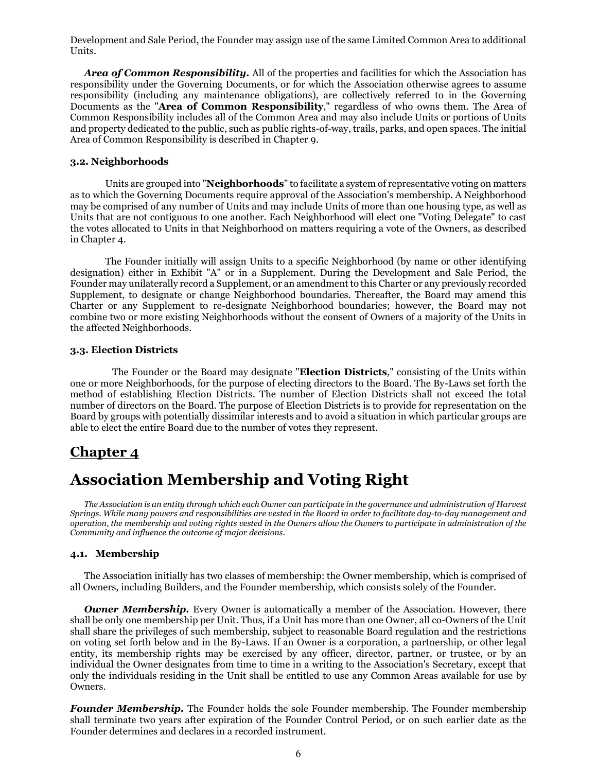Development and Sale Period, the Founder may assign use of the same Limited Common Area to additional Units.

*Area of Common Responsibility.* All of the properties and facilities for which the Association has responsibility under the Governing Documents, or for which the Association otherwise agrees to assume responsibility (including any maintenance obligations), are collectively referred to in the Governing Documents as the "**Area of Common Responsibility**," regardless of who owns them. The Area of Common Responsibility includes all of the Common Area and may also include Units or portions of Units and property dedicated to the public, such as public rights-of-way, trails, parks, and open spaces. The initial Area of Common Responsibility is described in Chapter 9.

### **3.2. Neighborhoods**

Units are grouped into "**Neighborhoods**" to facilitate a system of representative voting on matters as to which the Governing Documents require approval of the Association's membership. A Neighborhood may be comprised of any number of Units and may include Units of more than one housing type, as well as Units that are not contiguous to one another. Each Neighborhood will elect one "Voting Delegate" to cast the votes allocated to Units in that Neighborhood on matters requiring a vote of the Owners, as described in Chapter 4.

The Founder initially will assign Units to a specific Neighborhood (by name or other identifying designation) either in Exhibit "A" or in a Supplement. During the Development and Sale Period, the Founder may unilaterally record a Supplement, or an amendment to this Charter or any previously recorded Supplement, to designate or change Neighborhood boundaries. Thereafter, the Board may amend this Charter or any Supplement to re-designate Neighborhood boundaries; however, the Board may not combine two or more existing Neighborhoods without the consent of Owners of a majority of the Units in the affected Neighborhoods.

### **3.3. Election Districts**

The Founder or the Board may designate "**Election Districts**," consisting of the Units within one or more Neighborhoods, for the purpose of electing directors to the Board. The By-Laws set forth the method of establishing Election Districts. The number of Election Districts shall not exceed the total number of directors on the Board. The purpose of Election Districts is to provide for representation on the Board by groups with potentially dissimilar interests and to avoid a situation in which particular groups are able to elect the entire Board due to the number of votes they represent.

### **Chapter 4**

# **Association Membership and Voting Right**

*The Association is an entity through which each Owner can participate in the governance and administration of Harvest Springs. While many powers and responsibilities are vested in the Board in order to facilitate day-to-day management and operation, the membership and voting rights vested in the Owners allow the Owners to participate in administration of the Community and influence the outcome of major decisions.*

### **4.1. Membership**

The Association initially has two classes of membership: the Owner membership, which is comprised of all Owners, including Builders, and the Founder membership, which consists solely of the Founder.

*Owner Membership.* Every Owner is automatically a member of the Association. However, there shall be only one membership per Unit. Thus, if a Unit has more than one Owner, all co-Owners of the Unit shall share the privileges of such membership, subject to reasonable Board regulation and the restrictions on voting set forth below and in the By-Laws. If an Owner is a corporation, a partnership, or other legal entity, its membership rights may be exercised by any officer, director, partner, or trustee, or by an individual the Owner designates from time to time in a writing to the Association's Secretary, except that only the individuals residing in the Unit shall be entitled to use any Common Areas available for use by Owners.

*Founder Membership.* The Founder holds the sole Founder membership. The Founder membership shall terminate two years after expiration of the Founder Control Period, or on such earlier date as the Founder determines and declares in a recorded instrument.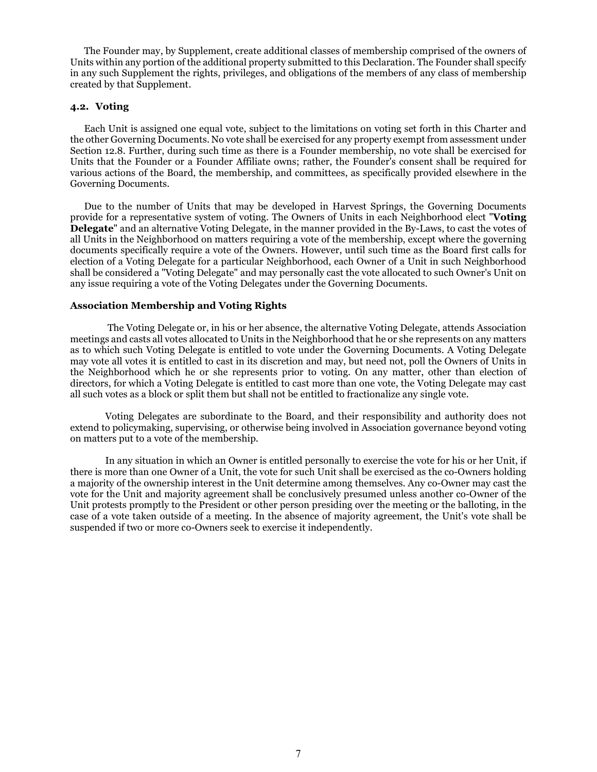The Founder may, by Supplement, create additional classes of membership comprised of the owners of Units within any portion of the additional property submitted to this Declaration. The Founder shall specify in any such Supplement the rights, privileges, and obligations of the members of any class of membership created by that Supplement.

### **4.2. Voting**

Each Unit is assigned one equal vote, subject to the limitations on voting set forth in this Charter and the other Governing Documents. No vote shall be exercised for any property exempt from assessment under Section 12.8. Further, during such time as there is a Founder membership, no vote shall be exercised for Units that the Founder or a Founder Affiliate owns; rather, the Founder's consent shall be required for various actions of the Board, the membership, and committees, as specifically provided elsewhere in the Governing Documents.

Due to the number of Units that may be developed in Harvest Springs, the Governing Documents provide for a representative system of voting. The Owners of Units in each Neighborhood elect "**Voting Delegate**" and an alternative Voting Delegate, in the manner provided in the By-Laws, to cast the votes of all Units in the Neighborhood on matters requiring a vote of the membership, except where the governing documents specifically require a vote of the Owners. However, until such time as the Board first calls for election of a Voting Delegate for a particular Neighborhood, each Owner of a Unit in such Neighborhood shall be considered a "Voting Delegate" and may personally cast the vote allocated to such Owner's Unit on any issue requiring a vote of the Voting Delegates under the Governing Documents.

### **Association Membership and Voting Rights**

 The Voting Delegate or, in his or her absence, the alternative Voting Delegate, attends Association meetings and casts all votes allocated to Units in the Neighborhood that he or she represents on any matters as to which such Voting Delegate is entitled to vote under the Governing Documents. A Voting Delegate may vote all votes it is entitled to cast in its discretion and may, but need not, poll the Owners of Units in the Neighborhood which he or she represents prior to voting. On any matter, other than election of directors, for which a Voting Delegate is entitled to cast more than one vote, the Voting Delegate may cast all such votes as a block or split them but shall not be entitled to fractionalize any single vote.

Voting Delegates are subordinate to the Board, and their responsibility and authority does not extend to policymaking, supervising, or otherwise being involved in Association governance beyond voting on matters put to a vote of the membership.

In any situation in which an Owner is entitled personally to exercise the vote for his or her Unit, if there is more than one Owner of a Unit, the vote for such Unit shall be exercised as the co-Owners holding a majority of the ownership interest in the Unit determine among themselves. Any co-Owner may cast the vote for the Unit and majority agreement shall be conclusively presumed unless another co-Owner of the Unit protests promptly to the President or other person presiding over the meeting or the balloting, in the case of a vote taken outside of a meeting. In the absence of majority agreement, the Unit's vote shall be suspended if two or more co-Owners seek to exercise it independently.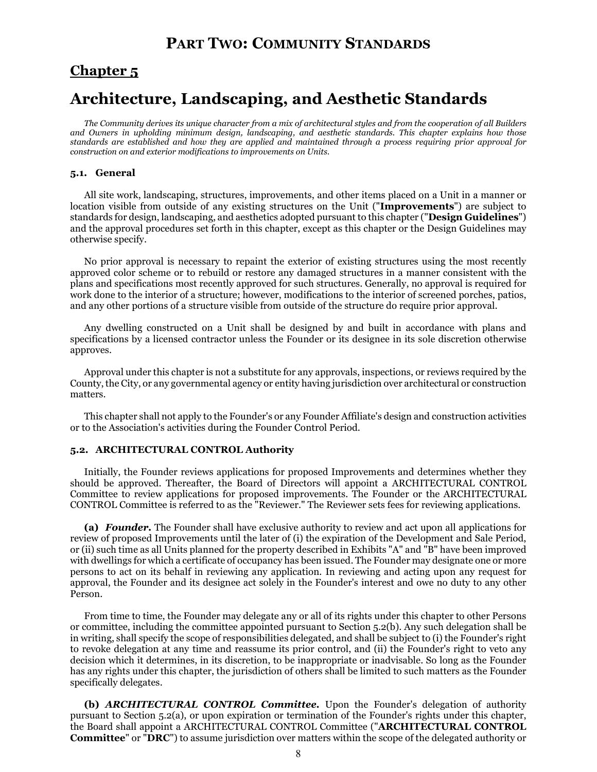## **PART TWO: COMMUNITY STANDARDS**

### **Chapter 5**

# **Architecture, Landscaping, and Aesthetic Standards**

*The Community derives its unique character from a mix of architectural styles and from the cooperation of all Builders and Owners in upholding minimum design, landscaping, and aesthetic standards. This chapter explains how those standards are established and how they are applied and maintained through a process requiring prior approval for construction on and exterior modifications to improvements on Units.*

### **5.1. General**

All site work, landscaping, structures, improvements, and other items placed on a Unit in a manner or location visible from outside of any existing structures on the Unit ("**Improvements**") are subject to standards for design, landscaping, and aesthetics adopted pursuant to this chapter ("**Design Guidelines**") and the approval procedures set forth in this chapter, except as this chapter or the Design Guidelines may otherwise specify.

No prior approval is necessary to repaint the exterior of existing structures using the most recently approved color scheme or to rebuild or restore any damaged structures in a manner consistent with the plans and specifications most recently approved for such structures. Generally, no approval is required for work done to the interior of a structure; however, modifications to the interior of screened porches, patios, and any other portions of a structure visible from outside of the structure do require prior approval.

Any dwelling constructed on a Unit shall be designed by and built in accordance with plans and specifications by a licensed contractor unless the Founder or its designee in its sole discretion otherwise approves.

Approval under this chapter is not a substitute for any approvals, inspections, or reviews required by the County, the City, or any governmental agency or entity having jurisdiction over architectural or construction matters.

This chapter shall not apply to the Founder's or any Founder Affiliate's design and construction activities or to the Association's activities during the Founder Control Period.

### **5.2. ARCHITECTURAL CONTROL Authority**

Initially, the Founder reviews applications for proposed Improvements and determines whether they should be approved. Thereafter, the Board of Directors will appoint a ARCHITECTURAL CONTROL Committee to review applications for proposed improvements. The Founder or the ARCHITECTURAL CONTROL Committee is referred to as the "Reviewer." The Reviewer sets fees for reviewing applications.

**(a)** *Founder.* The Founder shall have exclusive authority to review and act upon all applications for review of proposed Improvements until the later of (i) the expiration of the Development and Sale Period, or (ii) such time as all Units planned for the property described in Exhibits "A" and "B" have been improved with dwellings for which a certificate of occupancy has been issued. The Founder may designate one or more persons to act on its behalf in reviewing any application. In reviewing and acting upon any request for approval, the Founder and its designee act solely in the Founder's interest and owe no duty to any other Person.

From time to time, the Founder may delegate any or all of its rights under this chapter to other Persons or committee, including the committee appointed pursuant to Section 5.2(b). Any such delegation shall be in writing, shall specify the scope of responsibilities delegated, and shall be subject to (i) the Founder's right to revoke delegation at any time and reassume its prior control, and (ii) the Founder's right to veto any decision which it determines, in its discretion, to be inappropriate or inadvisable. So long as the Founder has any rights under this chapter, the jurisdiction of others shall be limited to such matters as the Founder specifically delegates.

**(b)** *ARCHITECTURAL CONTROL Committee.* Upon the Founder's delegation of authority pursuant to Section 5.2(a), or upon expiration or termination of the Founder's rights under this chapter, the Board shall appoint a ARCHITECTURAL CONTROL Committee ("**ARCHITECTURAL CONTROL Committee**" or "**DRC**") to assume jurisdiction over matters within the scope of the delegated authority or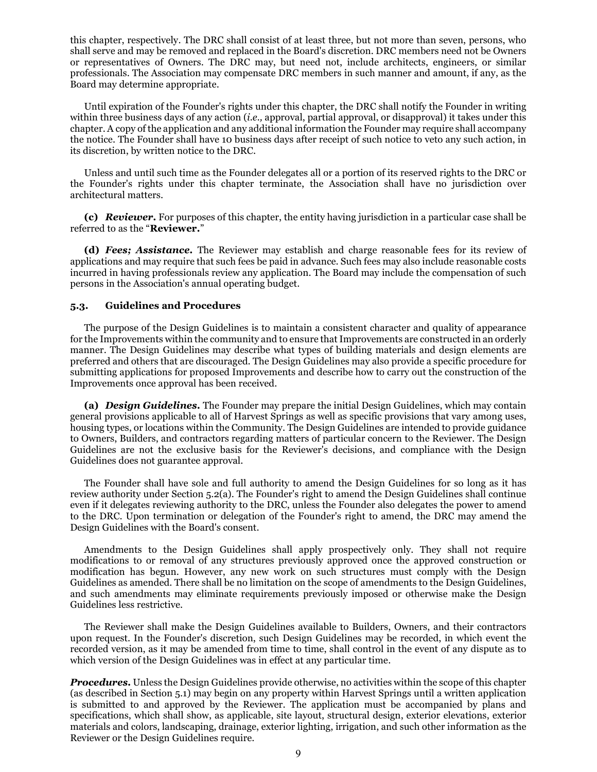this chapter, respectively. The DRC shall consist of at least three, but not more than seven, persons, who shall serve and may be removed and replaced in the Board's discretion. DRC members need not be Owners or representatives of Owners. The DRC may, but need not, include architects, engineers, or similar professionals. The Association may compensate DRC members in such manner and amount, if any, as the Board may determine appropriate.

Until expiration of the Founder's rights under this chapter, the DRC shall notify the Founder in writing within three business days of any action (*i.e.,* approval, partial approval, or disapproval) it takes under this chapter. A copy of the application and any additional information the Founder may require shall accompany the notice. The Founder shall have 10 business days after receipt of such notice to veto any such action, in its discretion, by written notice to the DRC.

Unless and until such time as the Founder delegates all or a portion of its reserved rights to the DRC or the Founder's rights under this chapter terminate, the Association shall have no jurisdiction over architectural matters.

**(c)** *Reviewer.* For purposes of this chapter, the entity having jurisdiction in a particular case shall be referred to as the "**Reviewer.**"

**(d)** *Fees; Assistance.* The Reviewer may establish and charge reasonable fees for its review of applications and may require that such fees be paid in advance. Such fees may also include reasonable costs incurred in having professionals review any application. The Board may include the compensation of such persons in the Association's annual operating budget.

### **5.3. Guidelines and Procedures**

The purpose of the Design Guidelines is to maintain a consistent character and quality of appearance for the Improvements within the community and to ensure that Improvements are constructed in an orderly manner. The Design Guidelines may describe what types of building materials and design elements are preferred and others that are discouraged. The Design Guidelines may also provide a specific procedure for submitting applications for proposed Improvements and describe how to carry out the construction of the Improvements once approval has been received.

**(a)** *Design Guidelines.* The Founder may prepare the initial Design Guidelines, which may contain general provisions applicable to all of Harvest Springs as well as specific provisions that vary among uses, housing types, or locations within the Community. The Design Guidelines are intended to provide guidance to Owners, Builders, and contractors regarding matters of particular concern to the Reviewer. The Design Guidelines are not the exclusive basis for the Reviewer's decisions, and compliance with the Design Guidelines does not guarantee approval.

The Founder shall have sole and full authority to amend the Design Guidelines for so long as it has review authority under Section 5.2(a). The Founder's right to amend the Design Guidelines shall continue even if it delegates reviewing authority to the DRC, unless the Founder also delegates the power to amend to the DRC. Upon termination or delegation of the Founder's right to amend, the DRC may amend the Design Guidelines with the Board's consent.

Amendments to the Design Guidelines shall apply prospectively only. They shall not require modifications to or removal of any structures previously approved once the approved construction or modification has begun. However, any new work on such structures must comply with the Design Guidelines as amended. There shall be no limitation on the scope of amendments to the Design Guidelines, and such amendments may eliminate requirements previously imposed or otherwise make the Design Guidelines less restrictive.

The Reviewer shall make the Design Guidelines available to Builders, Owners, and their contractors upon request. In the Founder's discretion, such Design Guidelines may be recorded, in which event the recorded version, as it may be amended from time to time, shall control in the event of any dispute as to which version of the Design Guidelines was in effect at any particular time.

*Procedures.* Unless the Design Guidelines provide otherwise, no activities within the scope of this chapter (as described in Section 5.1) may begin on any property within Harvest Springs until a written application is submitted to and approved by the Reviewer. The application must be accompanied by plans and specifications, which shall show, as applicable, site layout, structural design, exterior elevations, exterior materials and colors, landscaping, drainage, exterior lighting, irrigation, and such other information as the Reviewer or the Design Guidelines require.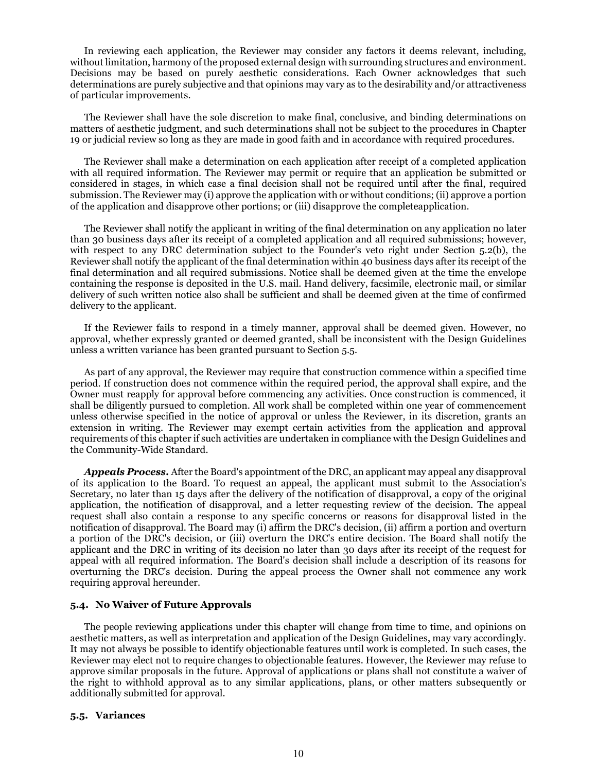In reviewing each application, the Reviewer may consider any factors it deems relevant, including, without limitation, harmony of the proposed external design with surrounding structures and environment. Decisions may be based on purely aesthetic considerations. Each Owner acknowledges that such determinations are purely subjective and that opinions may vary as to the desirability and/or attractiveness of particular improvements.

The Reviewer shall have the sole discretion to make final, conclusive, and binding determinations on matters of aesthetic judgment, and such determinations shall not be subject to the procedures in Chapter 19 or judicial review so long as they are made in good faith and in accordance with required procedures.

The Reviewer shall make a determination on each application after receipt of a completed application with all required information. The Reviewer may permit or require that an application be submitted or considered in stages, in which case a final decision shall not be required until after the final, required submission. The Reviewer may (i) approve the application with or without conditions; (ii) approve a portion of the application and disapprove other portions; or (iii) disapprove the completeapplication.

The Reviewer shall notify the applicant in writing of the final determination on any application no later than 30 business days after its receipt of a completed application and all required submissions; however, with respect to any DRC determination subject to the Founder's veto right under Section 5.2(b), the Reviewer shall notify the applicant of the final determination within 40 business days after its receipt of the final determination and all required submissions. Notice shall be deemed given at the time the envelope containing the response is deposited in the U.S. mail. Hand delivery, facsimile, electronic mail, or similar delivery of such written notice also shall be sufficient and shall be deemed given at the time of confirmed delivery to the applicant.

If the Reviewer fails to respond in a timely manner, approval shall be deemed given. However, no approval, whether expressly granted or deemed granted, shall be inconsistent with the Design Guidelines unless a written variance has been granted pursuant to Section 5.5.

As part of any approval, the Reviewer may require that construction commence within a specified time period. If construction does not commence within the required period, the approval shall expire, and the Owner must reapply for approval before commencing any activities. Once construction is commenced, it shall be diligently pursued to completion. All work shall be completed within one year of commencement unless otherwise specified in the notice of approval or unless the Reviewer, in its discretion, grants an extension in writing. The Reviewer may exempt certain activities from the application and approval requirements of this chapter if such activities are undertaken in compliance with the Design Guidelines and the Community-Wide Standard.

*Appeals Process.* After the Board's appointment of the DRC, an applicant may appeal any disapproval of its application to the Board. To request an appeal, the applicant must submit to the Association's Secretary, no later than 15 days after the delivery of the notification of disapproval, a copy of the original application, the notification of disapproval, and a letter requesting review of the decision. The appeal request shall also contain a response to any specific concerns or reasons for disapproval listed in the notification of disapproval. The Board may (i) affirm the DRC's decision, (ii) affirm a portion and overturn a portion of the DRC's decision, or (iii) overturn the DRC's entire decision. The Board shall notify the applicant and the DRC in writing of its decision no later than 30 days after its receipt of the request for appeal with all required information. The Board's decision shall include a description of its reasons for overturning the DRC's decision. During the appeal process the Owner shall not commence any work requiring approval hereunder.

### **5.4. No Waiver of Future Approvals**

The people reviewing applications under this chapter will change from time to time, and opinions on aesthetic matters, as well as interpretation and application of the Design Guidelines, may vary accordingly. It may not always be possible to identify objectionable features until work is completed. In such cases, the Reviewer may elect not to require changes to objectionable features. However, the Reviewer may refuse to approve similar proposals in the future. Approval of applications or plans shall not constitute a waiver of the right to withhold approval as to any similar applications, plans, or other matters subsequently or additionally submitted for approval.

#### **5.5. Variances**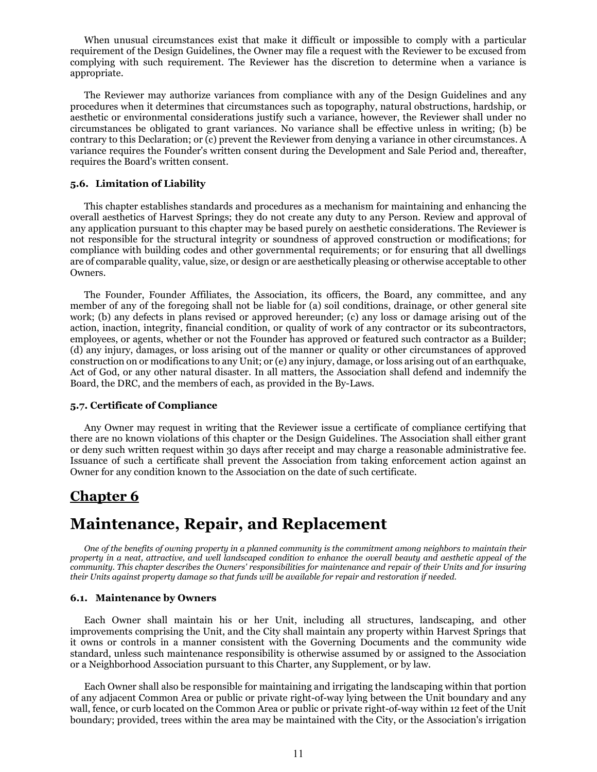When unusual circumstances exist that make it difficult or impossible to comply with a particular requirement of the Design Guidelines, the Owner may file a request with the Reviewer to be excused from complying with such requirement. The Reviewer has the discretion to determine when a variance is appropriate.

The Reviewer may authorize variances from compliance with any of the Design Guidelines and any procedures when it determines that circumstances such as topography, natural obstructions, hardship, or aesthetic or environmental considerations justify such a variance, however, the Reviewer shall under no circumstances be obligated to grant variances. No variance shall be effective unless in writing; (b) be contrary to this Declaration; or (c) prevent the Reviewer from denying a variance in other circumstances. A variance requires the Founder's written consent during the Development and Sale Period and, thereafter, requires the Board's written consent.

### **5.6. Limitation of Liability**

This chapter establishes standards and procedures as a mechanism for maintaining and enhancing the overall aesthetics of Harvest Springs; they do not create any duty to any Person. Review and approval of any application pursuant to this chapter may be based purely on aesthetic considerations. The Reviewer is not responsible for the structural integrity or soundness of approved construction or modifications; for compliance with building codes and other governmental requirements; or for ensuring that all dwellings are of comparable quality, value, size, or design or are aesthetically pleasing or otherwise acceptable to other Owners.

The Founder, Founder Affiliates, the Association, its officers, the Board, any committee, and any member of any of the foregoing shall not be liable for (a) soil conditions, drainage, or other general site work; (b) any defects in plans revised or approved hereunder; (c) any loss or damage arising out of the action, inaction, integrity, financial condition, or quality of work of any contractor or its subcontractors, employees, or agents, whether or not the Founder has approved or featured such contractor as a Builder; (d) any injury, damages, or loss arising out of the manner or quality or other circumstances of approved construction on or modifications to any Unit; or (e) any injury, damage, or loss arising out of an earthquake, Act of God, or any other natural disaster. In all matters, the Association shall defend and indemnify the Board, the DRC, and the members of each, as provided in the By-Laws.

#### **5.7. Certificate of Compliance**

Any Owner may request in writing that the Reviewer issue a certificate of compliance certifying that there are no known violations of this chapter or the Design Guidelines. The Association shall either grant or deny such written request within 30 days after receipt and may charge a reasonable administrative fee. Issuance of such a certificate shall prevent the Association from taking enforcement action against an Owner for any condition known to the Association on the date of such certificate.

### **Chapter 6**

## **Maintenance, Repair, and Replacement**

*One of the benefits of owning property in a planned community is the commitment among neighbors to maintain their property in a neat, attractive, and well landscaped condition to enhance the overall beauty and aesthetic appeal of the community. This chapter describes the Owners' responsibilities for maintenance and repair of their Units and for insuring their Units against property damage so that funds will be available for repair and restoration if needed.*

#### **6.1. Maintenance by Owners**

Each Owner shall maintain his or her Unit, including all structures, landscaping, and other improvements comprising the Unit, and the City shall maintain any property within Harvest Springs that it owns or controls in a manner consistent with the Governing Documents and the community wide standard, unless such maintenance responsibility is otherwise assumed by or assigned to the Association or a Neighborhood Association pursuant to this Charter, any Supplement, or by law.

Each Owner shall also be responsible for maintaining and irrigating the landscaping within that portion of any adjacent Common Area or public or private right-of-way lying between the Unit boundary and any wall, fence, or curb located on the Common Area or public or private right-of-way within 12 feet of the Unit boundary; provided, trees within the area may be maintained with the City, or the Association's irrigation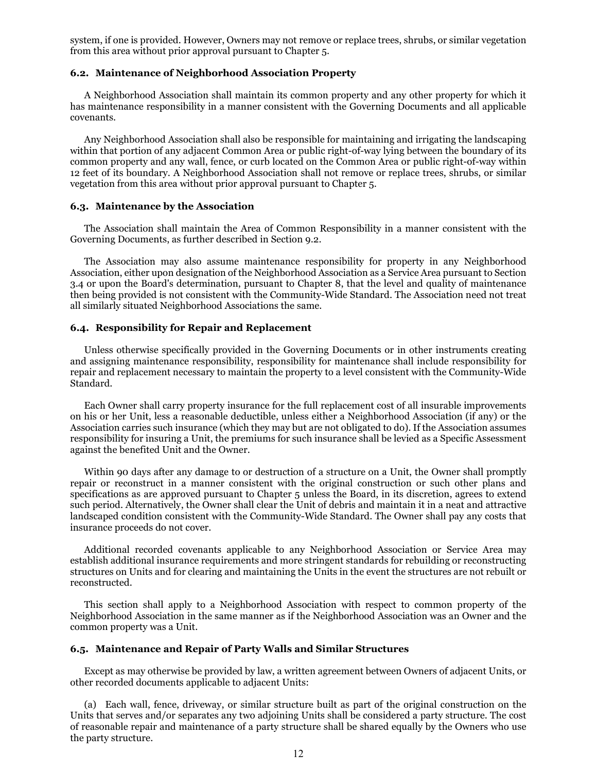system, if one is provided. However, Owners may not remove or replace trees, shrubs, or similar vegetation from this area without prior approval pursuant to Chapter 5.

### **6.2. Maintenance of Neighborhood Association Property**

A Neighborhood Association shall maintain its common property and any other property for which it has maintenance responsibility in a manner consistent with the Governing Documents and all applicable covenants.

Any Neighborhood Association shall also be responsible for maintaining and irrigating the landscaping within that portion of any adjacent Common Area or public right-of-way lying between the boundary of its common property and any wall, fence, or curb located on the Common Area or public right-of-way within 12 feet of its boundary. A Neighborhood Association shall not remove or replace trees, shrubs, or similar vegetation from this area without prior approval pursuant to Chapter 5.

### **6.3. Maintenance by the Association**

The Association shall maintain the Area of Common Responsibility in a manner consistent with the Governing Documents, as further described in Section 9.2.

The Association may also assume maintenance responsibility for property in any Neighborhood Association, either upon designation of the Neighborhood Association as a Service Area pursuant to Section 3.4 or upon the Board's determination, pursuant to Chapter 8, that the level and quality of maintenance then being provided is not consistent with the Community-Wide Standard. The Association need not treat all similarly situated Neighborhood Associations the same.

### **6.4. Responsibility for Repair and Replacement**

Unless otherwise specifically provided in the Governing Documents or in other instruments creating and assigning maintenance responsibility, responsibility for maintenance shall include responsibility for repair and replacement necessary to maintain the property to a level consistent with the Community-Wide Standard.

Each Owner shall carry property insurance for the full replacement cost of all insurable improvements on his or her Unit, less a reasonable deductible, unless either a Neighborhood Association (if any) or the Association carries such insurance (which they may but are not obligated to do). If the Association assumes responsibility for insuring a Unit, the premiums for such insurance shall be levied as a Specific Assessment against the benefited Unit and the Owner.

Within 90 days after any damage to or destruction of a structure on a Unit, the Owner shall promptly repair or reconstruct in a manner consistent with the original construction or such other plans and specifications as are approved pursuant to Chapter 5 unless the Board, in its discretion, agrees to extend such period. Alternatively, the Owner shall clear the Unit of debris and maintain it in a neat and attractive landscaped condition consistent with the Community-Wide Standard. The Owner shall pay any costs that insurance proceeds do not cover.

Additional recorded covenants applicable to any Neighborhood Association or Service Area may establish additional insurance requirements and more stringent standards for rebuilding or reconstructing structures on Units and for clearing and maintaining the Units in the event the structures are not rebuilt or reconstructed.

This section shall apply to a Neighborhood Association with respect to common property of the Neighborhood Association in the same manner as if the Neighborhood Association was an Owner and the common property was a Unit.

### **6.5. Maintenance and Repair of Party Walls and Similar Structures**

Except as may otherwise be provided by law, a written agreement between Owners of adjacent Units, or other recorded documents applicable to adjacent Units:

(a) Each wall, fence, driveway, or similar structure built as part of the original construction on the Units that serves and/or separates any two adjoining Units shall be considered a party structure. The cost of reasonable repair and maintenance of a party structure shall be shared equally by the Owners who use the party structure.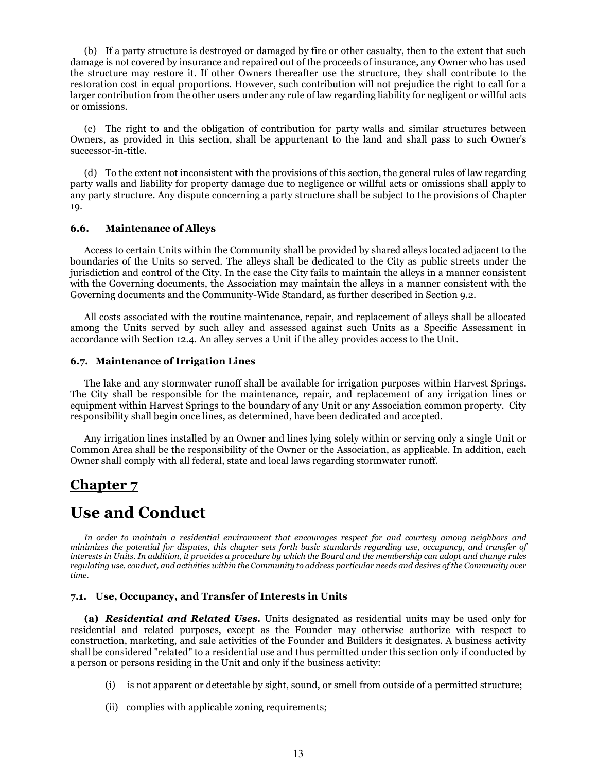(b) If a party structure is destroyed or damaged by fire or other casualty, then to the extent that such damage is not covered by insurance and repaired out of the proceeds of insurance, any Owner who has used the structure may restore it. If other Owners thereafter use the structure, they shall contribute to the restoration cost in equal proportions. However, such contribution will not prejudice the right to call for a larger contribution from the other users under any rule of law regarding liability for negligent or willful acts or omissions.

(c) The right to and the obligation of contribution for party walls and similar structures between Owners, as provided in this section, shall be appurtenant to the land and shall pass to such Owner's successor-in-title.

(d) To the extent not inconsistent with the provisions of this section, the general rules of law regarding party walls and liability for property damage due to negligence or willful acts or omissions shall apply to any party structure. Any dispute concerning a party structure shall be subject to the provisions of Chapter 19.

### **6.6. Maintenance of Alleys**

Access to certain Units within the Community shall be provided by shared alleys located adjacent to the boundaries of the Units so served. The alleys shall be dedicated to the City as public streets under the jurisdiction and control of the City. In the case the City fails to maintain the alleys in a manner consistent with the Governing documents, the Association may maintain the alleys in a manner consistent with the Governing documents and the Community-Wide Standard, as further described in Section 9.2.

All costs associated with the routine maintenance, repair, and replacement of alleys shall be allocated among the Units served by such alley and assessed against such Units as a Specific Assessment in accordance with Section 12.4. An alley serves a Unit if the alley provides access to the Unit.

### **6.7. Maintenance of Irrigation Lines**

The lake and any stormwater runoff shall be available for irrigation purposes within Harvest Springs. The City shall be responsible for the maintenance, repair, and replacement of any irrigation lines or equipment within Harvest Springs to the boundary of any Unit or any Association common property. City responsibility shall begin once lines, as determined, have been dedicated and accepted.

Any irrigation lines installed by an Owner and lines lying solely within or serving only a single Unit or Common Area shall be the responsibility of the Owner or the Association, as applicable. In addition, each Owner shall comply with all federal, state and local laws regarding stormwater runoff.

### **Chapter 7**

# **Use and Conduct**

*In order to maintain a residential environment that encourages respect for and courtesy among neighbors and minimizes the potential for disputes, this chapter sets forth basic standards regarding use, occupancy, and transfer of interests in Units. In addition, it provides a procedure by which the Board and the membership can adopt and change rules regulating use, conduct, and activities within the Community to address particular needs and desires of the Community over time.*

### **7.1. Use, Occupancy, and Transfer of Interests in Units**

**(a)** *Residential and Related Uses.* Units designated as residential units may be used only for residential and related purposes, except as the Founder may otherwise authorize with respect to construction, marketing, and sale activities of the Founder and Builders it designates. A business activity shall be considered "related" to a residential use and thus permitted under this section only if conducted by a person or persons residing in the Unit and only if the business activity:

- (i) is not apparent or detectable by sight, sound, or smell from outside of a permitted structure;
- (ii) complies with applicable zoning requirements;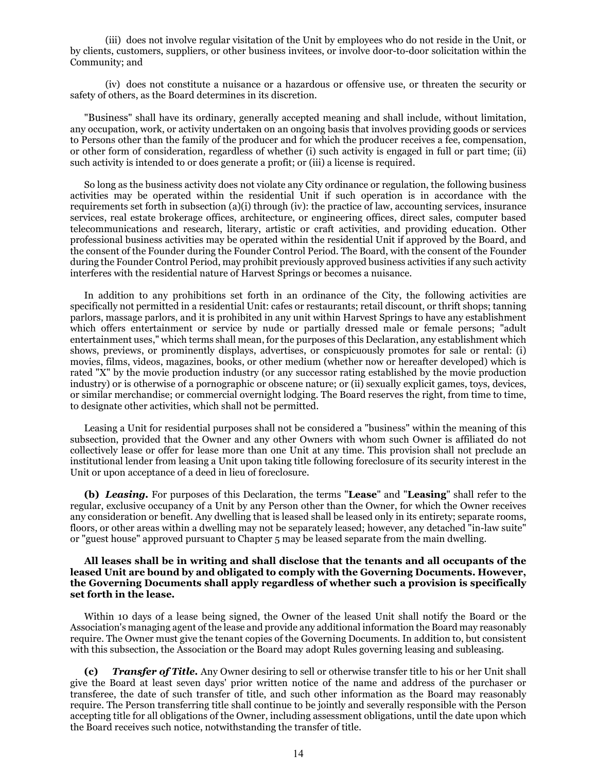(iii) does not involve regular visitation of the Unit by employees who do not reside in the Unit, or by clients, customers, suppliers, or other business invitees, or involve door-to-door solicitation within the Community; and

(iv) does not constitute a nuisance or a hazardous or offensive use, or threaten the security or safety of others, as the Board determines in its discretion.

"Business" shall have its ordinary, generally accepted meaning and shall include, without limitation, any occupation, work, or activity undertaken on an ongoing basis that involves providing goods or services to Persons other than the family of the producer and for which the producer receives a fee, compensation, or other form of consideration, regardless of whether (i) such activity is engaged in full or part time; (ii) such activity is intended to or does generate a profit; or (iii) a license is required.

So long as the business activity does not violate any City ordinance or regulation, the following business activities may be operated within the residential Unit if such operation is in accordance with the requirements set forth in subsection (a)(i) through (iv): the practice of law, accounting services, insurance services, real estate brokerage offices, architecture, or engineering offices, direct sales, computer based telecommunications and research, literary, artistic or craft activities, and providing education. Other professional business activities may be operated within the residential Unit if approved by the Board, and the consent of the Founder during the Founder Control Period. The Board, with the consent of the Founder during the Founder Control Period, may prohibit previously approved business activities if any such activity interferes with the residential nature of Harvest Springs or becomes a nuisance.

In addition to any prohibitions set forth in an ordinance of the City, the following activities are specifically not permitted in a residential Unit: cafes or restaurants; retail discount, or thrift shops; tanning parlors, massage parlors, and it is prohibited in any unit within Harvest Springs to have any establishment which offers entertainment or service by nude or partially dressed male or female persons; "adult entertainment uses," which terms shall mean, for the purposes of this Declaration, any establishment which shows, previews, or prominently displays, advertises, or conspicuously promotes for sale or rental: (i) movies, films, videos, magazines, books, or other medium (whether now or hereafter developed) which is rated "X" by the movie production industry (or any successor rating established by the movie production industry) or is otherwise of a pornographic or obscene nature; or (ii) sexually explicit games, toys, devices, or similar merchandise; or commercial overnight lodging. The Board reserves the right, from time to time, to designate other activities, which shall not be permitted.

Leasing a Unit for residential purposes shall not be considered a "business" within the meaning of this subsection, provided that the Owner and any other Owners with whom such Owner is affiliated do not collectively lease or offer for lease more than one Unit at any time. This provision shall not preclude an institutional lender from leasing a Unit upon taking title following foreclosure of its security interest in the Unit or upon acceptance of a deed in lieu of foreclosure.

**(b)** *Leasing.* For purposes of this Declaration, the terms "**Lease**" and "**Leasing**" shall refer to the regular, exclusive occupancy of a Unit by any Person other than the Owner, for which the Owner receives any consideration or benefit. Any dwelling that is leased shall be leased only in its entirety; separate rooms, floors, or other areas within a dwelling may not be separately leased; however, any detached "in-law suite" or "guest house" approved pursuant to Chapter 5 may be leased separate from the main dwelling.

### **All leases shall be in writing and shall disclose that the tenants and all occupants of the leased Unit are bound by and obligated to comply with the Governing Documents. However, the Governing Documents shall apply regardless of whether such a provision is specifically set forth in the lease.**

Within 10 days of a lease being signed, the Owner of the leased Unit shall notify the Board or the Association's managing agent of the lease and provide any additional information the Board may reasonably require. The Owner must give the tenant copies of the Governing Documents. In addition to, but consistent with this subsection, the Association or the Board may adopt Rules governing leasing and subleasing.

**(c)** *Transfer of Title.* Any Owner desiring to sell or otherwise transfer title to his or her Unit shall give the Board at least seven days' prior written notice of the name and address of the purchaser or transferee, the date of such transfer of title, and such other information as the Board may reasonably require. The Person transferring title shall continue to be jointly and severally responsible with the Person accepting title for all obligations of the Owner, including assessment obligations, until the date upon which the Board receives such notice, notwithstanding the transfer of title.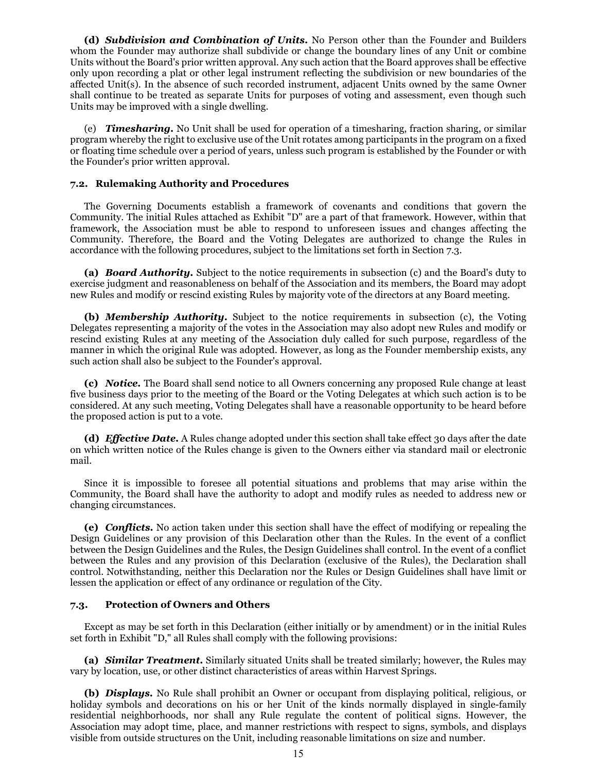**(d)** *Subdivision and Combination of Units.* No Person other than the Founder and Builders whom the Founder may authorize shall subdivide or change the boundary lines of any Unit or combine Units without the Board's prior written approval. Any such action that the Board approves shall be effective only upon recording a plat or other legal instrument reflecting the subdivision or new boundaries of the affected Unit(s). In the absence of such recorded instrument, adjacent Units owned by the same Owner shall continue to be treated as separate Units for purposes of voting and assessment, even though such Units may be improved with a single dwelling.

(e) *Timesharing.* No Unit shall be used for operation of a timesharing, fraction sharing, or similar program whereby the right to exclusive use of the Unit rotates among participants in the program on a fixed or floating time schedule over a period of years, unless such program is established by the Founder or with the Founder's prior written approval.

### **7.2. Rulemaking Authority and Procedures**

The Governing Documents establish a framework of covenants and conditions that govern the Community. The initial Rules attached as Exhibit "D" are a part of that framework. However, within that framework, the Association must be able to respond to unforeseen issues and changes affecting the Community. Therefore, the Board and the Voting Delegates are authorized to change the Rules in accordance with the following procedures, subject to the limitations set forth in Section 7.3.

**(a)** *Board Authority.* Subject to the notice requirements in subsection (c) and the Board's duty to exercise judgment and reasonableness on behalf of the Association and its members, the Board may adopt new Rules and modify or rescind existing Rules by majority vote of the directors at any Board meeting.

**(b)** *Membership Authority.* Subject to the notice requirements in subsection (c), the Voting Delegates representing a majority of the votes in the Association may also adopt new Rules and modify or rescind existing Rules at any meeting of the Association duly called for such purpose, regardless of the manner in which the original Rule was adopted. However, as long as the Founder membership exists, any such action shall also be subject to the Founder's approval.

**(c)** *Notice.* The Board shall send notice to all Owners concerning any proposed Rule change at least five business days prior to the meeting of the Board or the Voting Delegates at which such action is to be considered. At any such meeting, Voting Delegates shall have a reasonable opportunity to be heard before the proposed action is put to a vote.

**(d)** *Effective Date.* A Rules change adopted under this section shall take effect 30 days after the date on which written notice of the Rules change is given to the Owners either via standard mail or electronic mail.

Since it is impossible to foresee all potential situations and problems that may arise within the Community, the Board shall have the authority to adopt and modify rules as needed to address new or changing circumstances.

**(e)** *Conflicts.* No action taken under this section shall have the effect of modifying or repealing the Design Guidelines or any provision of this Declaration other than the Rules. In the event of a conflict between the Design Guidelines and the Rules, the Design Guidelines shall control. In the event of a conflict between the Rules and any provision of this Declaration (exclusive of the Rules), the Declaration shall control. Notwithstanding, neither this Declaration nor the Rules or Design Guidelines shall have limit or lessen the application or effect of any ordinance or regulation of the City.

### **7.3. Protection of Owners and Others**

Except as may be set forth in this Declaration (either initially or by amendment) or in the initial Rules set forth in Exhibit "D," all Rules shall comply with the following provisions:

**(a)** *Similar Treatment.* Similarly situated Units shall be treated similarly; however, the Rules may vary by location, use, or other distinct characteristics of areas within Harvest Springs.

**(b)** *Displays.* No Rule shall prohibit an Owner or occupant from displaying political, religious, or holiday symbols and decorations on his or her Unit of the kinds normally displayed in single-family residential neighborhoods, nor shall any Rule regulate the content of political signs. However, the Association may adopt time, place, and manner restrictions with respect to signs, symbols, and displays visible from outside structures on the Unit, including reasonable limitations on size and number.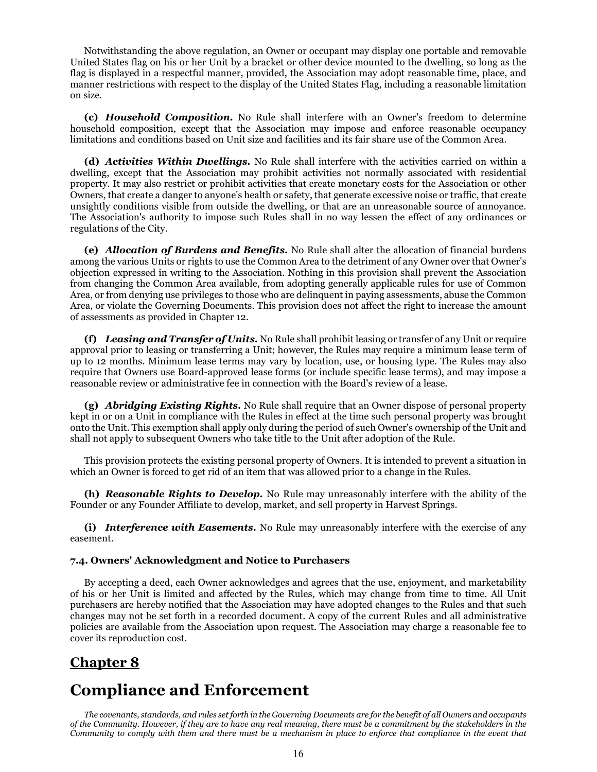Notwithstanding the above regulation, an Owner or occupant may display one portable and removable United States flag on his or her Unit by a bracket or other device mounted to the dwelling, so long as the flag is displayed in a respectful manner, provided, the Association may adopt reasonable time, place, and manner restrictions with respect to the display of the United States Flag, including a reasonable limitation on size.

**(c)** *Household Composition.* No Rule shall interfere with an Owner's freedom to determine household composition, except that the Association may impose and enforce reasonable occupancy limitations and conditions based on Unit size and facilities and its fair share use of the Common Area.

**(d)** *Activities Within Dwellings.* No Rule shall interfere with the activities carried on within a dwelling, except that the Association may prohibit activities not normally associated with residential property. It may also restrict or prohibit activities that create monetary costs for the Association or other Owners, that create a danger to anyone's health or safety, that generate excessive noise or traffic, that create unsightly conditions visible from outside the dwelling, or that are an unreasonable source of annoyance. The Association's authority to impose such Rules shall in no way lessen the effect of any ordinances or regulations of the City.

**(e)** *Allocation of Burdens and Benefits.* No Rule shall alter the allocation of financial burdens among the various Units or rights to use the Common Area to the detriment of any Owner over that Owner's objection expressed in writing to the Association. Nothing in this provision shall prevent the Association from changing the Common Area available, from adopting generally applicable rules for use of Common Area, or from denying use privileges to those who are delinquent in paying assessments, abuse the Common Area, or violate the Governing Documents. This provision does not affect the right to increase the amount of assessments as provided in Chapter 12.

**(f)** *Leasing and Transfer of Units.* No Rule shall prohibit leasing or transfer of any Unit or require approval prior to leasing or transferring a Unit; however, the Rules may require a minimum lease term of up to 12 months. Minimum lease terms may vary by location, use, or housing type. The Rules may also require that Owners use Board-approved lease forms (or include specific lease terms), and may impose a reasonable review or administrative fee in connection with the Board's review of a lease.

**(g)** *Abridging Existing Rights.* No Rule shall require that an Owner dispose of personal property kept in or on a Unit in compliance with the Rules in effect at the time such personal property was brought onto the Unit. This exemption shall apply only during the period of such Owner's ownership of the Unit and shall not apply to subsequent Owners who take title to the Unit after adoption of the Rule.

This provision protects the existing personal property of Owners. It is intended to prevent a situation in which an Owner is forced to get rid of an item that was allowed prior to a change in the Rules.

**(h)** *Reasonable Rights to Develop.* No Rule may unreasonably interfere with the ability of the Founder or any Founder Affiliate to develop, market, and sell property in Harvest Springs.

**(i)** *Interference with Easements.* No Rule may unreasonably interfere with the exercise of any easement.

### **7.4. Owners' Acknowledgment and Notice to Purchasers**

By accepting a deed, each Owner acknowledges and agrees that the use, enjoyment, and marketability of his or her Unit is limited and affected by the Rules, which may change from time to time. All Unit purchasers are hereby notified that the Association may have adopted changes to the Rules and that such changes may not be set forth in a recorded document. A copy of the current Rules and all administrative policies are available from the Association upon request. The Association may charge a reasonable fee to cover its reproduction cost.

## **Chapter 8**

# **Compliance and Enforcement**

*The covenants, standards, and rules set forth in the Governing Documents are for the benefit of all Owners and occupants of the Community. However, if they are to have any real meaning, there must be a commitment by the stakeholders in the Community to comply with them and there must be a mechanism in place to enforce that compliance in the event that*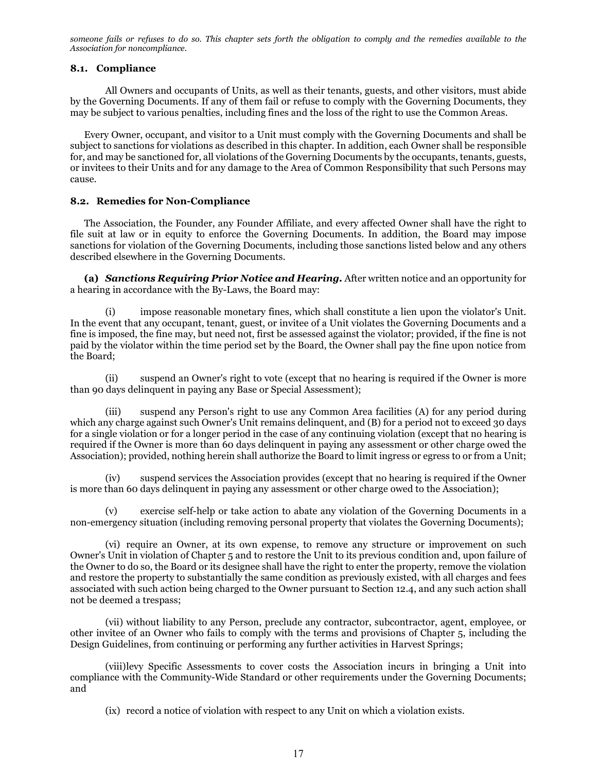*someone fails or refuses to do so. This chapter sets forth the obligation to comply and the remedies available to the Association for noncompliance.*

### **8.1. Compliance**

All Owners and occupants of Units, as well as their tenants, guests, and other visitors, must abide by the Governing Documents. If any of them fail or refuse to comply with the Governing Documents, they may be subject to various penalties, including fines and the loss of the right to use the Common Areas.

Every Owner, occupant, and visitor to a Unit must comply with the Governing Documents and shall be subject to sanctions for violations as described in this chapter. In addition, each Owner shall be responsible for, and may be sanctioned for, all violations of the Governing Documents by the occupants, tenants, guests, or invitees to their Units and for any damage to the Area of Common Responsibility that such Persons may cause.

### **8.2. Remedies for Non-Compliance**

The Association, the Founder, any Founder Affiliate, and every affected Owner shall have the right to file suit at law or in equity to enforce the Governing Documents. In addition, the Board may impose sanctions for violation of the Governing Documents, including those sanctions listed below and any others described elsewhere in the Governing Documents.

**(a)** *Sanctions Requiring Prior Notice and Hearing.* After written notice and an opportunity for a hearing in accordance with the By-Laws, the Board may:

(i) impose reasonable monetary fines, which shall constitute a lien upon the violator's Unit. In the event that any occupant, tenant, guest, or invitee of a Unit violates the Governing Documents and a fine is imposed, the fine may, but need not, first be assessed against the violator; provided, if the fine is not paid by the violator within the time period set by the Board, the Owner shall pay the fine upon notice from the Board;

(ii) suspend an Owner's right to vote (except that no hearing is required if the Owner is more than 90 days delinquent in paying any Base or Special Assessment);

(iii) suspend any Person's right to use any Common Area facilities (A) for any period during which any charge against such Owner's Unit remains delinquent, and (B) for a period not to exceed 30 days for a single violation or for a longer period in the case of any continuing violation (except that no hearing is required if the Owner is more than 60 days delinquent in paying any assessment or other charge owed the Association); provided, nothing herein shall authorize the Board to limit ingress or egress to or from a Unit;

(iv) suspend services the Association provides (except that no hearing is required if the Owner is more than 60 days delinquent in paying any assessment or other charge owed to the Association);

exercise self-help or take action to abate any violation of the Governing Documents in a non-emergency situation (including removing personal property that violates the Governing Documents);

(vi) require an Owner, at its own expense, to remove any structure or improvement on such Owner's Unit in violation of Chapter 5 and to restore the Unit to its previous condition and, upon failure of the Owner to do so, the Board or its designee shall have the right to enter the property, remove the violation and restore the property to substantially the same condition as previously existed, with all charges and fees associated with such action being charged to the Owner pursuant to Section 12.4, and any such action shall not be deemed a trespass;

(vii) without liability to any Person, preclude any contractor, subcontractor, agent, employee, or other invitee of an Owner who fails to comply with the terms and provisions of Chapter 5, including the Design Guidelines, from continuing or performing any further activities in Harvest Springs;

(viii)levy Specific Assessments to cover costs the Association incurs in bringing a Unit into compliance with the Community-Wide Standard or other requirements under the Governing Documents; and

(ix) record a notice of violation with respect to any Unit on which a violation exists.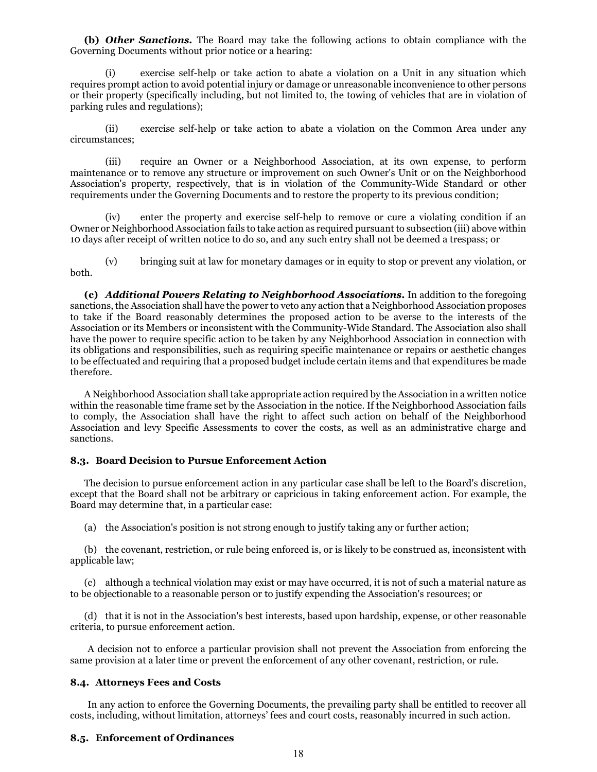**(b)** *Other Sanctions.* The Board may take the following actions to obtain compliance with the Governing Documents without prior notice or a hearing:

(i) exercise self-help or take action to abate a violation on a Unit in any situation which requires prompt action to avoid potential injury or damage or unreasonable inconvenience to other persons or their property (specifically including, but not limited to, the towing of vehicles that are in violation of parking rules and regulations);

(ii) exercise self-help or take action to abate a violation on the Common Area under any circumstances;

(iii) require an Owner or a Neighborhood Association, at its own expense, to perform maintenance or to remove any structure or improvement on such Owner's Unit or on the Neighborhood Association's property, respectively, that is in violation of the Community-Wide Standard or other requirements under the Governing Documents and to restore the property to its previous condition;

(iv) enter the property and exercise self-help to remove or cure a violating condition if an Owner or Neighborhood Association fails to take action as required pursuant to subsection (iii) above within 10 days after receipt of written notice to do so, and any such entry shall not be deemed a trespass; or

(v) bringing suit at law for monetary damages or in equity to stop or prevent any violation, or both.

**(c)** *Additional Powers Relating to Neighborhood Associations.* In addition to the foregoing sanctions, the Association shall have the power to veto any action that a Neighborhood Association proposes to take if the Board reasonably determines the proposed action to be averse to the interests of the Association or its Members or inconsistent with the Community-Wide Standard. The Association also shall have the power to require specific action to be taken by any Neighborhood Association in connection with its obligations and responsibilities, such as requiring specific maintenance or repairs or aesthetic changes to be effectuated and requiring that a proposed budget include certain items and that expenditures be made therefore.

A Neighborhood Association shall take appropriate action required by the Association in a written notice within the reasonable time frame set by the Association in the notice. If the Neighborhood Association fails to comply, the Association shall have the right to affect such action on behalf of the Neighborhood Association and levy Specific Assessments to cover the costs, as well as an administrative charge and sanctions.

### **8.3. Board Decision to Pursue Enforcement Action**

The decision to pursue enforcement action in any particular case shall be left to the Board's discretion, except that the Board shall not be arbitrary or capricious in taking enforcement action. For example, the Board may determine that, in a particular case:

(a) the Association's position is not strong enough to justify taking any or further action;

(b) the covenant, restriction, or rule being enforced is, or is likely to be construed as, inconsistent with applicable law;

(c) although a technical violation may exist or may have occurred, it is not of such a material nature as to be objectionable to a reasonable person or to justify expending the Association's resources; or

(d) that it is not in the Association's best interests, based upon hardship, expense, or other reasonable criteria, to pursue enforcement action.

A decision not to enforce a particular provision shall not prevent the Association from enforcing the same provision at a later time or prevent the enforcement of any other covenant, restriction, or rule.

### **8.4. Attorneys Fees and Costs**

In any action to enforce the Governing Documents, the prevailing party shall be entitled to recover all costs, including, without limitation, attorneys' fees and court costs, reasonably incurred in such action.

### **8.5. Enforcement of Ordinances**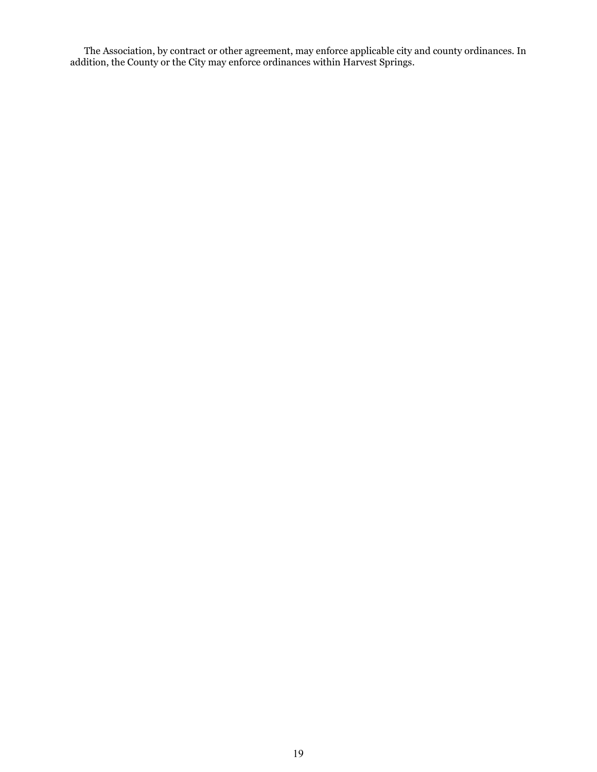The Association, by contract or other agreement, may enforce applicable city and county ordinances. In addition, the County or the City may enforce ordinances within Harvest Springs.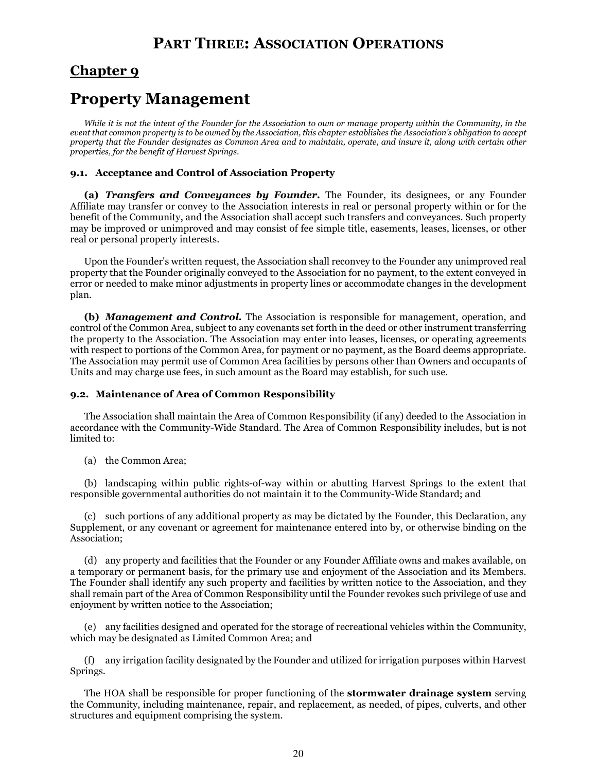## **PART THREE: ASSOCIATION OPERATIONS**

### **Chapter 9**

## **Property Management**

While it is not the intent of the Founder for the Association to own or manage property within the Community, in the *event that common property is to be owned by the Association, this chapter establishes the Association's obligation to accept property that the Founder designates as Common Area and to maintain, operate, and insure it, along with certain other properties, for the benefit of Harvest Springs.*

### **9.1. Acceptance and Control of Association Property**

**(a)** *Transfers and Conveyances by Founder.* The Founder, its designees, or any Founder Affiliate may transfer or convey to the Association interests in real or personal property within or for the benefit of the Community, and the Association shall accept such transfers and conveyances. Such property may be improved or unimproved and may consist of fee simple title, easements, leases, licenses, or other real or personal property interests.

Upon the Founder's written request, the Association shall reconvey to the Founder any unimproved real property that the Founder originally conveyed to the Association for no payment, to the extent conveyed in error or needed to make minor adjustments in property lines or accommodate changes in the development plan.

**(b)** *Management and Control.* The Association is responsible for management, operation, and control of the Common Area, subject to any covenants set forth in the deed or other instrument transferring the property to the Association. The Association may enter into leases, licenses, or operating agreements with respect to portions of the Common Area, for payment or no payment, as the Board deems appropriate. The Association may permit use of Common Area facilities by persons other than Owners and occupants of Units and may charge use fees, in such amount as the Board may establish, for such use.

### **9.2. Maintenance of Area of Common Responsibility**

The Association shall maintain the Area of Common Responsibility (if any) deeded to the Association in accordance with the Community-Wide Standard. The Area of Common Responsibility includes, but is not limited to:

(a) the Common Area;

(b) landscaping within public rights-of-way within or abutting Harvest Springs to the extent that responsible governmental authorities do not maintain it to the Community-Wide Standard; and

(c) such portions of any additional property as may be dictated by the Founder, this Declaration, any Supplement, or any covenant or agreement for maintenance entered into by, or otherwise binding on the Association;

(d) any property and facilities that the Founder or any Founder Affiliate owns and makes available, on a temporary or permanent basis, for the primary use and enjoyment of the Association and its Members. The Founder shall identify any such property and facilities by written notice to the Association, and they shall remain part of the Area of Common Responsibility until the Founder revokes such privilege of use and enjoyment by written notice to the Association;

(e) any facilities designed and operated for the storage of recreational vehicles within the Community, which may be designated as Limited Common Area; and

(f) any irrigation facility designated by the Founder and utilized for irrigation purposes within Harvest Springs.

The HOA shall be responsible for proper functioning of the **stormwater drainage system** serving the Community, including maintenance, repair, and replacement, as needed, of pipes, culverts, and other structures and equipment comprising the system.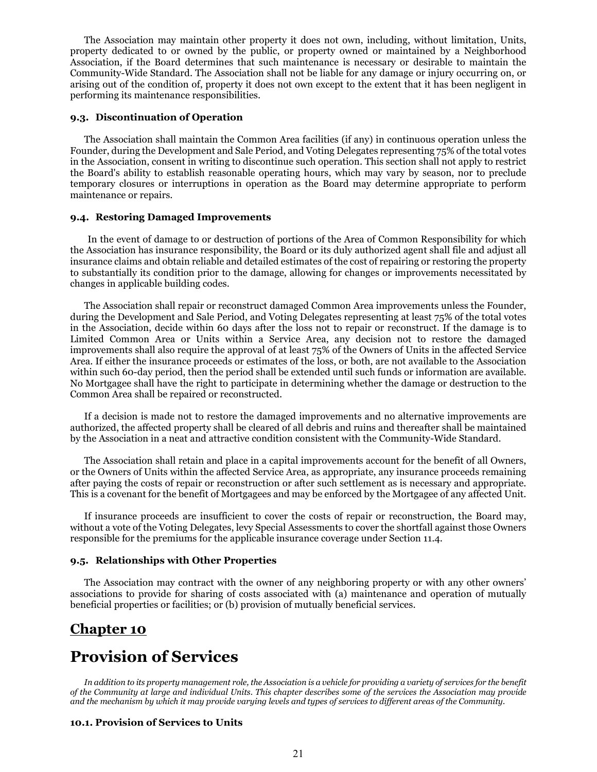The Association may maintain other property it does not own, including, without limitation, Units, property dedicated to or owned by the public, or property owned or maintained by a Neighborhood Association, if the Board determines that such maintenance is necessary or desirable to maintain the Community-Wide Standard. The Association shall not be liable for any damage or injury occurring on, or arising out of the condition of, property it does not own except to the extent that it has been negligent in performing its maintenance responsibilities.

### **9.3. Discontinuation of Operation**

The Association shall maintain the Common Area facilities (if any) in continuous operation unless the Founder, during the Development and Sale Period, and Voting Delegates representing 75% of the total votes in the Association, consent in writing to discontinue such operation. This section shall not apply to restrict the Board's ability to establish reasonable operating hours, which may vary by season, nor to preclude temporary closures or interruptions in operation as the Board may determine appropriate to perform maintenance or repairs.

#### **9.4. Restoring Damaged Improvements**

In the event of damage to or destruction of portions of the Area of Common Responsibility for which the Association has insurance responsibility, the Board or its duly authorized agent shall file and adjust all insurance claims and obtain reliable and detailed estimates of the cost of repairing or restoring the property to substantially its condition prior to the damage, allowing for changes or improvements necessitated by changes in applicable building codes.

The Association shall repair or reconstruct damaged Common Area improvements unless the Founder, during the Development and Sale Period, and Voting Delegates representing at least 75% of the total votes in the Association, decide within 60 days after the loss not to repair or reconstruct. If the damage is to Limited Common Area or Units within a Service Area, any decision not to restore the damaged improvements shall also require the approval of at least 75% of the Owners of Units in the affected Service Area. If either the insurance proceeds or estimates of the loss, or both, are not available to the Association within such 60-day period, then the period shall be extended until such funds or information are available. No Mortgagee shall have the right to participate in determining whether the damage or destruction to the Common Area shall be repaired or reconstructed.

If a decision is made not to restore the damaged improvements and no alternative improvements are authorized, the affected property shall be cleared of all debris and ruins and thereafter shall be maintained by the Association in a neat and attractive condition consistent with the Community-Wide Standard.

The Association shall retain and place in a capital improvements account for the benefit of all Owners, or the Owners of Units within the affected Service Area, as appropriate, any insurance proceeds remaining after paying the costs of repair or reconstruction or after such settlement as is necessary and appropriate. This is a covenant for the benefit of Mortgagees and may be enforced by the Mortgagee of any affected Unit.

If insurance proceeds are insufficient to cover the costs of repair or reconstruction, the Board may, without a vote of the Voting Delegates, levy Special Assessments to cover the shortfall against those Owners responsible for the premiums for the applicable insurance coverage under Section 11.4.

### **9.5. Relationships with Other Properties**

The Association may contract with the owner of any neighboring property or with any other owners' associations to provide for sharing of costs associated with (a) maintenance and operation of mutually beneficial properties or facilities; or (b) provision of mutually beneficial services.

### **Chapter 10**

## **Provision of Services**

*In addition to its property management role, the Association is a vehicle for providing a variety of services for the benefit of the Community at large and individual Units. This chapter describes some of the services the Association may provide and the mechanism by which it may provide varying levels and types of services to different areas of the Community.*

#### **10.1. Provision of Services to Units**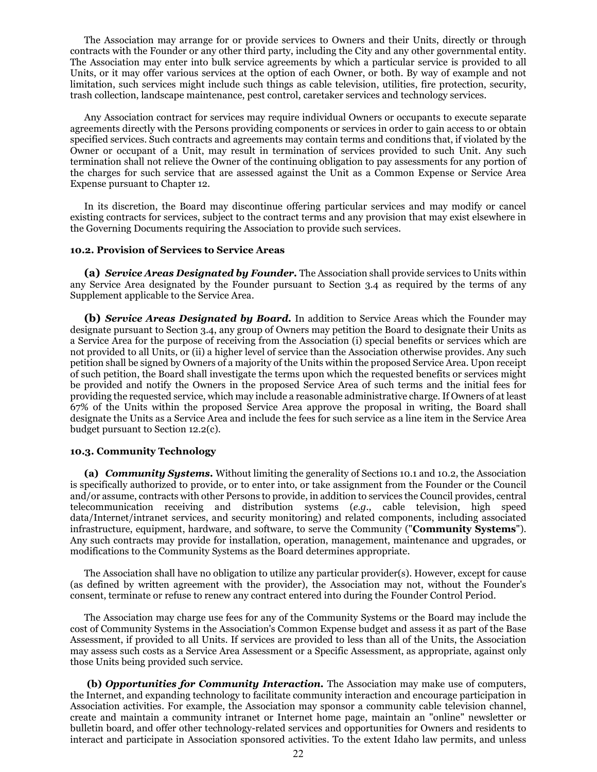The Association may arrange for or provide services to Owners and their Units, directly or through contracts with the Founder or any other third party, including the City and any other governmental entity. The Association may enter into bulk service agreements by which a particular service is provided to all Units, or it may offer various services at the option of each Owner, or both. By way of example and not limitation, such services might include such things as cable television, utilities, fire protection, security, trash collection, landscape maintenance, pest control, caretaker services and technology services.

Any Association contract for services may require individual Owners or occupants to execute separate agreements directly with the Persons providing components or services in order to gain access to or obtain specified services. Such contracts and agreements may contain terms and conditions that, if violated by the Owner or occupant of a Unit, may result in termination of services provided to such Unit. Any such termination shall not relieve the Owner of the continuing obligation to pay assessments for any portion of the charges for such service that are assessed against the Unit as a Common Expense or Service Area Expense pursuant to Chapter 12.

In its discretion, the Board may discontinue offering particular services and may modify or cancel existing contracts for services, subject to the contract terms and any provision that may exist elsewhere in the Governing Documents requiring the Association to provide such services.

### **10.2. Provision of Services to Service Areas**

**(a)** *Service Areas Designated by Founder.* The Association shall provide services to Units within any Service Area designated by the Founder pursuant to Section 3.4 as required by the terms of any Supplement applicable to the Service Area.

**(b)** *Service Areas Designated by Board.* In addition to Service Areas which the Founder may designate pursuant to Section 3.4, any group of Owners may petition the Board to designate their Units as a Service Area for the purpose of receiving from the Association (i) special benefits or services which are not provided to all Units, or (ii) a higher level of service than the Association otherwise provides. Any such petition shall be signed by Owners of a majority of the Units within the proposed Service Area. Upon receipt of such petition, the Board shall investigate the terms upon which the requested benefits or services might be provided and notify the Owners in the proposed Service Area of such terms and the initial fees for providing the requested service, which may include a reasonable administrative charge. If Owners of at least 67% of the Units within the proposed Service Area approve the proposal in writing, the Board shall designate the Units as a Service Area and include the fees for such service as a line item in the Service Area budget pursuant to Section 12.2(c).

### **10.3. Community Technology**

**(a)** *Community Systems.* Without limiting the generality of Sections 10.1 and 10.2, the Association is specifically authorized to provide, or to enter into, or take assignment from the Founder or the Council and/or assume, contracts with other Persons to provide, in addition to services the Council provides, central telecommunication receiving and distribution systems (*e.g.*, cable television, high speed data/Internet/intranet services, and security monitoring) and related components, including associated infrastructure, equipment, hardware, and software, to serve the Community ("**Community Systems**"). Any such contracts may provide for installation, operation, management, maintenance and upgrades, or modifications to the Community Systems as the Board determines appropriate.

The Association shall have no obligation to utilize any particular provider(s). However, except for cause (as defined by written agreement with the provider), the Association may not, without the Founder's consent, terminate or refuse to renew any contract entered into during the Founder Control Period.

The Association may charge use fees for any of the Community Systems or the Board may include the cost of Community Systems in the Association's Common Expense budget and assess it as part of the Base Assessment, if provided to all Units. If services are provided to less than all of the Units, the Association may assess such costs as a Service Area Assessment or a Specific Assessment, as appropriate, against only those Units being provided such service.

**(b)** *Opportunities for Community Interaction.* The Association may make use of computers, the Internet, and expanding technology to facilitate community interaction and encourage participation in Association activities. For example, the Association may sponsor a community cable television channel, create and maintain a community intranet or Internet home page, maintain an "online" newsletter or bulletin board, and offer other technology-related services and opportunities for Owners and residents to interact and participate in Association sponsored activities. To the extent Idaho law permits, and unless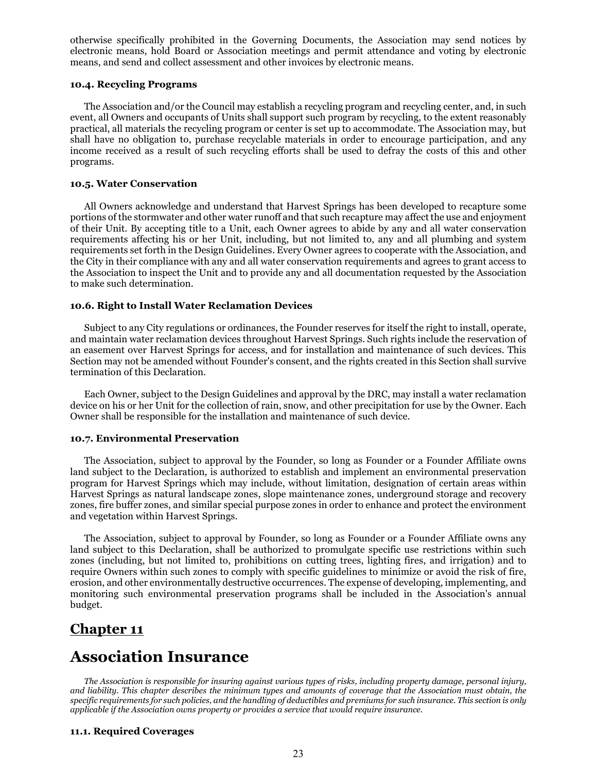otherwise specifically prohibited in the Governing Documents, the Association may send notices by electronic means, hold Board or Association meetings and permit attendance and voting by electronic means, and send and collect assessment and other invoices by electronic means.

### **10.4. Recycling Programs**

The Association and/or the Council may establish a recycling program and recycling center, and, in such event, all Owners and occupants of Units shall support such program by recycling, to the extent reasonably practical, all materials the recycling program or center is set up to accommodate. The Association may, but shall have no obligation to, purchase recyclable materials in order to encourage participation, and any income received as a result of such recycling efforts shall be used to defray the costs of this and other programs.

### **10.5. Water Conservation**

All Owners acknowledge and understand that Harvest Springs has been developed to recapture some portions of the stormwater and other water runoff and that such recapture may affect the use and enjoyment of their Unit. By accepting title to a Unit, each Owner agrees to abide by any and all water conservation requirements affecting his or her Unit, including, but not limited to, any and all plumbing and system requirements set forth in the Design Guidelines. Every Owner agrees to cooperate with the Association, and the City in their compliance with any and all water conservation requirements and agrees to grant access to the Association to inspect the Unit and to provide any and all documentation requested by the Association to make such determination.

### **10.6. Right to Install Water Reclamation Devices**

Subject to any City regulations or ordinances, the Founder reserves for itself the right to install, operate, and maintain water reclamation devices throughout Harvest Springs. Such rights include the reservation of an easement over Harvest Springs for access, and for installation and maintenance of such devices. This Section may not be amended without Founder's consent, and the rights created in this Section shall survive termination of this Declaration.

Each Owner, subject to the Design Guidelines and approval by the DRC, may install a water reclamation device on his or her Unit for the collection of rain, snow, and other precipitation for use by the Owner. Each Owner shall be responsible for the installation and maintenance of such device.

### **10.7. Environmental Preservation**

The Association, subject to approval by the Founder, so long as Founder or a Founder Affiliate owns land subject to the Declaration, is authorized to establish and implement an environmental preservation program for Harvest Springs which may include, without limitation, designation of certain areas within Harvest Springs as natural landscape zones, slope maintenance zones, underground storage and recovery zones, fire buffer zones, and similar special purpose zones in order to enhance and protect the environment and vegetation within Harvest Springs.

The Association, subject to approval by Founder, so long as Founder or a Founder Affiliate owns any land subject to this Declaration, shall be authorized to promulgate specific use restrictions within such zones (including, but not limited to, prohibitions on cutting trees, lighting fires, and irrigation) and to require Owners within such zones to comply with specific guidelines to minimize or avoid the risk of fire, erosion, and other environmentally destructive occurrences. The expense of developing, implementing, and monitoring such environmental preservation programs shall be included in the Association's annual budget.

### **Chapter 11**

## **Association Insurance**

*The Association is responsible for insuring against various types of risks, including property damage, personal injury, and liability. This chapter describes the minimum types and amounts of coverage that the Association must obtain, the specific requirements for such policies, and the handling of deductibles and premiums for such insurance. This section is only applicable if the Association owns property or provides a service that would require insurance.*

### **11.1. Required Coverages**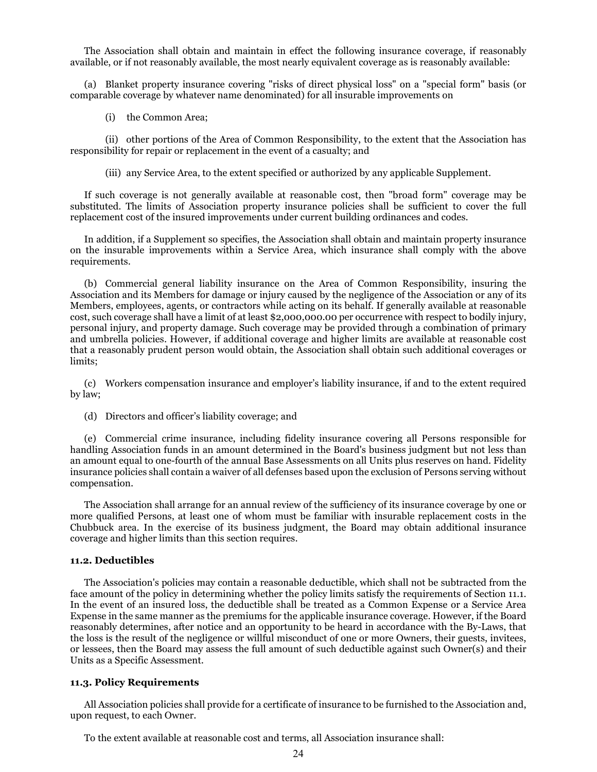The Association shall obtain and maintain in effect the following insurance coverage, if reasonably available, or if not reasonably available, the most nearly equivalent coverage as is reasonably available:

(a) Blanket property insurance covering "risks of direct physical loss" on a "special form" basis (or comparable coverage by whatever name denominated) for all insurable improvements on

(i) the Common Area;

(ii) other portions of the Area of Common Responsibility, to the extent that the Association has responsibility for repair or replacement in the event of a casualty; and

(iii) any Service Area, to the extent specified or authorized by any applicable Supplement.

If such coverage is not generally available at reasonable cost, then "broad form" coverage may be substituted. The limits of Association property insurance policies shall be sufficient to cover the full replacement cost of the insured improvements under current building ordinances and codes.

In addition, if a Supplement so specifies, the Association shall obtain and maintain property insurance on the insurable improvements within a Service Area, which insurance shall comply with the above requirements.

(b) Commercial general liability insurance on the Area of Common Responsibility, insuring the Association and its Members for damage or injury caused by the negligence of the Association or any of its Members, employees, agents, or contractors while acting on its behalf. If generally available at reasonable cost, such coverage shall have a limit of at least \$2,000,000.00 per occurrence with respect to bodily injury, personal injury, and property damage. Such coverage may be provided through a combination of primary and umbrella policies. However, if additional coverage and higher limits are available at reasonable cost that a reasonably prudent person would obtain, the Association shall obtain such additional coverages or limits;

(c) Workers compensation insurance and employer's liability insurance, if and to the extent required by law;

(d) Directors and officer's liability coverage; and

(e) Commercial crime insurance, including fidelity insurance covering all Persons responsible for handling Association funds in an amount determined in the Board's business judgment but not less than an amount equal to one-fourth of the annual Base Assessments on all Units plus reserves on hand. Fidelity insurance policies shall contain a waiver of all defenses based upon the exclusion of Persons serving without compensation.

The Association shall arrange for an annual review of the sufficiency of its insurance coverage by one or more qualified Persons, at least one of whom must be familiar with insurable replacement costs in the Chubbuck area. In the exercise of its business judgment, the Board may obtain additional insurance coverage and higher limits than this section requires.

#### **11.2. Deductibles**

The Association's policies may contain a reasonable deductible, which shall not be subtracted from the face amount of the policy in determining whether the policy limits satisfy the requirements of Section 11.1. In the event of an insured loss, the deductible shall be treated as a Common Expense or a Service Area Expense in the same manner as the premiums for the applicable insurance coverage. However, if the Board reasonably determines, after notice and an opportunity to be heard in accordance with the By-Laws, that the loss is the result of the negligence or willful misconduct of one or more Owners, their guests, invitees, or lessees, then the Board may assess the full amount of such deductible against such Owner(s) and their Units as a Specific Assessment.

### **11.3. Policy Requirements**

All Association policies shall provide for a certificate of insurance to be furnished to the Association and, upon request, to each Owner.

To the extent available at reasonable cost and terms, all Association insurance shall: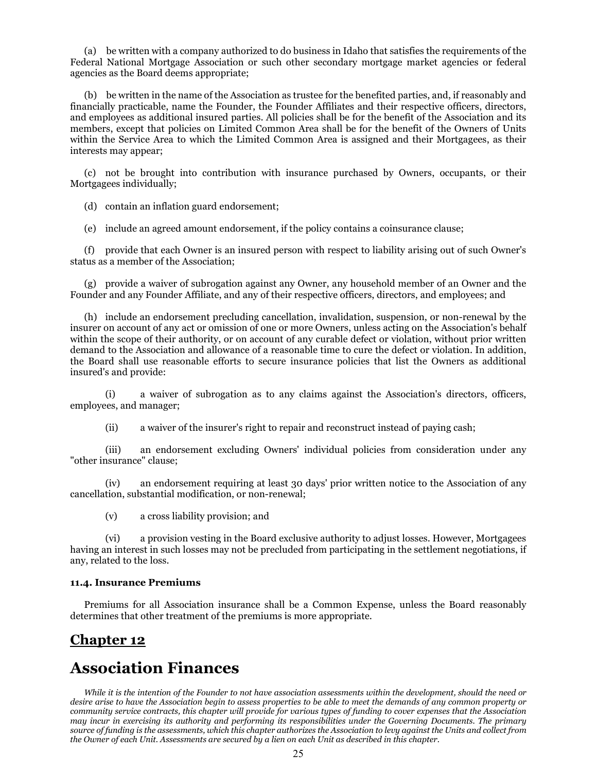(a) be written with a company authorized to do business in Idaho that satisfies the requirements of the Federal National Mortgage Association or such other secondary mortgage market agencies or federal agencies as the Board deems appropriate;

(b) be written in the name of the Association as trustee for the benefited parties, and, if reasonably and financially practicable, name the Founder, the Founder Affiliates and their respective officers, directors, and employees as additional insured parties. All policies shall be for the benefit of the Association and its members, except that policies on Limited Common Area shall be for the benefit of the Owners of Units within the Service Area to which the Limited Common Area is assigned and their Mortgagees, as their interests may appear;

(c) not be brought into contribution with insurance purchased by Owners, occupants, or their Mortgagees individually;

(d) contain an inflation guard endorsement;

(e) include an agreed amount endorsement, if the policy contains a coinsurance clause;

(f) provide that each Owner is an insured person with respect to liability arising out of such Owner's status as a member of the Association;

(g) provide a waiver of subrogation against any Owner, any household member of an Owner and the Founder and any Founder Affiliate, and any of their respective officers, directors, and employees; and

(h) include an endorsement precluding cancellation, invalidation, suspension, or non-renewal by the insurer on account of any act or omission of one or more Owners, unless acting on the Association's behalf within the scope of their authority, or on account of any curable defect or violation, without prior written demand to the Association and allowance of a reasonable time to cure the defect or violation. In addition, the Board shall use reasonable efforts to secure insurance policies that list the Owners as additional insured's and provide:

(i) a waiver of subrogation as to any claims against the Association's directors, officers, employees, and manager;

(ii) a waiver of the insurer's right to repair and reconstruct instead of paying cash;

(iii) an endorsement excluding Owners' individual policies from consideration under any "other insurance" clause;

(iv) an endorsement requiring at least 30 days' prior written notice to the Association of any cancellation, substantial modification, or non-renewal;

(v) a cross liability provision; and

(vi) a provision vesting in the Board exclusive authority to adjust losses. However, Mortgagees having an interest in such losses may not be precluded from participating in the settlement negotiations, if any, related to the loss.

### **11.4. Insurance Premiums**

Premiums for all Association insurance shall be a Common Expense, unless the Board reasonably determines that other treatment of the premiums is more appropriate.

### **Chapter 12**

## **Association Finances**

*While it is the intention of the Founder to not have association assessments within the development, should the need or desire arise to have the Association begin to assess properties to be able to meet the demands of any common property or community service contracts, this chapter will provide for various types of funding to cover expenses that the Association may incur in exercising its authority and performing its responsibilities under the Governing Documents. The primary source of funding is the assessments, which this chapter authorizes the Association to levy against the Units and collect from the Owner of each Unit. Assessments are secured by a lien on each Unit as described in this chapter.*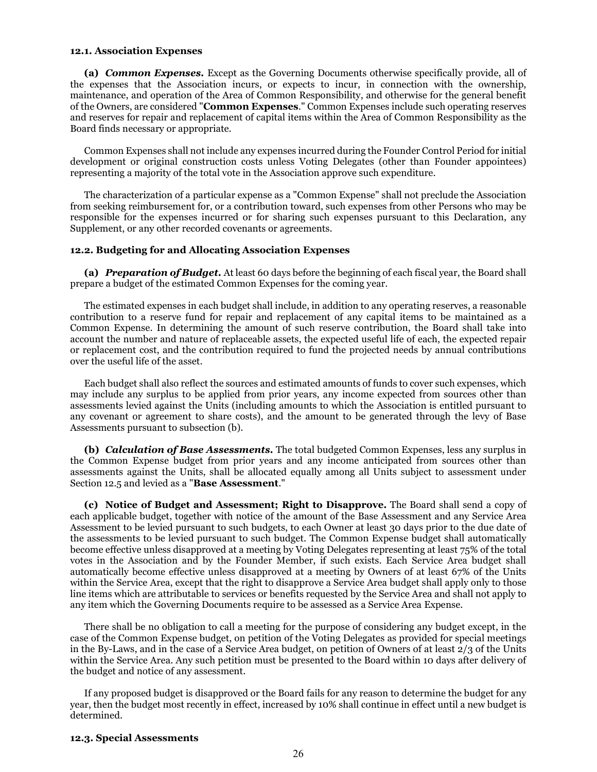#### **12.1. Association Expenses**

**(a)** *Common Expenses.* Except as the Governing Documents otherwise specifically provide, all of the expenses that the Association incurs, or expects to incur, in connection with the ownership, maintenance, and operation of the Area of Common Responsibility, and otherwise for the general benefit of the Owners, are considered "**Common Expenses**." Common Expenses include such operating reserves and reserves for repair and replacement of capital items within the Area of Common Responsibility as the Board finds necessary or appropriate.

Common Expenses shall not include any expenses incurred during the Founder Control Period for initial development or original construction costs unless Voting Delegates (other than Founder appointees) representing a majority of the total vote in the Association approve such expenditure.

The characterization of a particular expense as a "Common Expense" shall not preclude the Association from seeking reimbursement for, or a contribution toward, such expenses from other Persons who may be responsible for the expenses incurred or for sharing such expenses pursuant to this Declaration, any Supplement, or any other recorded covenants or agreements.

#### **12.2. Budgeting for and Allocating Association Expenses**

**(a)** *Preparation of Budget.* At least 60 days before the beginning of each fiscal year, the Board shall prepare a budget of the estimated Common Expenses for the coming year.

The estimated expenses in each budget shall include, in addition to any operating reserves, a reasonable contribution to a reserve fund for repair and replacement of any capital items to be maintained as a Common Expense. In determining the amount of such reserve contribution, the Board shall take into account the number and nature of replaceable assets, the expected useful life of each, the expected repair or replacement cost, and the contribution required to fund the projected needs by annual contributions over the useful life of the asset.

Each budget shall also reflect the sources and estimated amounts of funds to cover such expenses, which may include any surplus to be applied from prior years, any income expected from sources other than assessments levied against the Units (including amounts to which the Association is entitled pursuant to any covenant or agreement to share costs), and the amount to be generated through the levy of Base Assessments pursuant to subsection (b).

**(b)** *Calculation of Base Assessments.* The total budgeted Common Expenses, less any surplus in the Common Expense budget from prior years and any income anticipated from sources other than assessments against the Units, shall be allocated equally among all Units subject to assessment under Section 12.5 and levied as a "**Base Assessment**."

**(c) Notice of Budget and Assessment; Right to Disapprove.** The Board shall send a copy of each applicable budget, together with notice of the amount of the Base Assessment and any Service Area Assessment to be levied pursuant to such budgets, to each Owner at least 30 days prior to the due date of the assessments to be levied pursuant to such budget. The Common Expense budget shall automatically become effective unless disapproved at a meeting by Voting Delegates representing at least 75% of the total votes in the Association and by the Founder Member, if such exists. Each Service Area budget shall automatically become effective unless disapproved at a meeting by Owners of at least 67% of the Units within the Service Area, except that the right to disapprove a Service Area budget shall apply only to those line items which are attributable to services or benefits requested by the Service Area and shall not apply to any item which the Governing Documents require to be assessed as a Service Area Expense.

There shall be no obligation to call a meeting for the purpose of considering any budget except, in the case of the Common Expense budget, on petition of the Voting Delegates as provided for special meetings in the By-Laws, and in the case of a Service Area budget, on petition of Owners of at least 2/3 of the Units within the Service Area. Any such petition must be presented to the Board within 10 days after delivery of the budget and notice of any assessment.

If any proposed budget is disapproved or the Board fails for any reason to determine the budget for any year, then the budget most recently in effect, increased by 10% shall continue in effect until a new budget is determined.

### **12.3. Special Assessments**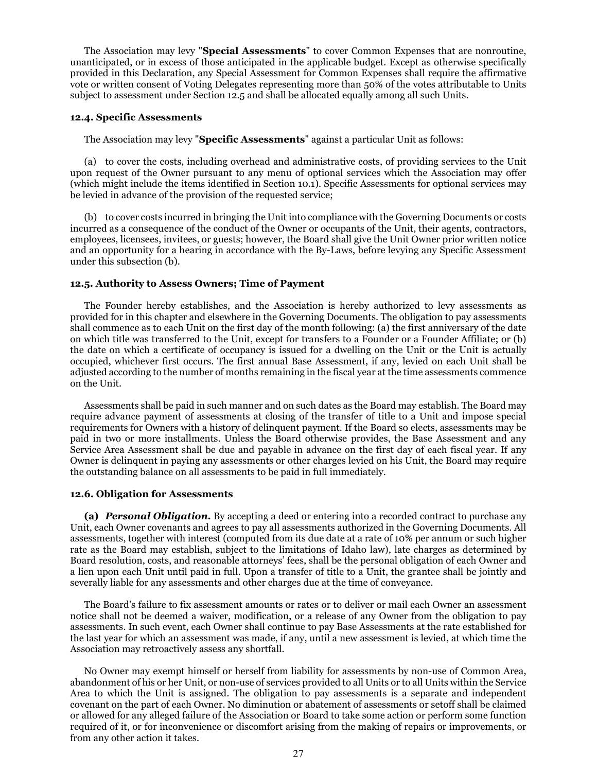The Association may levy "**Special Assessments**" to cover Common Expenses that are nonroutine, unanticipated, or in excess of those anticipated in the applicable budget. Except as otherwise specifically provided in this Declaration, any Special Assessment for Common Expenses shall require the affirmative vote or written consent of Voting Delegates representing more than 50% of the votes attributable to Units subject to assessment under Section 12.5 and shall be allocated equally among all such Units.

### **12.4. Specific Assessments**

The Association may levy "**Specific Assessments**" against a particular Unit as follows:

(a) to cover the costs, including overhead and administrative costs, of providing services to the Unit upon request of the Owner pursuant to any menu of optional services which the Association may offer (which might include the items identified in Section 10.1). Specific Assessments for optional services may be levied in advance of the provision of the requested service;

(b) to cover costs incurred in bringing the Unit into compliance with the Governing Documents or costs incurred as a consequence of the conduct of the Owner or occupants of the Unit, their agents, contractors, employees, licensees, invitees, or guests; however, the Board shall give the Unit Owner prior written notice and an opportunity for a hearing in accordance with the By-Laws, before levying any Specific Assessment under this subsection (b).

### **12.5. Authority to Assess Owners; Time of Payment**

The Founder hereby establishes, and the Association is hereby authorized to levy assessments as provided for in this chapter and elsewhere in the Governing Documents. The obligation to pay assessments shall commence as to each Unit on the first day of the month following: (a) the first anniversary of the date on which title was transferred to the Unit, except for transfers to a Founder or a Founder Affiliate; or (b) the date on which a certificate of occupancy is issued for a dwelling on the Unit or the Unit is actually occupied, whichever first occurs. The first annual Base Assessment, if any, levied on each Unit shall be adjusted according to the number of months remaining in the fiscal year at the time assessments commence on the Unit.

Assessments shall be paid in such manner and on such dates as the Board may establish. The Board may require advance payment of assessments at closing of the transfer of title to a Unit and impose special requirements for Owners with a history of delinquent payment. If the Board so elects, assessments may be paid in two or more installments. Unless the Board otherwise provides, the Base Assessment and any Service Area Assessment shall be due and payable in advance on the first day of each fiscal year. If any Owner is delinquent in paying any assessments or other charges levied on his Unit, the Board may require the outstanding balance on all assessments to be paid in full immediately.

#### **12.6. Obligation for Assessments**

**(a)** *Personal Obligation.* By accepting a deed or entering into a recorded contract to purchase any Unit, each Owner covenants and agrees to pay all assessments authorized in the Governing Documents. All assessments, together with interest (computed from its due date at a rate of 10% per annum or such higher rate as the Board may establish, subject to the limitations of Idaho law), late charges as determined by Board resolution, costs, and reasonable attorneys' fees, shall be the personal obligation of each Owner and a lien upon each Unit until paid in full. Upon a transfer of title to a Unit, the grantee shall be jointly and severally liable for any assessments and other charges due at the time of conveyance.

The Board's failure to fix assessment amounts or rates or to deliver or mail each Owner an assessment notice shall not be deemed a waiver, modification, or a release of any Owner from the obligation to pay assessments. In such event, each Owner shall continue to pay Base Assessments at the rate established for the last year for which an assessment was made, if any, until a new assessment is levied, at which time the Association may retroactively assess any shortfall.

No Owner may exempt himself or herself from liability for assessments by non-use of Common Area, abandonment of his or her Unit, or non-use of services provided to all Units or to all Units within the Service Area to which the Unit is assigned. The obligation to pay assessments is a separate and independent covenant on the part of each Owner. No diminution or abatement of assessments or setoff shall be claimed or allowed for any alleged failure of the Association or Board to take some action or perform some function required of it, or for inconvenience or discomfort arising from the making of repairs or improvements, or from any other action it takes.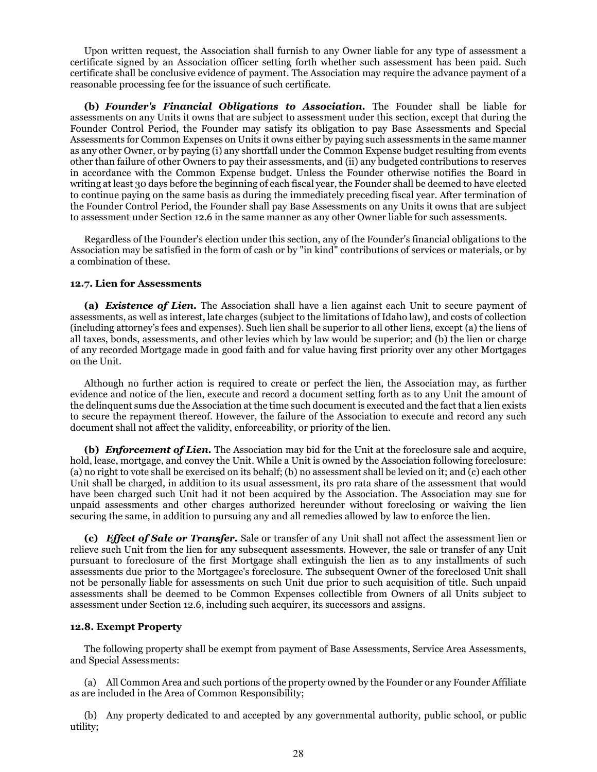Upon written request, the Association shall furnish to any Owner liable for any type of assessment a certificate signed by an Association officer setting forth whether such assessment has been paid. Such certificate shall be conclusive evidence of payment. The Association may require the advance payment of a reasonable processing fee for the issuance of such certificate.

**(b)** *Founder's Financial Obligations to Association.* The Founder shall be liable for assessments on any Units it owns that are subject to assessment under this section, except that during the Founder Control Period, the Founder may satisfy its obligation to pay Base Assessments and Special Assessments for Common Expenses on Units it owns either by paying such assessments in the same manner as any other Owner, or by paying (i) any shortfall under the Common Expense budget resulting from events other than failure of other Owners to pay their assessments, and (ii) any budgeted contributions to reserves in accordance with the Common Expense budget. Unless the Founder otherwise notifies the Board in writing at least 30 days before the beginning of each fiscal year, the Founder shall be deemed to have elected to continue paying on the same basis as during the immediately preceding fiscal year. After termination of the Founder Control Period, the Founder shall pay Base Assessments on any Units it owns that are subject to assessment under Section 12.6 in the same manner as any other Owner liable for such assessments.

Regardless of the Founder's election under this section, any of the Founder's financial obligations to the Association may be satisfied in the form of cash or by "in kind" contributions of services or materials, or by a combination of these.

### **12.7. Lien for Assessments**

**(a)** *Existence of Lien.* The Association shall have a lien against each Unit to secure payment of assessments, as well as interest, late charges (subject to the limitations of Idaho law), and costs of collection (including attorney's fees and expenses). Such lien shall be superior to all other liens, except (a) the liens of all taxes, bonds, assessments, and other levies which by law would be superior; and (b) the lien or charge of any recorded Mortgage made in good faith and for value having first priority over any other Mortgages on the Unit.

Although no further action is required to create or perfect the lien, the Association may, as further evidence and notice of the lien, execute and record a document setting forth as to any Unit the amount of the delinquent sums due the Association at the time such document is executed and the fact that a lien exists to secure the repayment thereof. However, the failure of the Association to execute and record any such document shall not affect the validity, enforceability, or priority of the lien.

**(b)** *Enforcement of Lien.* The Association may bid for the Unit at the foreclosure sale and acquire, hold, lease, mortgage, and convey the Unit. While a Unit is owned by the Association following foreclosure: (a) no right to vote shall be exercised on its behalf; (b) no assessment shall be levied on it; and (c) each other Unit shall be charged, in addition to its usual assessment, its pro rata share of the assessment that would have been charged such Unit had it not been acquired by the Association. The Association may sue for unpaid assessments and other charges authorized hereunder without foreclosing or waiving the lien securing the same, in addition to pursuing any and all remedies allowed by law to enforce the lien.

**(c)** *Effect of Sale or Transfer.* Sale or transfer of any Unit shall not affect the assessment lien or relieve such Unit from the lien for any subsequent assessments. However, the sale or transfer of any Unit pursuant to foreclosure of the first Mortgage shall extinguish the lien as to any installments of such assessments due prior to the Mortgagee's foreclosure. The subsequent Owner of the foreclosed Unit shall not be personally liable for assessments on such Unit due prior to such acquisition of title. Such unpaid assessments shall be deemed to be Common Expenses collectible from Owners of all Units subject to assessment under Section 12.6, including such acquirer, its successors and assigns.

### **12.8. Exempt Property**

The following property shall be exempt from payment of Base Assessments, Service Area Assessments, and Special Assessments:

(a) All Common Area and such portions of the property owned by the Founder or any Founder Affiliate as are included in the Area of Common Responsibility;

(b) Any property dedicated to and accepted by any governmental authority, public school, or public utility;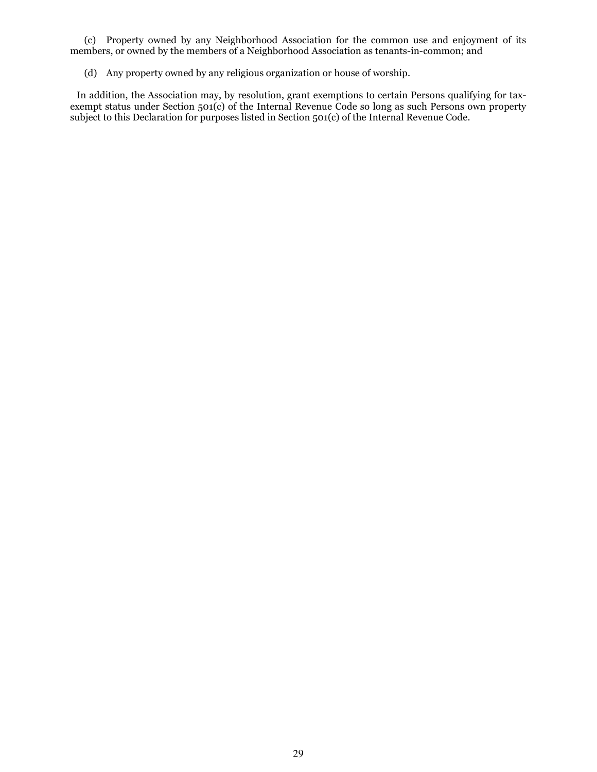(c) Property owned by any Neighborhood Association for the common use and enjoyment of its members, or owned by the members of a Neighborhood Association as tenants-in-common; and

(d) Any property owned by any religious organization or house of worship.

 In addition, the Association may, by resolution, grant exemptions to certain Persons qualifying for taxexempt status under Section 501(c) of the Internal Revenue Code so long as such Persons own property subject to this Declaration for purposes listed in Section 501(c) of the Internal Revenue Code.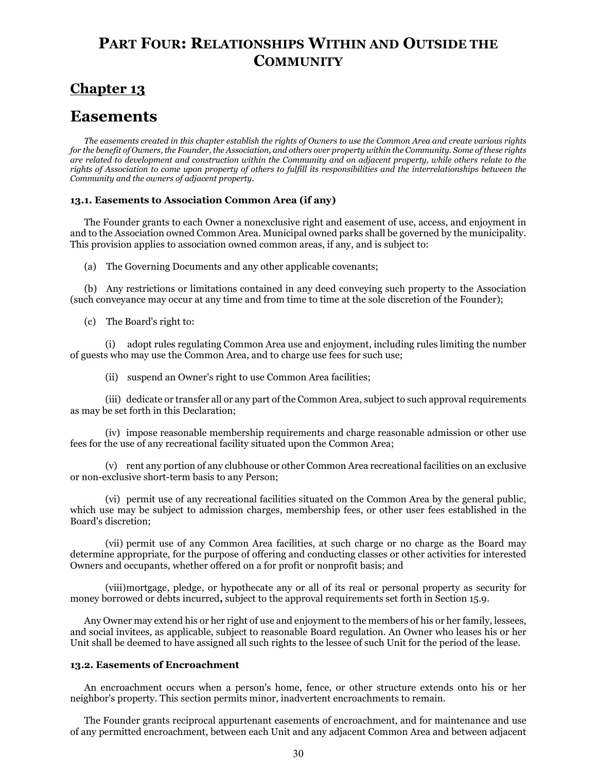## **PART FOUR: RELATIONSHIPS WITHIN AND OUTSIDE THE COMMUNITY**

## **Chapter 13**

## **Easements**

*The easements created in this chapter establish the rights of Owners to use the Common Area and create various rights for the benefit of Owners, the Founder, the Association, and others over property within the Community. Some of these rights are related to development and construction within the Community and on adjacent property, while others relate to the rights of Association to come upon property of others to fulfill its responsibilities and the interrelationships between the Community and the owners of adjacent property.*

### **13.1. Easements to Association Common Area (if any)**

The Founder grants to each Owner a nonexclusive right and easement of use, access, and enjoyment in and to the Association owned Common Area. Municipal owned parks shall be governed by the municipality. This provision applies to association owned common areas, if any, and is subject to:

(a) The Governing Documents and any other applicable covenants;

(b) Any restrictions or limitations contained in any deed conveying such property to the Association (such conveyance may occur at any time and from time to time at the sole discretion of the Founder);

(c) The Board's right to:

(i) adopt rules regulating Common Area use and enjoyment, including rules limiting the number of guests who may use the Common Area, and to charge use fees for such use;

(ii) suspend an Owner's right to use Common Area facilities;

(iii) dedicate or transfer all or any part of the Common Area, subject to such approval requirements as may be set forth in this Declaration;

(iv) impose reasonable membership requirements and charge reasonable admission or other use fees for the use of any recreational facility situated upon the Common Area;

(v) rent any portion of any clubhouse or other Common Area recreational facilities on an exclusive or non-exclusive short-term basis to any Person;

(vi) permit use of any recreational facilities situated on the Common Area by the general public, which use may be subject to admission charges, membership fees, or other user fees established in the Board's discretion;

(vii) permit use of any Common Area facilities, at such charge or no charge as the Board may determine appropriate, for the purpose of offering and conducting classes or other activities for interested Owners and occupants, whether offered on a for profit or nonprofit basis; and

(viii)mortgage, pledge, or hypothecate any or all of its real or personal property as security for money borrowed or debts incurred**,** subject to the approval requirements set forth in Section 15.9.

Any Owner may extend his or her right of use and enjoyment to the members of his or her family, lessees, and social invitees, as applicable, subject to reasonable Board regulation. An Owner who leases his or her Unit shall be deemed to have assigned all such rights to the lessee of such Unit for the period of the lease.

### **13.2. Easements of Encroachment**

An encroachment occurs when a person's home, fence, or other structure extends onto his or her neighbor's property. This section permits minor, inadvertent encroachments to remain.

The Founder grants reciprocal appurtenant easements of encroachment, and for maintenance and use of any permitted encroachment, between each Unit and any adjacent Common Area and between adjacent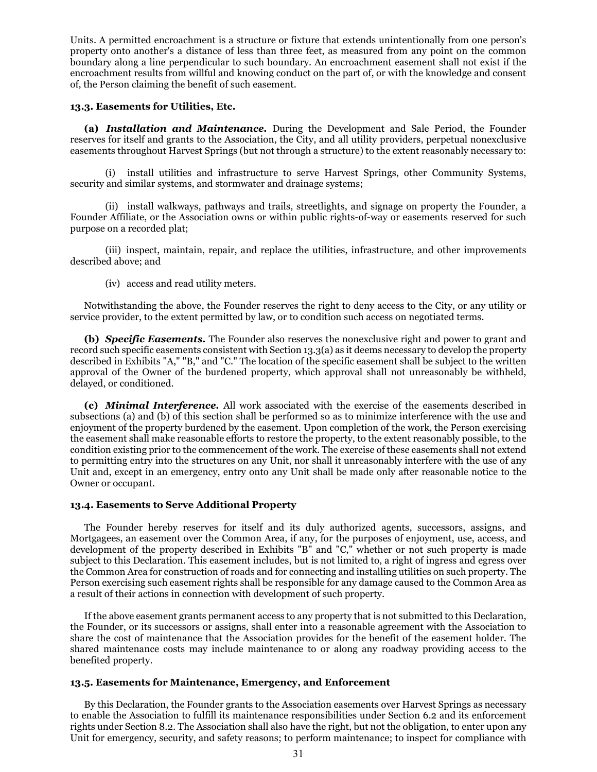Units. A permitted encroachment is a structure or fixture that extends unintentionally from one person's property onto another's a distance of less than three feet, as measured from any point on the common boundary along a line perpendicular to such boundary. An encroachment easement shall not exist if the encroachment results from willful and knowing conduct on the part of, or with the knowledge and consent of, the Person claiming the benefit of such easement.

### **13.3. Easements for Utilities, Etc.**

**(a)** *Installation and Maintenance.* During the Development and Sale Period, the Founder reserves for itself and grants to the Association, the City, and all utility providers, perpetual nonexclusive easements throughout Harvest Springs (but not through a structure) to the extent reasonably necessary to:

(i) install utilities and infrastructure to serve Harvest Springs, other Community Systems, security and similar systems, and stormwater and drainage systems;

(ii) install walkways, pathways and trails, streetlights, and signage on property the Founder, a Founder Affiliate, or the Association owns or within public rights-of-way or easements reserved for such purpose on a recorded plat;

(iii) inspect, maintain, repair, and replace the utilities, infrastructure, and other improvements described above; and

(iv) access and read utility meters.

Notwithstanding the above, the Founder reserves the right to deny access to the City, or any utility or service provider, to the extent permitted by law, or to condition such access on negotiated terms.

**(b)** *Specific Easements.* The Founder also reserves the nonexclusive right and power to grant and record such specific easements consistent with Section 13.3(a) as it deems necessary to develop the property described in Exhibits "A," "B," and "C." The location of the specific easement shall be subject to the written approval of the Owner of the burdened property, which approval shall not unreasonably be withheld, delayed, or conditioned.

**(c)** *Minimal Interference.* All work associated with the exercise of the easements described in subsections (a) and (b) of this section shall be performed so as to minimize interference with the use and enjoyment of the property burdened by the easement. Upon completion of the work, the Person exercising the easement shall make reasonable efforts to restore the property, to the extent reasonably possible, to the condition existing prior to the commencement of the work. The exercise of these easements shall not extend to permitting entry into the structures on any Unit, nor shall it unreasonably interfere with the use of any Unit and, except in an emergency, entry onto any Unit shall be made only after reasonable notice to the Owner or occupant.

### **13.4. Easements to Serve Additional Property**

The Founder hereby reserves for itself and its duly authorized agents, successors, assigns, and Mortgagees, an easement over the Common Area, if any, for the purposes of enjoyment, use, access, and development of the property described in Exhibits "B" and "C," whether or not such property is made subject to this Declaration. This easement includes, but is not limited to, a right of ingress and egress over the Common Area for construction of roads and for connecting and installing utilities on such property. The Person exercising such easement rights shall be responsible for any damage caused to the Common Area as a result of their actions in connection with development of such property.

If the above easement grants permanent access to any property that is not submitted to this Declaration, the Founder, or its successors or assigns, shall enter into a reasonable agreement with the Association to share the cost of maintenance that the Association provides for the benefit of the easement holder. The shared maintenance costs may include maintenance to or along any roadway providing access to the benefited property.

### **13.5. Easements for Maintenance, Emergency, and Enforcement**

By this Declaration, the Founder grants to the Association easements over Harvest Springs as necessary to enable the Association to fulfill its maintenance responsibilities under Section 6.2 and its enforcement rights under Section 8.2. The Association shall also have the right, but not the obligation, to enter upon any Unit for emergency, security, and safety reasons; to perform maintenance; to inspect for compliance with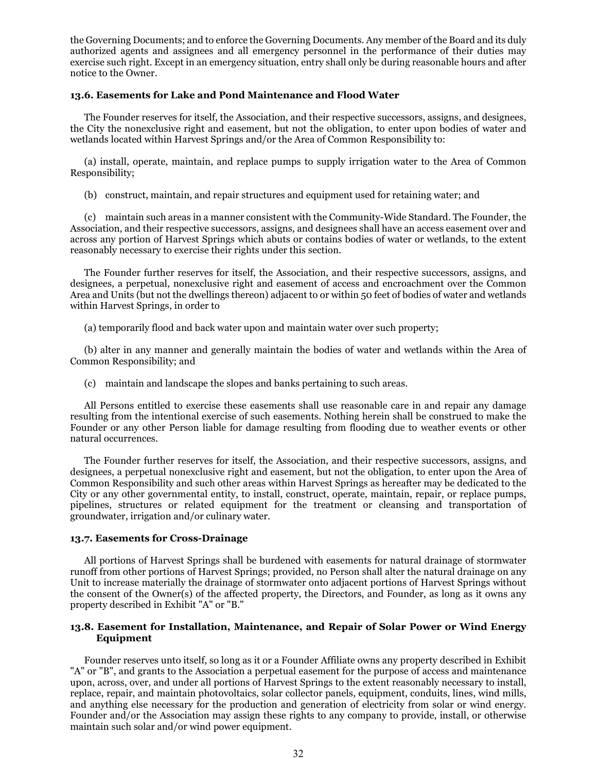the Governing Documents; and to enforce the Governing Documents. Any member of the Board and its duly authorized agents and assignees and all emergency personnel in the performance of their duties may exercise such right. Except in an emergency situation, entry shall only be during reasonable hours and after notice to the Owner.

### **13.6. Easements for Lake and Pond Maintenance and Flood Water**

The Founder reserves for itself, the Association, and their respective successors, assigns, and designees, the City the nonexclusive right and easement, but not the obligation, to enter upon bodies of water and wetlands located within Harvest Springs and/or the Area of Common Responsibility to:

(a) install, operate, maintain, and replace pumps to supply irrigation water to the Area of Common Responsibility;

(b) construct, maintain, and repair structures and equipment used for retaining water; and

(c) maintain such areas in a manner consistent with the Community-Wide Standard. The Founder, the Association, and their respective successors, assigns, and designees shall have an access easement over and across any portion of Harvest Springs which abuts or contains bodies of water or wetlands, to the extent reasonably necessary to exercise their rights under this section.

The Founder further reserves for itself, the Association, and their respective successors, assigns, and designees, a perpetual, nonexclusive right and easement of access and encroachment over the Common Area and Units (but not the dwellings thereon) adjacent to or within 50 feet of bodies of water and wetlands within Harvest Springs, in order to

(a) temporarily flood and back water upon and maintain water over such property;

(b) alter in any manner and generally maintain the bodies of water and wetlands within the Area of Common Responsibility; and

(c) maintain and landscape the slopes and banks pertaining to such areas.

All Persons entitled to exercise these easements shall use reasonable care in and repair any damage resulting from the intentional exercise of such easements. Nothing herein shall be construed to make the Founder or any other Person liable for damage resulting from flooding due to weather events or other natural occurrences.

The Founder further reserves for itself, the Association, and their respective successors, assigns, and designees, a perpetual nonexclusive right and easement, but not the obligation, to enter upon the Area of Common Responsibility and such other areas within Harvest Springs as hereafter may be dedicated to the City or any other governmental entity, to install, construct, operate, maintain, repair, or replace pumps, pipelines, structures or related equipment for the treatment or cleansing and transportation of groundwater, irrigation and/or culinary water.

### **13.7. Easements for Cross-Drainage**

All portions of Harvest Springs shall be burdened with easements for natural drainage of stormwater runoff from other portions of Harvest Springs; provided, no Person shall alter the natural drainage on any Unit to increase materially the drainage of stormwater onto adjacent portions of Harvest Springs without the consent of the Owner(s) of the affected property, the Directors, and Founder, as long as it owns any property described in Exhibit "A" or "B."

### **13.8. Easement for Installation, Maintenance, and Repair of Solar Power or Wind Energy Equipment**

Founder reserves unto itself, so long as it or a Founder Affiliate owns any property described in Exhibit "A" or "B", and grants to the Association a perpetual easement for the purpose of access and maintenance upon, across, over, and under all portions of Harvest Springs to the extent reasonably necessary to install, replace, repair, and maintain photovoltaics, solar collector panels, equipment, conduits, lines, wind mills, and anything else necessary for the production and generation of electricity from solar or wind energy. Founder and/or the Association may assign these rights to any company to provide, install, or otherwise maintain such solar and/or wind power equipment.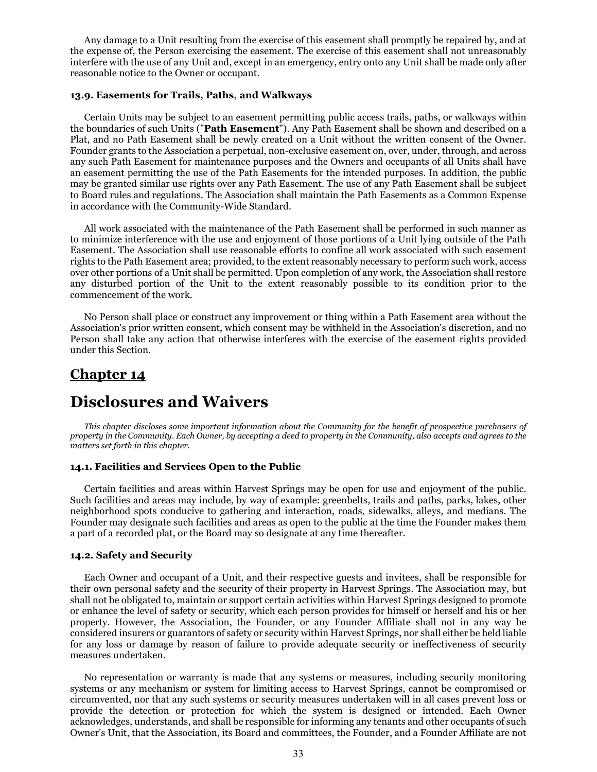Any damage to a Unit resulting from the exercise of this easement shall promptly be repaired by, and at the expense of, the Person exercising the easement. The exercise of this easement shall not unreasonably interfere with the use of any Unit and, except in an emergency, entry onto any Unit shall be made only after reasonable notice to the Owner or occupant.

### **13.9. Easements for Trails, Paths, and Walkways**

Certain Units may be subject to an easement permitting public access trails, paths, or walkways within the boundaries of such Units ("**Path Easement**"). Any Path Easement shall be shown and described on a Plat, and no Path Easement shall be newly created on a Unit without the written consent of the Owner. Founder grants to the Association a perpetual, non-exclusive easement on, over, under, through, and across any such Path Easement for maintenance purposes and the Owners and occupants of all Units shall have an easement permitting the use of the Path Easements for the intended purposes. In addition, the public may be granted similar use rights over any Path Easement. The use of any Path Easement shall be subject to Board rules and regulations. The Association shall maintain the Path Easements as a Common Expense in accordance with the Community-Wide Standard.

All work associated with the maintenance of the Path Easement shall be performed in such manner as to minimize interference with the use and enjoyment of those portions of a Unit lying outside of the Path Easement. The Association shall use reasonable efforts to confine all work associated with such easement rights to the Path Easement area; provided, to the extent reasonably necessary to perform such work, access over other portions of a Unit shall be permitted. Upon completion of any work, the Association shall restore any disturbed portion of the Unit to the extent reasonably possible to its condition prior to the commencement of the work.

No Person shall place or construct any improvement or thing within a Path Easement area without the Association's prior written consent, which consent may be withheld in the Association's discretion, and no Person shall take any action that otherwise interferes with the exercise of the easement rights provided under this Section.

### **Chapter 14**

## **Disclosures and Waivers**

*This chapter discloses some important information about the Community for the benefit of prospective purchasers of property in the Community. Each Owner, by accepting a deed to property in the Community, also accepts and agrees to the matters set forth in this chapter.*

### **14.1. Facilities and Services Open to the Public**

Certain facilities and areas within Harvest Springs may be open for use and enjoyment of the public. Such facilities and areas may include, by way of example: greenbelts, trails and paths, parks, lakes, other neighborhood spots conducive to gathering and interaction, roads, sidewalks, alleys, and medians. The Founder may designate such facilities and areas as open to the public at the time the Founder makes them a part of a recorded plat, or the Board may so designate at any time thereafter.

#### **14.2. Safety and Security**

Each Owner and occupant of a Unit, and their respective guests and invitees, shall be responsible for their own personal safety and the security of their property in Harvest Springs. The Association may, but shall not be obligated to, maintain or support certain activities within Harvest Springs designed to promote or enhance the level of safety or security, which each person provides for himself or herself and his or her property. However, the Association, the Founder, or any Founder Affiliate shall not in any way be considered insurers or guarantors of safety or security within Harvest Springs, nor shall either be held liable for any loss or damage by reason of failure to provide adequate security or ineffectiveness of security measures undertaken.

No representation or warranty is made that any systems or measures, including security monitoring systems or any mechanism or system for limiting access to Harvest Springs, cannot be compromised or circumvented, nor that any such systems or security measures undertaken will in all cases prevent loss or provide the detection or protection for which the system is designed or intended. Each Owner acknowledges, understands, and shall be responsible for informing any tenants and other occupants of such Owner's Unit, that the Association, its Board and committees, the Founder, and a Founder Affiliate are not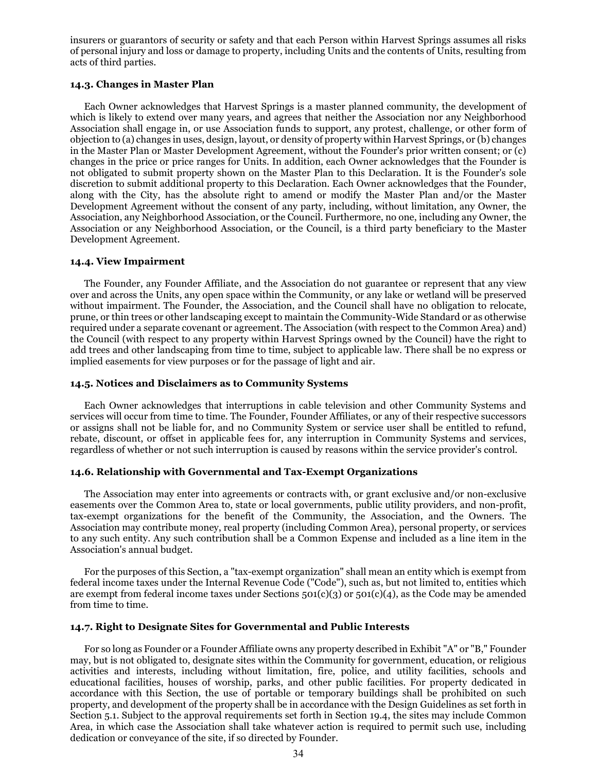insurers or guarantors of security or safety and that each Person within Harvest Springs assumes all risks of personal injury and loss or damage to property, including Units and the contents of Units, resulting from acts of third parties.

### **14.3. Changes in Master Plan**

Each Owner acknowledges that Harvest Springs is a master planned community, the development of which is likely to extend over many years, and agrees that neither the Association nor any Neighborhood Association shall engage in, or use Association funds to support, any protest, challenge, or other form of objection to (a) changes in uses, design, layout, or density of property within Harvest Springs, or (b) changes in the Master Plan or Master Development Agreement, without the Founder's prior written consent; or (c) changes in the price or price ranges for Units. In addition, each Owner acknowledges that the Founder is not obligated to submit property shown on the Master Plan to this Declaration. It is the Founder's sole discretion to submit additional property to this Declaration. Each Owner acknowledges that the Founder, along with the City, has the absolute right to amend or modify the Master Plan and/or the Master Development Agreement without the consent of any party, including, without limitation, any Owner, the Association, any Neighborhood Association, or the Council. Furthermore, no one, including any Owner, the Association or any Neighborhood Association, or the Council, is a third party beneficiary to the Master Development Agreement.

### **14.4. View Impairment**

The Founder, any Founder Affiliate, and the Association do not guarantee or represent that any view over and across the Units, any open space within the Community, or any lake or wetland will be preserved without impairment. The Founder, the Association, and the Council shall have no obligation to relocate, prune, or thin trees or other landscaping except to maintain the Community-Wide Standard or as otherwise required under a separate covenant or agreement. The Association (with respect to the Common Area) and) the Council (with respect to any property within Harvest Springs owned by the Council) have the right to add trees and other landscaping from time to time, subject to applicable law. There shall be no express or implied easements for view purposes or for the passage of light and air.

### **14.5. Notices and Disclaimers as to Community Systems**

Each Owner acknowledges that interruptions in cable television and other Community Systems and services will occur from time to time. The Founder, Founder Affiliates, or any of their respective successors or assigns shall not be liable for, and no Community System or service user shall be entitled to refund, rebate, discount, or offset in applicable fees for, any interruption in Community Systems and services, regardless of whether or not such interruption is caused by reasons within the service provider's control.

### **14.6. Relationship with Governmental and Tax-Exempt Organizations**

The Association may enter into agreements or contracts with, or grant exclusive and/or non-exclusive easements over the Common Area to, state or local governments, public utility providers, and non-profit, tax-exempt organizations for the benefit of the Community, the Association, and the Owners. The Association may contribute money, real property (including Common Area), personal property, or services to any such entity. Any such contribution shall be a Common Expense and included as a line item in the Association's annual budget.

For the purposes of this Section, a "tax-exempt organization" shall mean an entity which is exempt from federal income taxes under the Internal Revenue Code ("Code"), such as, but not limited to, entities which are exempt from federal income taxes under Sections  $501(c)(3)$  or  $501(c)(4)$ , as the Code may be amended from time to time.

### **14.7. Right to Designate Sites for Governmental and Public Interests**

For so long as Founder or a Founder Affiliate owns any property described in Exhibit "A" or "B," Founder may, but is not obligated to, designate sites within the Community for government, education, or religious activities and interests, including without limitation, fire, police, and utility facilities, schools and educational facilities, houses of worship, parks, and other public facilities. For property dedicated in accordance with this Section, the use of portable or temporary buildings shall be prohibited on such property, and development of the property shall be in accordance with the Design Guidelines as set forth in Section 5.1. Subject to the approval requirements set forth in Section 19.4, the sites may include Common Area, in which case the Association shall take whatever action is required to permit such use, including dedication or conveyance of the site, if so directed by Founder.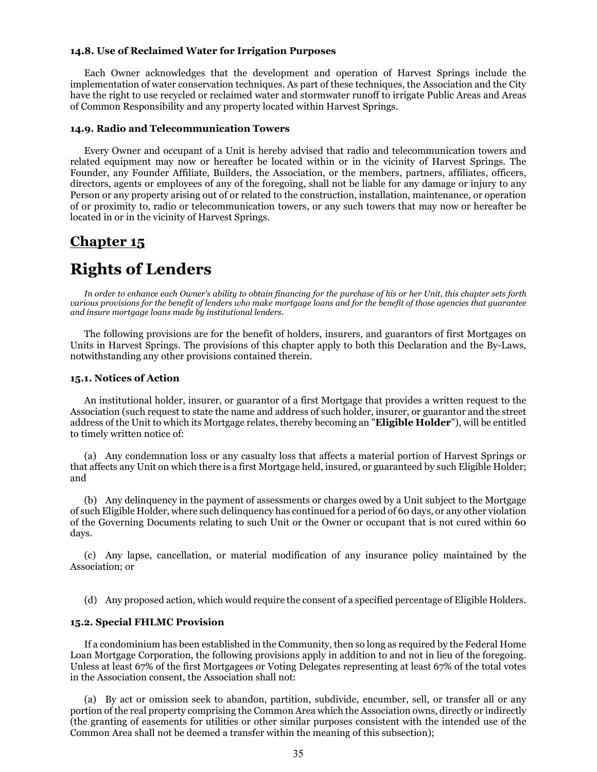#### **14.8. Use of Reclaimed Water for Irrigation Purposes**

Each Owner acknowledges that the development and operation of Harvest Springs include the implementation of water conservation techniques. As part of these techniques, the Association and the City have the right to use recycled or reclaimed water and stormwater runoff to irrigate Public Areas and Areas of Common Responsibility and any property located within Harvest Springs.

### **14.9. Radio and Telecommunication Towers**

Every Owner and occupant of a Unit is hereby advised that radio and telecommunication towers and related equipment may now or hereafter be located within or in the vicinity of Harvest Springs. The Founder, any Founder Affiliate, Builders, the Association, or the members, partners, affiliates, officers, directors, agents or employees of any of the foregoing, shall not be liable for any damage or injury to any Person or any property arising out of or related to the construction, installation, maintenance, or operation of or proximity to, radio or telecommunication towers, or any such towers that may now or hereafter be located in or in the vicinity of Harvest Springs.

### **Chapter 15**

# **Rights of Lenders**

*In order to enhance each Owner's ability to obtain financing for the purchase of his or her Unit, this chapter sets forth various provisions for the benefit of lenders who make mortgage loans and for the benefit of those agencies that guarantee and insure mortgage loans made by institutional lenders.*

The following provisions are for the benefit of holders, insurers, and guarantors of first Mortgages on Units in Harvest Springs. The provisions of this chapter apply to both this Declaration and the By-Laws, notwithstanding any other provisions contained therein.

#### **15.1. Notices of Action**

An institutional holder, insurer, or guarantor of a first Mortgage that provides a written request to the Association (such request to state the name and address of such holder, insurer, or guarantor and the street address of the Unit to which its Mortgage relates, thereby becoming an "**Eligible Holder**"), will be entitled to timely written notice of:

(a) Any condemnation loss or any casualty loss that affects a material portion of Harvest Springs or that affects any Unit on which there is a first Mortgage held, insured, or guaranteed by such Eligible Holder; and

(b) Any delinquency in the payment of assessments or charges owed by a Unit subject to the Mortgage of such Eligible Holder, where such delinquency has continued for a period of 60 days, or any other violation of the Governing Documents relating to such Unit or the Owner or occupant that is not cured within 60 days.

(c) Any lapse, cancellation, or material modification of any insurance policy maintained by the Association; or

(d) Any proposed action, which would require the consent of a specified percentage of Eligible Holders.

#### **15.2. Special FHLMC Provision**

If a condominium has been established in the Community, then so long as required by the Federal Home Loan Mortgage Corporation, the following provisions apply in addition to and not in lieu of the foregoing. Unless at least 67% of the first Mortgagees or Voting Delegates representing at least 67% of the total votes in the Association consent, the Association shall not:

(a) By act or omission seek to abandon, partition, subdivide, encumber, sell, or transfer all or any portion of the real property comprising the Common Area which the Association owns, directly or indirectly (the granting of easements for utilities or other similar purposes consistent with the intended use of the Common Area shall not be deemed a transfer within the meaning of this subsection);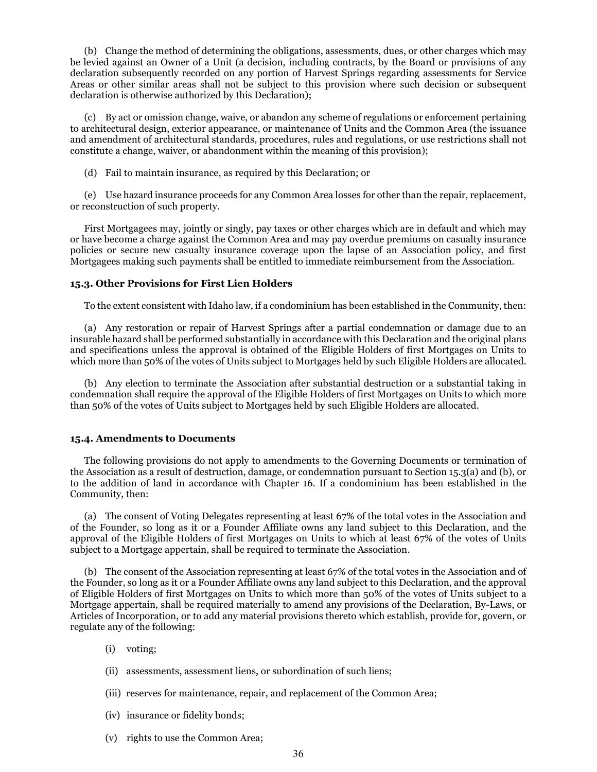(b) Change the method of determining the obligations, assessments, dues, or other charges which may be levied against an Owner of a Unit (a decision, including contracts, by the Board or provisions of any declaration subsequently recorded on any portion of Harvest Springs regarding assessments for Service Areas or other similar areas shall not be subject to this provision where such decision or subsequent declaration is otherwise authorized by this Declaration);

(c) By act or omission change, waive, or abandon any scheme of regulations or enforcement pertaining to architectural design, exterior appearance, or maintenance of Units and the Common Area (the issuance and amendment of architectural standards, procedures, rules and regulations, or use restrictions shall not constitute a change, waiver, or abandonment within the meaning of this provision);

(d) Fail to maintain insurance, as required by this Declaration; or

(e) Use hazard insurance proceeds for any Common Area losses for other than the repair, replacement, or reconstruction of such property.

First Mortgagees may, jointly or singly, pay taxes or other charges which are in default and which may or have become a charge against the Common Area and may pay overdue premiums on casualty insurance policies or secure new casualty insurance coverage upon the lapse of an Association policy, and first Mortgagees making such payments shall be entitled to immediate reimbursement from the Association.

### **15.3. Other Provisions for First Lien Holders**

To the extent consistent with Idaho law, if a condominium has been established in the Community, then:

(a) Any restoration or repair of Harvest Springs after a partial condemnation or damage due to an insurable hazard shall be performed substantially in accordance with this Declaration and the original plans and specifications unless the approval is obtained of the Eligible Holders of first Mortgages on Units to which more than 50% of the votes of Units subject to Mortgages held by such Eligible Holders are allocated.

(b) Any election to terminate the Association after substantial destruction or a substantial taking in condemnation shall require the approval of the Eligible Holders of first Mortgages on Units to which more than 50% of the votes of Units subject to Mortgages held by such Eligible Holders are allocated.

### **15.4. Amendments to Documents**

The following provisions do not apply to amendments to the Governing Documents or termination of the Association as a result of destruction, damage, or condemnation pursuant to Section 15.3(a) and (b), or to the addition of land in accordance with Chapter 16. If a condominium has been established in the Community, then:

(a) The consent of Voting Delegates representing at least 67% of the total votes in the Association and of the Founder, so long as it or a Founder Affiliate owns any land subject to this Declaration, and the approval of the Eligible Holders of first Mortgages on Units to which at least 67% of the votes of Units subject to a Mortgage appertain, shall be required to terminate the Association.

(b) The consent of the Association representing at least 67% of the total votes in the Association and of the Founder, so long as it or a Founder Affiliate owns any land subject to this Declaration, and the approval of Eligible Holders of first Mortgages on Units to which more than 50% of the votes of Units subject to a Mortgage appertain, shall be required materially to amend any provisions of the Declaration, By-Laws, or Articles of Incorporation, or to add any material provisions thereto which establish, provide for, govern, or regulate any of the following:

- (i) voting;
- (ii) assessments, assessment liens, or subordination of such liens;
- (iii) reserves for maintenance, repair, and replacement of the Common Area;
- (iv) insurance or fidelity bonds;
- (v) rights to use the Common Area;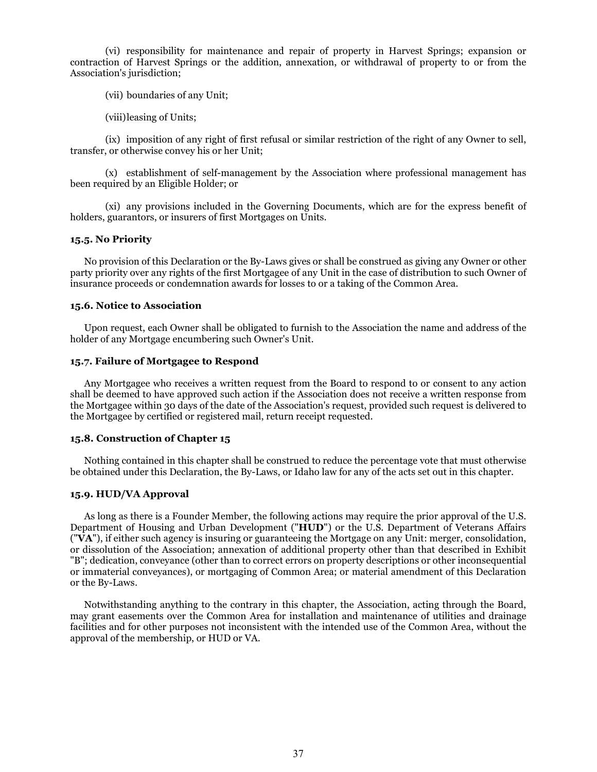(vi) responsibility for maintenance and repair of property in Harvest Springs; expansion or contraction of Harvest Springs or the addition, annexation, or withdrawal of property to or from the Association's jurisdiction;

(vii) boundaries of any Unit;

(viii)leasing of Units;

(ix) imposition of any right of first refusal or similar restriction of the right of any Owner to sell, transfer, or otherwise convey his or her Unit;

(x) establishment of self-management by the Association where professional management has been required by an Eligible Holder; or

(xi) any provisions included in the Governing Documents, which are for the express benefit of holders, guarantors, or insurers of first Mortgages on Units.

### **15.5. No Priority**

No provision of this Declaration or the By-Laws gives or shall be construed as giving any Owner or other party priority over any rights of the first Mortgagee of any Unit in the case of distribution to such Owner of insurance proceeds or condemnation awards for losses to or a taking of the Common Area.

### **15.6. Notice to Association**

Upon request, each Owner shall be obligated to furnish to the Association the name and address of the holder of any Mortgage encumbering such Owner's Unit.

### **15.7. Failure of Mortgagee to Respond**

Any Mortgagee who receives a written request from the Board to respond to or consent to any action shall be deemed to have approved such action if the Association does not receive a written response from the Mortgagee within 30 days of the date of the Association's request, provided such request is delivered to the Mortgagee by certified or registered mail, return receipt requested.

### **15.8. Construction of Chapter 15**

Nothing contained in this chapter shall be construed to reduce the percentage vote that must otherwise be obtained under this Declaration, the By-Laws, or Idaho law for any of the acts set out in this chapter.

### **15.9. HUD/VA Approval**

As long as there is a Founder Member, the following actions may require the prior approval of the U.S. Department of Housing and Urban Development ("**HUD**") or the U.S. Department of Veterans Affairs ("**VA**"), if either such agency is insuring or guaranteeing the Mortgage on any Unit: merger, consolidation, or dissolution of the Association; annexation of additional property other than that described in Exhibit "B"; dedication, conveyance (other than to correct errors on property descriptions or other inconsequential or immaterial conveyances), or mortgaging of Common Area; or material amendment of this Declaration or the By-Laws.

Notwithstanding anything to the contrary in this chapter, the Association, acting through the Board, may grant easements over the Common Area for installation and maintenance of utilities and drainage facilities and for other purposes not inconsistent with the intended use of the Common Area, without the approval of the membership, or HUD or VA.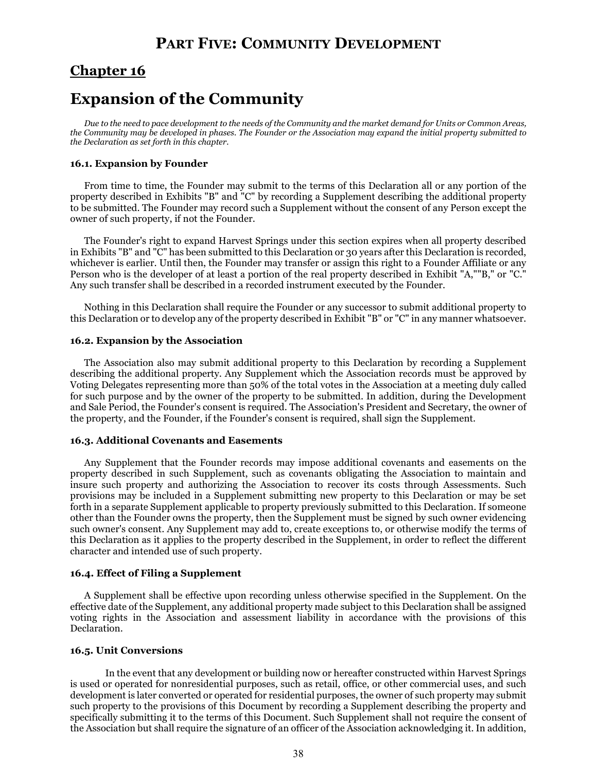# **PART FIVE: COMMUNITY DEVELOPMENT**

### **Chapter 16**

## **Expansion of the Community**

*Due to the need to pace development to the needs of the Community and the market demand for Units or Common Areas, the Community may be developed in phases. The Founder or the Association may expand the initial property submitted to the Declaration as set forth in this chapter.*

### **16.1. Expansion by Founder**

From time to time, the Founder may submit to the terms of this Declaration all or any portion of the property described in Exhibits "B" and "C" by recording a Supplement describing the additional property to be submitted. The Founder may record such a Supplement without the consent of any Person except the owner of such property, if not the Founder.

The Founder's right to expand Harvest Springs under this section expires when all property described in Exhibits "B" and "C" has been submitted to this Declaration or 30 years after this Declaration is recorded, whichever is earlier. Until then, the Founder may transfer or assign this right to a Founder Affiliate or any Person who is the developer of at least a portion of the real property described in Exhibit "A,""B," or "C." Any such transfer shall be described in a recorded instrument executed by the Founder.

Nothing in this Declaration shall require the Founder or any successor to submit additional property to this Declaration or to develop any of the property described in Exhibit "B" or "C" in any manner whatsoever.

### **16.2. Expansion by the Association**

The Association also may submit additional property to this Declaration by recording a Supplement describing the additional property. Any Supplement which the Association records must be approved by Voting Delegates representing more than 50% of the total votes in the Association at a meeting duly called for such purpose and by the owner of the property to be submitted. In addition, during the Development and Sale Period, the Founder's consent is required. The Association's President and Secretary, the owner of the property, and the Founder, if the Founder's consent is required, shall sign the Supplement.

### **16.3. Additional Covenants and Easements**

Any Supplement that the Founder records may impose additional covenants and easements on the property described in such Supplement, such as covenants obligating the Association to maintain and insure such property and authorizing the Association to recover its costs through Assessments. Such provisions may be included in a Supplement submitting new property to this Declaration or may be set forth in a separate Supplement applicable to property previously submitted to this Declaration. If someone other than the Founder owns the property, then the Supplement must be signed by such owner evidencing such owner's consent. Any Supplement may add to, create exceptions to, or otherwise modify the terms of this Declaration as it applies to the property described in the Supplement, in order to reflect the different character and intended use of such property.

### **16.4. Effect of Filing a Supplement**

A Supplement shall be effective upon recording unless otherwise specified in the Supplement. On the effective date of the Supplement, any additional property made subject to this Declaration shall be assigned voting rights in the Association and assessment liability in accordance with the provisions of this Declaration.

### **16.5. Unit Conversions**

In the event that any development or building now or hereafter constructed within Harvest Springs is used or operated for nonresidential purposes, such as retail, office, or other commercial uses, and such development is later converted or operated for residential purposes, the owner of such property may submit such property to the provisions of this Document by recording a Supplement describing the property and specifically submitting it to the terms of this Document. Such Supplement shall not require the consent of the Association but shall require the signature of an officer of the Association acknowledging it. In addition,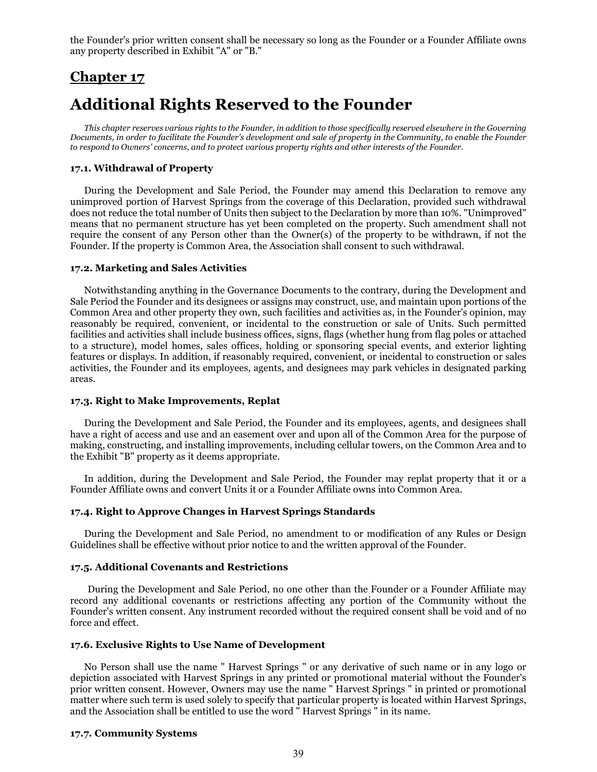the Founder's prior written consent shall be necessary so long as the Founder or a Founder Affiliate owns any property described in Exhibit "A" or "B."

### **Chapter 17**

# **Additional Rights Reserved to the Founder**

*This chapter reserves various rights to the Founder, in addition to those specifically reserved elsewhere in the Governing Documents, in order to facilitate the Founder's development and sale of property in the Community, to enable the Founder to respond to Owners' concerns, and to protect various property rights and other interests of the Founder.*

### **17.1. Withdrawal of Property**

During the Development and Sale Period, the Founder may amend this Declaration to remove any unimproved portion of Harvest Springs from the coverage of this Declaration, provided such withdrawal does not reduce the total number of Units then subject to the Declaration by more than 10%. "Unimproved" means that no permanent structure has yet been completed on the property. Such amendment shall not require the consent of any Person other than the Owner(s) of the property to be withdrawn, if not the Founder. If the property is Common Area, the Association shall consent to such withdrawal.

### **17.2. Marketing and Sales Activities**

Notwithstanding anything in the Governance Documents to the contrary, during the Development and Sale Period the Founder and its designees or assigns may construct, use, and maintain upon portions of the Common Area and other property they own, such facilities and activities as, in the Founder's opinion, may reasonably be required, convenient, or incidental to the construction or sale of Units. Such permitted facilities and activities shall include business offices, signs, flags (whether hung from flag poles or attached to a structure), model homes, sales offices, holding or sponsoring special events, and exterior lighting features or displays. In addition, if reasonably required, convenient, or incidental to construction or sales activities, the Founder and its employees, agents, and designees may park vehicles in designated parking areas.

### **17.3. Right to Make Improvements, Replat**

During the Development and Sale Period, the Founder and its employees, agents, and designees shall have a right of access and use and an easement over and upon all of the Common Area for the purpose of making, constructing, and installing improvements, including cellular towers, on the Common Area and to the Exhibit "B" property as it deems appropriate.

In addition, during the Development and Sale Period, the Founder may replat property that it or a Founder Affiliate owns and convert Units it or a Founder Affiliate owns into Common Area.

### **17.4. Right to Approve Changes in Harvest Springs Standards**

During the Development and Sale Period, no amendment to or modification of any Rules or Design Guidelines shall be effective without prior notice to and the written approval of the Founder.

#### **17.5. Additional Covenants and Restrictions**

During the Development and Sale Period, no one other than the Founder or a Founder Affiliate may record any additional covenants or restrictions affecting any portion of the Community without the Founder's written consent. Any instrument recorded without the required consent shall be void and of no force and effect.

### **17.6. Exclusive Rights to Use Name of Development**

No Person shall use the name " Harvest Springs " or any derivative of such name or in any logo or depiction associated with Harvest Springs in any printed or promotional material without the Founder's prior written consent. However, Owners may use the name " Harvest Springs " in printed or promotional matter where such term is used solely to specify that particular property is located within Harvest Springs, and the Association shall be entitled to use the word " Harvest Springs " in its name.

### **17.7. Community Systems**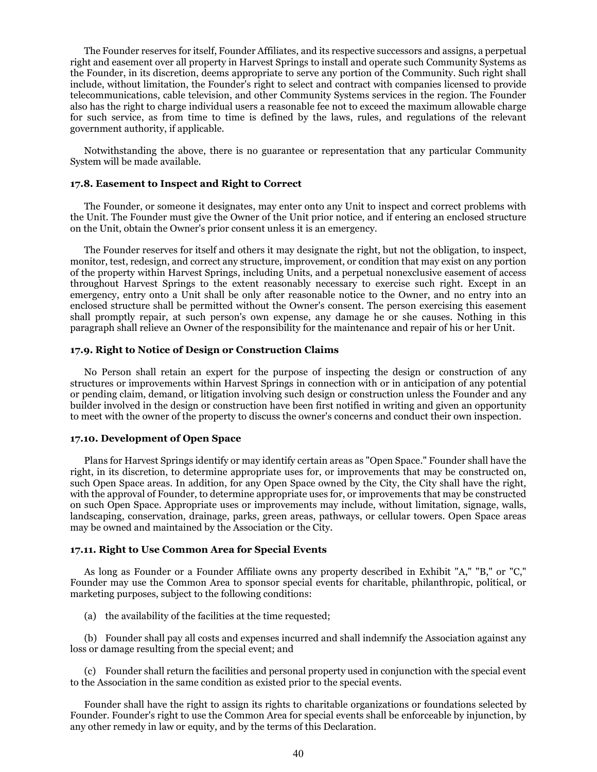The Founder reserves for itself, Founder Affiliates, and its respective successors and assigns, a perpetual right and easement over all property in Harvest Springs to install and operate such Community Systems as the Founder, in its discretion, deems appropriate to serve any portion of the Community. Such right shall include, without limitation, the Founder's right to select and contract with companies licensed to provide telecommunications, cable television, and other Community Systems services in the region. The Founder also has the right to charge individual users a reasonable fee not to exceed the maximum allowable charge for such service, as from time to time is defined by the laws, rules, and regulations of the relevant government authority, if applicable.

Notwithstanding the above, there is no guarantee or representation that any particular Community System will be made available.

### **17.8. Easement to Inspect and Right to Correct**

The Founder, or someone it designates, may enter onto any Unit to inspect and correct problems with the Unit. The Founder must give the Owner of the Unit prior notice, and if entering an enclosed structure on the Unit, obtain the Owner's prior consent unless it is an emergency.

The Founder reserves for itself and others it may designate the right, but not the obligation, to inspect, monitor, test, redesign, and correct any structure, improvement, or condition that may exist on any portion of the property within Harvest Springs, including Units, and a perpetual nonexclusive easement of access throughout Harvest Springs to the extent reasonably necessary to exercise such right. Except in an emergency, entry onto a Unit shall be only after reasonable notice to the Owner, and no entry into an enclosed structure shall be permitted without the Owner's consent. The person exercising this easement shall promptly repair, at such person's own expense, any damage he or she causes. Nothing in this paragraph shall relieve an Owner of the responsibility for the maintenance and repair of his or her Unit.

### **17.9. Right to Notice of Design or Construction Claims**

No Person shall retain an expert for the purpose of inspecting the design or construction of any structures or improvements within Harvest Springs in connection with or in anticipation of any potential or pending claim, demand, or litigation involving such design or construction unless the Founder and any builder involved in the design or construction have been first notified in writing and given an opportunity to meet with the owner of the property to discuss the owner's concerns and conduct their own inspection.

### **17.10. Development of Open Space**

Plans for Harvest Springs identify or may identify certain areas as "Open Space." Founder shall have the right, in its discretion, to determine appropriate uses for, or improvements that may be constructed on, such Open Space areas. In addition, for any Open Space owned by the City, the City shall have the right, with the approval of Founder, to determine appropriate uses for, or improvements that may be constructed on such Open Space. Appropriate uses or improvements may include, without limitation, signage, walls, landscaping, conservation, drainage, parks, green areas, pathways, or cellular towers. Open Space areas may be owned and maintained by the Association or the City.

### **17.11. Right to Use Common Area for Special Events**

As long as Founder or a Founder Affiliate owns any property described in Exhibit "A," "B," or "C," Founder may use the Common Area to sponsor special events for charitable, philanthropic, political, or marketing purposes, subject to the following conditions:

(a) the availability of the facilities at the time requested;

(b) Founder shall pay all costs and expenses incurred and shall indemnify the Association against any loss or damage resulting from the special event; and

(c) Founder shall return the facilities and personal property used in conjunction with the special event to the Association in the same condition as existed prior to the special events.

Founder shall have the right to assign its rights to charitable organizations or foundations selected by Founder. Founder's right to use the Common Area for special events shall be enforceable by injunction, by any other remedy in law or equity, and by the terms of this Declaration.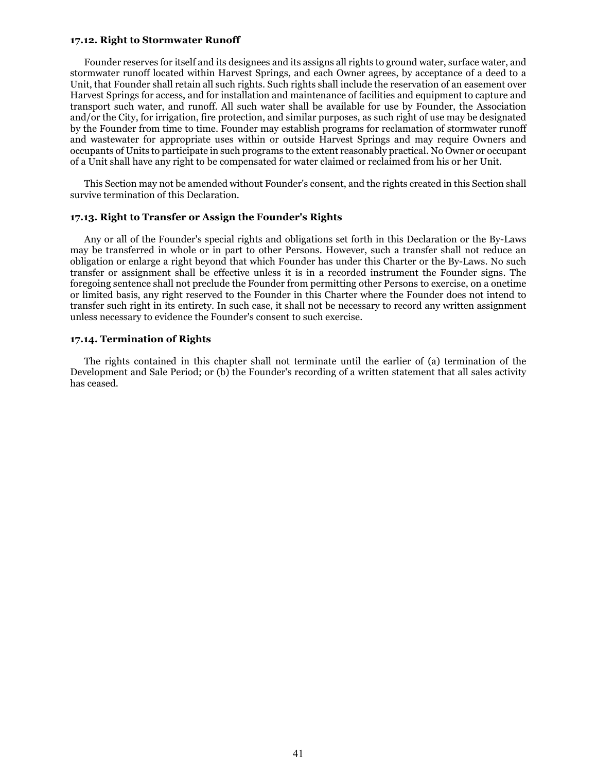#### **17.12. Right to Stormwater Runoff**

Founder reserves for itself and its designees and its assigns all rights to ground water, surface water, and stormwater runoff located within Harvest Springs, and each Owner agrees, by acceptance of a deed to a Unit, that Founder shall retain all such rights. Such rights shall include the reservation of an easement over Harvest Springs for access, and for installation and maintenance of facilities and equipment to capture and transport such water, and runoff. All such water shall be available for use by Founder, the Association and/or the City, for irrigation, fire protection, and similar purposes, as such right of use may be designated by the Founder from time to time. Founder may establish programs for reclamation of stormwater runoff and wastewater for appropriate uses within or outside Harvest Springs and may require Owners and occupants of Units to participate in such programs to the extent reasonably practical. No Owner or occupant of a Unit shall have any right to be compensated for water claimed or reclaimed from his or her Unit.

This Section may not be amended without Founder's consent, and the rights created in this Section shall survive termination of this Declaration.

### **17.13. Right to Transfer or Assign the Founder's Rights**

Any or all of the Founder's special rights and obligations set forth in this Declaration or the By-Laws may be transferred in whole or in part to other Persons. However, such a transfer shall not reduce an obligation or enlarge a right beyond that which Founder has under this Charter or the By-Laws. No such transfer or assignment shall be effective unless it is in a recorded instrument the Founder signs. The foregoing sentence shall not preclude the Founder from permitting other Persons to exercise, on a onetime or limited basis, any right reserved to the Founder in this Charter where the Founder does not intend to transfer such right in its entirety. In such case, it shall not be necessary to record any written assignment unless necessary to evidence the Founder's consent to such exercise.

#### **17.14. Termination of Rights**

The rights contained in this chapter shall not terminate until the earlier of (a) termination of the Development and Sale Period; or (b) the Founder's recording of a written statement that all sales activity has ceased.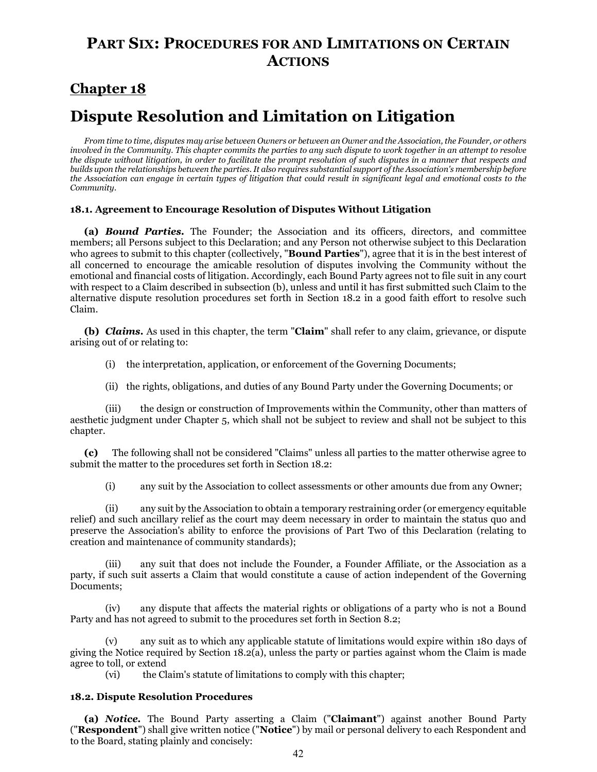## **PART SIX: PROCEDURES FOR AND LIMITATIONS ON CERTAIN ACTIONS**

## **Chapter 18**

# **Dispute Resolution and Limitation on Litigation**

*From time to time, disputes may arise between Owners or between an Owner and the Association, the Founder, or others involved in the Community. This chapter commits the parties to any such dispute to work together in an attempt to resolve the dispute without litigation, in order to facilitate the prompt resolution of such disputes in a manner that respects and builds upon the relationships between the parties. It also requires substantial support of the Association's membership before the Association can engage in certain types of litigation that could result in significant legal and emotional costs to the Community.*

### **18.1. Agreement to Encourage Resolution of Disputes Without Litigation**

**(a)** *Bound Parties.* The Founder; the Association and its officers, directors, and committee members; all Persons subject to this Declaration; and any Person not otherwise subject to this Declaration who agrees to submit to this chapter (collectively, "**Bound Parties**"), agree that it is in the best interest of all concerned to encourage the amicable resolution of disputes involving the Community without the emotional and financial costs of litigation. Accordingly, each Bound Party agrees not to file suit in any court with respect to a Claim described in subsection (b), unless and until it has first submitted such Claim to the alternative dispute resolution procedures set forth in Section 18.2 in a good faith effort to resolve such Claim.

**(b)** *Claims.* As used in this chapter, the term "**Claim**" shall refer to any claim, grievance, or dispute arising out of or relating to:

(i) the interpretation, application, or enforcement of the Governing Documents;

(ii) the rights, obligations, and duties of any Bound Party under the Governing Documents; or

the design or construction of Improvements within the Community, other than matters of aesthetic judgment under Chapter 5, which shall not be subject to review and shall not be subject to this chapter.

**(c)** The following shall not be considered "Claims" unless all parties to the matter otherwise agree to submit the matter to the procedures set forth in Section 18.2:

(i) any suit by the Association to collect assessments or other amounts due from any Owner;

(ii) any suit by the Association to obtain a temporary restraining order (or emergency equitable relief) and such ancillary relief as the court may deem necessary in order to maintain the status quo and preserve the Association's ability to enforce the provisions of Part Two of this Declaration (relating to creation and maintenance of community standards);

(iii) any suit that does not include the Founder, a Founder Affiliate, or the Association as a party, if such suit asserts a Claim that would constitute a cause of action independent of the Governing Documents;

(iv) any dispute that affects the material rights or obligations of a party who is not a Bound Party and has not agreed to submit to the procedures set forth in Section 8.2;

(v) any suit as to which any applicable statute of limitations would expire within 180 days of giving the Notice required by Section 18.2(a), unless the party or parties against whom the Claim is made agree to toll, or extend<br>(vi) the Cla

the Claim's statute of limitations to comply with this chapter;

### **18.2. Dispute Resolution Procedures**

**(a)** *Notice.* The Bound Party asserting a Claim ("**Claimant**") against another Bound Party ("**Respondent**") shall give written notice ("**Notice**") by mail or personal delivery to each Respondent and to the Board, stating plainly and concisely: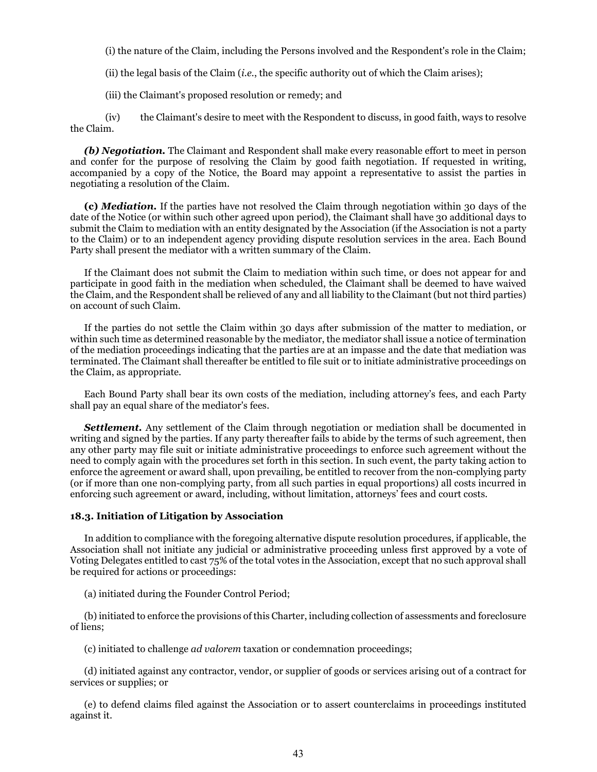(i) the nature of the Claim, including the Persons involved and the Respondent's role in the Claim;

(ii) the legal basis of the Claim (*i.e.*, the specific authority out of which the Claim arises);

(iii) the Claimant's proposed resolution or remedy; and

(iv) the Claimant's desire to meet with the Respondent to discuss, in good faith, ways to resolve the Claim.

**(b) Negotiation.** The Claimant and Respondent shall make every reasonable effort to meet in person and confer for the purpose of resolving the Claim by good faith negotiation. If requested in writing, accompanied by a copy of the Notice, the Board may appoint a representative to assist the parties in negotiating a resolution of the Claim.

**(c)** *Mediation.* If the parties have not resolved the Claim through negotiation within 30 days of the date of the Notice (or within such other agreed upon period), the Claimant shall have 30 additional days to submit the Claim to mediation with an entity designated by the Association (if the Association is not a party to the Claim) or to an independent agency providing dispute resolution services in the area. Each Bound Party shall present the mediator with a written summary of the Claim.

If the Claimant does not submit the Claim to mediation within such time, or does not appear for and participate in good faith in the mediation when scheduled, the Claimant shall be deemed to have waived the Claim, and the Respondent shall be relieved of any and all liability to the Claimant (but not third parties) on account of such Claim.

If the parties do not settle the Claim within 30 days after submission of the matter to mediation, or within such time as determined reasonable by the mediator, the mediator shall issue a notice of termination of the mediation proceedings indicating that the parties are at an impasse and the date that mediation was terminated. The Claimant shall thereafter be entitled to file suit or to initiate administrative proceedings on the Claim, as appropriate.

Each Bound Party shall bear its own costs of the mediation, including attorney's fees, and each Party shall pay an equal share of the mediator's fees.

**Settlement.** Any settlement of the Claim through negotiation or mediation shall be documented in writing and signed by the parties. If any party thereafter fails to abide by the terms of such agreement, then any other party may file suit or initiate administrative proceedings to enforce such agreement without the need to comply again with the procedures set forth in this section. In such event, the party taking action to enforce the agreement or award shall, upon prevailing, be entitled to recover from the non-complying party (or if more than one non-complying party, from all such parties in equal proportions) all costs incurred in enforcing such agreement or award, including, without limitation, attorneys' fees and court costs.

### **18.3. Initiation of Litigation by Association**

In addition to compliance with the foregoing alternative dispute resolution procedures, if applicable, the Association shall not initiate any judicial or administrative proceeding unless first approved by a vote of Voting Delegates entitled to cast 75% of the total votes in the Association, except that no such approval shall be required for actions or proceedings:

(a) initiated during the Founder Control Period;

(b) initiated to enforce the provisions of this Charter, including collection of assessments and foreclosure of liens;

(c) initiated to challenge *ad valorem* taxation or condemnation proceedings;

(d) initiated against any contractor, vendor, or supplier of goods or services arising out of a contract for services or supplies; or

(e) to defend claims filed against the Association or to assert counterclaims in proceedings instituted against it.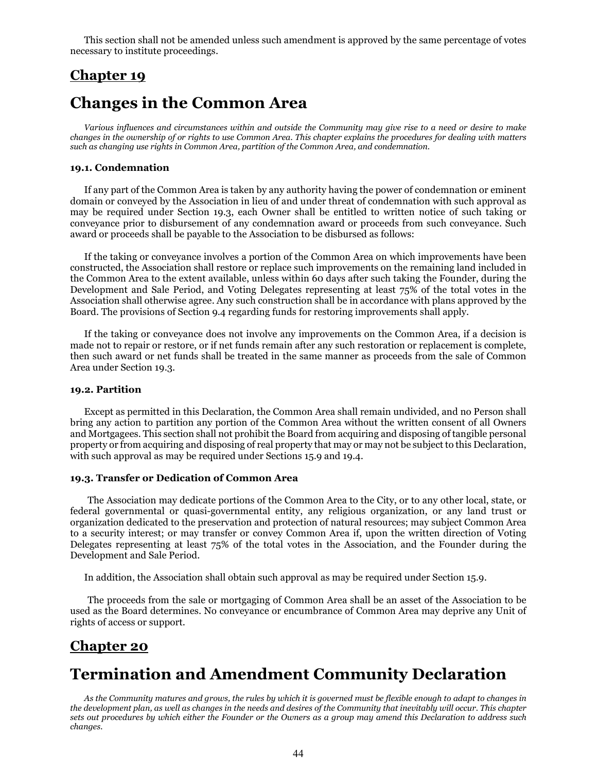This section shall not be amended unless such amendment is approved by the same percentage of votes necessary to institute proceedings.

### **Chapter 19**

## **Changes in the Common Area**

*Various influences and circumstances within and outside the Community may give rise to a need or desire to make changes in the ownership of or rights to use Common Area. This chapter explains the procedures for dealing with matters such as changing use rights in Common Area, partition of the Common Area, and condemnation.*

#### **19.1. Condemnation**

If any part of the Common Area is taken by any authority having the power of condemnation or eminent domain or conveyed by the Association in lieu of and under threat of condemnation with such approval as may be required under Section 19.3, each Owner shall be entitled to written notice of such taking or conveyance prior to disbursement of any condemnation award or proceeds from such conveyance. Such award or proceeds shall be payable to the Association to be disbursed as follows:

If the taking or conveyance involves a portion of the Common Area on which improvements have been constructed, the Association shall restore or replace such improvements on the remaining land included in the Common Area to the extent available, unless within 60 days after such taking the Founder, during the Development and Sale Period, and Voting Delegates representing at least 75% of the total votes in the Association shall otherwise agree. Any such construction shall be in accordance with plans approved by the Board. The provisions of Section 9.4 regarding funds for restoring improvements shall apply.

If the taking or conveyance does not involve any improvements on the Common Area, if a decision is made not to repair or restore, or if net funds remain after any such restoration or replacement is complete, then such award or net funds shall be treated in the same manner as proceeds from the sale of Common Area under Section 19.3.

### **19.2. Partition**

Except as permitted in this Declaration, the Common Area shall remain undivided, and no Person shall bring any action to partition any portion of the Common Area without the written consent of all Owners and Mortgagees. This section shall not prohibit the Board from acquiring and disposing of tangible personal property or from acquiring and disposing of real property that may or may not be subject to this Declaration, with such approval as may be required under Sections 15.9 and 19.4.

#### **19.3. Transfer or Dedication of Common Area**

The Association may dedicate portions of the Common Area to the City, or to any other local, state, or federal governmental or quasi-governmental entity, any religious organization, or any land trust or organization dedicated to the preservation and protection of natural resources; may subject Common Area to a security interest; or may transfer or convey Common Area if, upon the written direction of Voting Delegates representing at least 75% of the total votes in the Association, and the Founder during the Development and Sale Period.

In addition, the Association shall obtain such approval as may be required under Section 15.9.

The proceeds from the sale or mortgaging of Common Area shall be an asset of the Association to be used as the Board determines. No conveyance or encumbrance of Common Area may deprive any Unit of rights of access or support.

### **Chapter 20**

# **Termination and Amendment Community Declaration**

*As the Community matures and grows, the rules by which it is governed must be flexible enough to adapt to changes in the development plan, as well as changes in the needs and desires of the Community that inevitably will occur. This chapter sets out procedures by which either the Founder or the Owners as a group may amend this Declaration to address such changes.*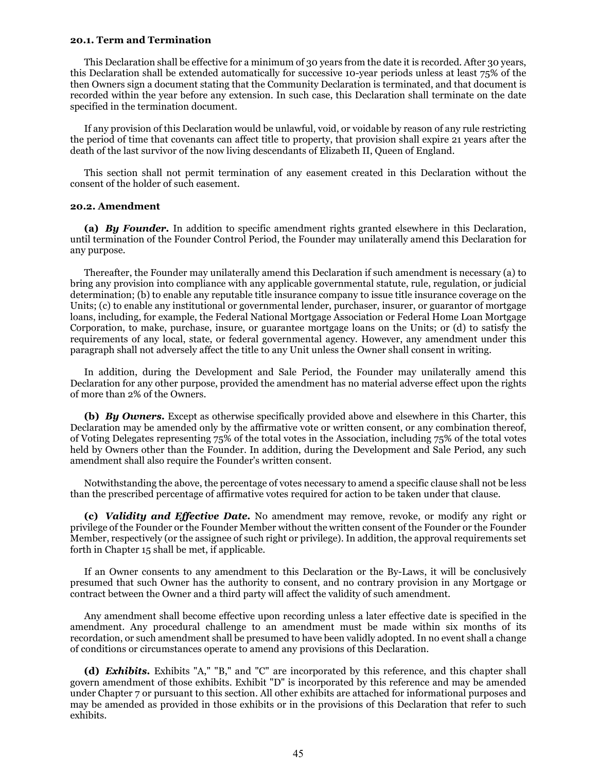### **20.1. Term and Termination**

This Declaration shall be effective for a minimum of 30 years from the date it is recorded. After 30 years, this Declaration shall be extended automatically for successive 10-year periods unless at least 75% of the then Owners sign a document stating that the Community Declaration is terminated, and that document is recorded within the year before any extension. In such case, this Declaration shall terminate on the date specified in the termination document.

If any provision of this Declaration would be unlawful, void, or voidable by reason of any rule restricting the period of time that covenants can affect title to property, that provision shall expire 21 years after the death of the last survivor of the now living descendants of Elizabeth II, Queen of England.

This section shall not permit termination of any easement created in this Declaration without the consent of the holder of such easement.

### **20.2. Amendment**

**(a)** *By Founder.* In addition to specific amendment rights granted elsewhere in this Declaration, until termination of the Founder Control Period, the Founder may unilaterally amend this Declaration for any purpose.

Thereafter, the Founder may unilaterally amend this Declaration if such amendment is necessary (a) to bring any provision into compliance with any applicable governmental statute, rule, regulation, or judicial determination; (b) to enable any reputable title insurance company to issue title insurance coverage on the Units; (c) to enable any institutional or governmental lender, purchaser, insurer, or guarantor of mortgage loans, including, for example, the Federal National Mortgage Association or Federal Home Loan Mortgage Corporation, to make, purchase, insure, or guarantee mortgage loans on the Units; or (d) to satisfy the requirements of any local, state, or federal governmental agency. However, any amendment under this paragraph shall not adversely affect the title to any Unit unless the Owner shall consent in writing.

In addition, during the Development and Sale Period, the Founder may unilaterally amend this Declaration for any other purpose, provided the amendment has no material adverse effect upon the rights of more than 2% of the Owners.

**(b)** *By Owners.* Except as otherwise specifically provided above and elsewhere in this Charter, this Declaration may be amended only by the affirmative vote or written consent, or any combination thereof, of Voting Delegates representing 75% of the total votes in the Association, including 75% of the total votes held by Owners other than the Founder. In addition, during the Development and Sale Period, any such amendment shall also require the Founder's written consent.

Notwithstanding the above, the percentage of votes necessary to amend a specific clause shall not be less than the prescribed percentage of affirmative votes required for action to be taken under that clause.

**(c)** *Validity and Effective Date.* No amendment may remove, revoke, or modify any right or privilege of the Founder or the Founder Member without the written consent of the Founder or the Founder Member, respectively (or the assignee of such right or privilege). In addition, the approval requirements set forth in Chapter 15 shall be met, if applicable.

If an Owner consents to any amendment to this Declaration or the By-Laws, it will be conclusively presumed that such Owner has the authority to consent, and no contrary provision in any Mortgage or contract between the Owner and a third party will affect the validity of such amendment.

Any amendment shall become effective upon recording unless a later effective date is specified in the amendment. Any procedural challenge to an amendment must be made within six months of its recordation, or such amendment shall be presumed to have been validly adopted. In no event shall a change of conditions or circumstances operate to amend any provisions of this Declaration.

**(d)** *Exhibits.* Exhibits "A," "B," and "C" are incorporated by this reference, and this chapter shall govern amendment of those exhibits. Exhibit "D" is incorporated by this reference and may be amended under Chapter 7 or pursuant to this section. All other exhibits are attached for informational purposes and may be amended as provided in those exhibits or in the provisions of this Declaration that refer to such exhibits.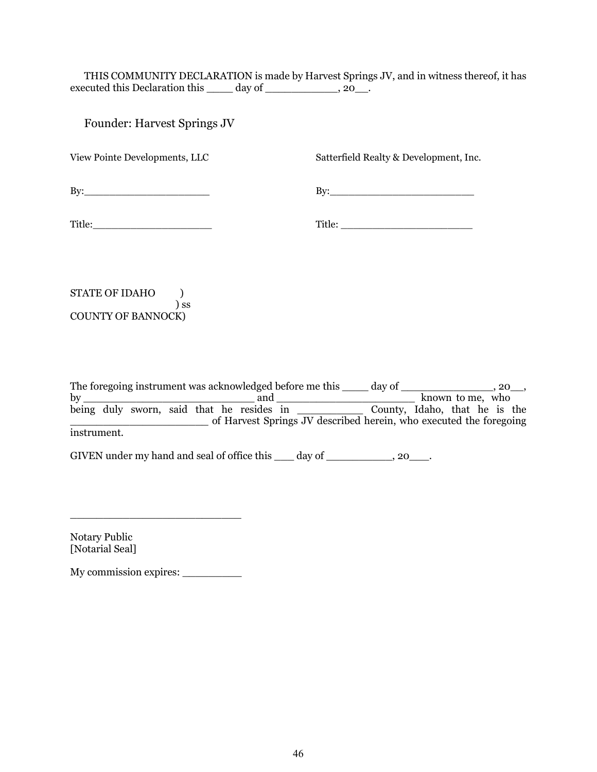THIS COMMUNITY DECLARATION is made by Harvest Springs JV, and in witness thereof, it has executed this Declaration this \_\_\_\_\_ day of \_\_\_\_\_\_\_\_\_\_\_, 20\_\_.

Founder: Harvest Springs JV

View Pointe Developments, LLC

Satterfield Realty & Development, Inc.

By:\_\_\_\_\_\_\_\_\_\_\_\_\_\_\_\_\_\_\_\_

By:\_\_\_\_\_\_\_\_\_\_\_\_\_\_\_\_\_\_\_\_\_\_\_

Title:

Title: \_\_\_\_\_\_\_\_\_\_\_\_\_\_\_\_\_\_\_\_\_

STATE OF IDAHO ) ) ss COUNTY OF BANNOCK)

The foregoing instrument was acknowledged before me this \_\_\_\_\_\_ day of \_\_\_\_\_\_\_\_\_\_\_\_\_\_\_\_, 20\_\_, by \_\_\_\_\_\_\_\_\_\_\_\_\_\_\_\_\_\_\_\_\_\_\_\_\_\_ and \_\_\_\_\_\_\_\_\_\_\_\_\_\_\_\_\_\_\_\_\_ known to me, who being duly sworn, said that he resides in \_\_\_\_\_\_\_\_\_\_ County, Idaho, that he is the \_\_\_\_\_\_\_\_\_\_\_\_\_\_\_\_\_\_\_\_\_ of Harvest Springs JV described herein, who executed the foregoing instrument.

GIVEN under my hand and seal of office this day of state and seal of office this day of the state of  $(20 \ldots, 20 \ldots, 20 \ldots)$ 

Notary Public [Notarial Seal]

My commission expires: \_\_\_\_\_\_\_\_\_

\_\_\_\_\_\_\_\_\_\_\_\_\_\_\_\_\_\_\_\_\_\_\_\_\_\_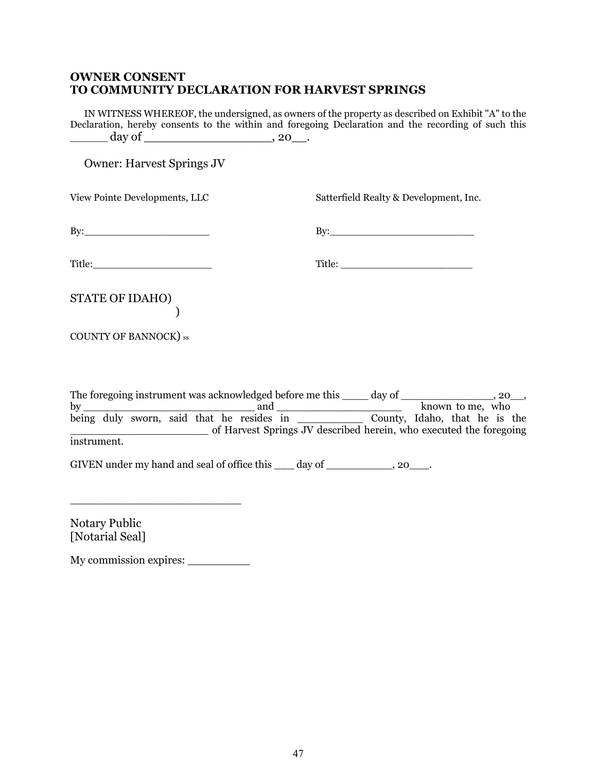### **OWNER CONSENT TO COMMUNITY DECLARATION FOR HARVEST SPRINGS**

IN WITNESS WHEREOF, the undersigned, as owners of the property as described on Exhibit "A" to the Declaration, hereby consents to the within and foregoing Declaration and the recording of such this  $\frac{1}{20}$  day of  $\frac{1}{20}$  and  $\frac{1}{20}$  and  $\frac{1}{20}$  and  $\frac{1}{20}$  and  $\frac{1}{20}$  and  $\frac{1}{20}$  and  $\frac{1}{20}$  and  $\frac{1}{20}$  and  $\frac{1}{20}$  and  $\frac{1}{20}$  and  $\frac{1}{20}$  and  $\frac{1}{20}$  and  $\frac{1}{20}$  and  $\frac{1}{20$ 

Owner: Harvest Springs JV

View Pointe Developments, LLC

Satterfield Realty & Development, Inc.

 $\mathbf{B} \mathbf{y}$ :

 $\mathbf{B} \mathbf{y}$ :

Title:

| <b>STATE OF IDAHO)</b> |  |
|------------------------|--|
|                        |  |

COUNTY OF BANNOCK) ss

The foregoing instrument was acknowledged before me this  $\frac{1}{\sqrt{2\pi}}$  day of  $\frac{1}{\sqrt{2\pi}}$ , 20\_, and by \_\_\_\_\_\_\_\_\_\_\_\_\_\_\_\_\_\_\_\_\_\_\_\_\_\_ and \_\_\_\_\_\_\_\_\_\_\_\_\_\_\_\_\_\_\_ known to me, who being duly sworn, said that he resides in \_\_\_\_\_\_\_\_\_\_ County, Idaho, that he is the \_\_\_\_\_\_\_\_\_\_\_\_\_\_\_\_\_\_\_\_\_ of Harvest Springs JV described herein, who executed the foregoing instrument.

GIVEN under my hand and seal of office this day of the contract of  $(20 - 1)$ .

Notary Public [Notarial Seal]

My commission expires: \_\_\_\_\_\_\_\_\_

\_\_\_\_\_\_\_\_\_\_\_\_\_\_\_\_\_\_\_\_\_\_\_\_\_\_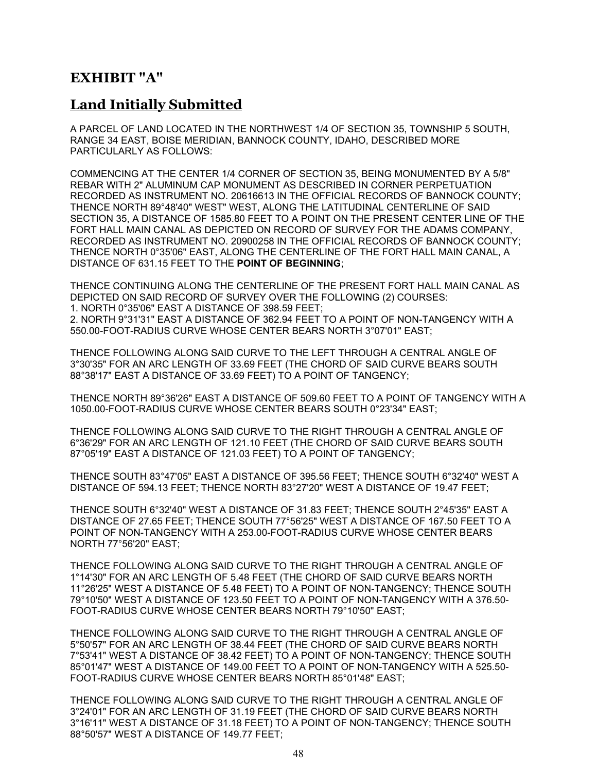## **EXHIBIT "A"**

## **Land Initially Submitted**

A PARCEL OF LAND LOCATED IN THE NORTHWEST 1/4 OF SECTION 35, TOWNSHIP 5 SOUTH, RANGE 34 EAST, BOISE MERIDIAN, BANNOCK COUNTY, IDAHO, DESCRIBED MORE PARTICULARLY AS FOLLOWS:

COMMENCING AT THE CENTER 1/4 CORNER OF SECTION 35, BEING MONUMENTED BY A 5/8" REBAR WITH 2" ALUMINUM CAP MONUMENT AS DESCRIBED IN CORNER PERPETUATION RECORDED AS INSTRUMENT NO. 20616613 IN THE OFFICIAL RECORDS OF BANNOCK COUNTY; THENCE NORTH 89°48'40" WEST" WEST, ALONG THE LATITUDINAL CENTERLINE OF SAID SECTION 35, A DISTANCE OF 1585.80 FEET TO A POINT ON THE PRESENT CENTER LINE OF THE FORT HALL MAIN CANAL AS DEPICTED ON RECORD OF SURVEY FOR THE ADAMS COMPANY, RECORDED AS INSTRUMENT NO. 20900258 IN THE OFFICIAL RECORDS OF BANNOCK COUNTY; THENCE NORTH 0°35'06" EAST, ALONG THE CENTERLINE OF THE FORT HALL MAIN CANAL, A DISTANCE OF 631.15 FEET TO THE **POINT OF BEGINNING**;

THENCE CONTINUING ALONG THE CENTERLINE OF THE PRESENT FORT HALL MAIN CANAL AS DEPICTED ON SAID RECORD OF SURVEY OVER THE FOLLOWING (2) COURSES: 1. NORTH 0°35'06" EAST A DISTANCE OF 398.59 FEET;

2. NORTH 9°31'31" EAST A DISTANCE OF 362.94 FEET TO A POINT OF NON-TANGENCY WITH A 550.00-FOOT-RADIUS CURVE WHOSE CENTER BEARS NORTH 3°07'01" EAST;

THENCE FOLLOWING ALONG SAID CURVE TO THE LEFT THROUGH A CENTRAL ANGLE OF 3°30'35" FOR AN ARC LENGTH OF 33.69 FEET (THE CHORD OF SAID CURVE BEARS SOUTH 88°38'17" EAST A DISTANCE OF 33.69 FEET) TO A POINT OF TANGENCY;

THENCE NORTH 89°36'26" EAST A DISTANCE OF 509.60 FEET TO A POINT OF TANGENCY WITH A 1050.00-FOOT-RADIUS CURVE WHOSE CENTER BEARS SOUTH 0°23'34" EAST;

THENCE FOLLOWING ALONG SAID CURVE TO THE RIGHT THROUGH A CENTRAL ANGLE OF 6°36'29" FOR AN ARC LENGTH OF 121.10 FEET (THE CHORD OF SAID CURVE BEARS SOUTH 87°05'19" EAST A DISTANCE OF 121.03 FEET) TO A POINT OF TANGENCY;

THENCE SOUTH 83°47'05" EAST A DISTANCE OF 395.56 FEET; THENCE SOUTH 6°32'40" WEST A DISTANCE OF 594.13 FEET; THENCE NORTH 83°27'20" WEST A DISTANCE OF 19.47 FEET;

THENCE SOUTH 6°32'40" WEST A DISTANCE OF 31.83 FEET; THENCE SOUTH 2°45'35" EAST A DISTANCE OF 27.65 FEET; THENCE SOUTH 77°56'25" WEST A DISTANCE OF 167.50 FEET TO A POINT OF NON-TANGENCY WITH A 253.00-FOOT-RADIUS CURVE WHOSE CENTER BEARS NORTH 77°56'20" EAST;

THENCE FOLLOWING ALONG SAID CURVE TO THE RIGHT THROUGH A CENTRAL ANGLE OF 1°14'30" FOR AN ARC LENGTH OF 5.48 FEET (THE CHORD OF SAID CURVE BEARS NORTH 11°26'25" WEST A DISTANCE OF 5.48 FEET) TO A POINT OF NON-TANGENCY; THENCE SOUTH 79°10'50" WEST A DISTANCE OF 123.50 FEET TO A POINT OF NON-TANGENCY WITH A 376.50- FOOT-RADIUS CURVE WHOSE CENTER BEARS NORTH 79°10'50" EAST;

THENCE FOLLOWING ALONG SAID CURVE TO THE RIGHT THROUGH A CENTRAL ANGLE OF 5°50'57" FOR AN ARC LENGTH OF 38.44 FEET (THE CHORD OF SAID CURVE BEARS NORTH 7°53'41" WEST A DISTANCE OF 38.42 FEET) TO A POINT OF NON-TANGENCY; THENCE SOUTH 85°01'47" WEST A DISTANCE OF 149.00 FEET TO A POINT OF NON-TANGENCY WITH A 525.50- FOOT-RADIUS CURVE WHOSE CENTER BEARS NORTH 85°01'48" EAST;

THENCE FOLLOWING ALONG SAID CURVE TO THE RIGHT THROUGH A CENTRAL ANGLE OF 3°24'01" FOR AN ARC LENGTH OF 31.19 FEET (THE CHORD OF SAID CURVE BEARS NORTH 3°16'11" WEST A DISTANCE OF 31.18 FEET) TO A POINT OF NON-TANGENCY; THENCE SOUTH 88°50'57" WEST A DISTANCE OF 149.77 FEET;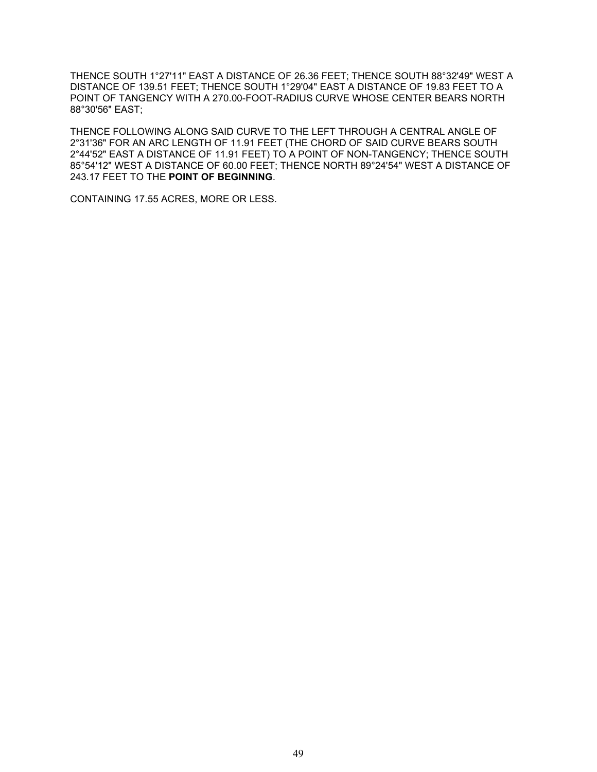THENCE SOUTH 1°27'11" EAST A DISTANCE OF 26.36 FEET; THENCE SOUTH 88°32'49" WEST A DISTANCE OF 139.51 FEET; THENCE SOUTH 1°29'04" EAST A DISTANCE OF 19.83 FEET TO A POINT OF TANGENCY WITH A 270.00-FOOT-RADIUS CURVE WHOSE CENTER BEARS NORTH 88°30'56" EAST;

THENCE FOLLOWING ALONG SAID CURVE TO THE LEFT THROUGH A CENTRAL ANGLE OF 2°31'36" FOR AN ARC LENGTH OF 11.91 FEET (THE CHORD OF SAID CURVE BEARS SOUTH 2°44'52" EAST A DISTANCE OF 11.91 FEET) TO A POINT OF NON-TANGENCY; THENCE SOUTH 85°54'12" WEST A DISTANCE OF 60.00 FEET; THENCE NORTH 89°24'54" WEST A DISTANCE OF 243.17 FEET TO THE **POINT OF BEGINNING**.

CONTAINING 17.55 ACRES, MORE OR LESS.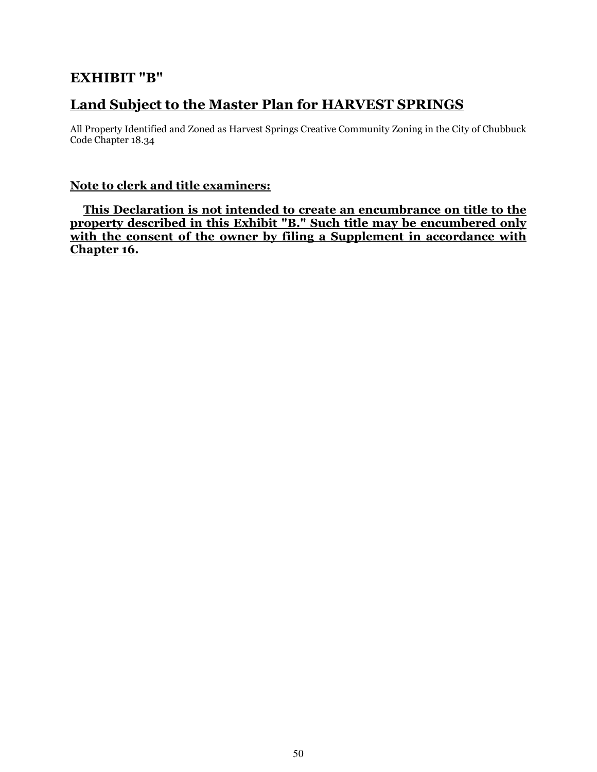## **EXHIBIT "B"**

# **Land Subject to the Master Plan for HARVEST SPRINGS**

All Property Identified and Zoned as Harvest Springs Creative Community Zoning in the City of Chubbuck Code Chapter 18.34

### **Note to clerk and title examiners:**

**This Declaration is not intended to create an encumbrance on title to the property described in this Exhibit "B." Such title may be encumbered only**  with the consent of the owner by filing a Supplement in accordance with **Chapter 16.**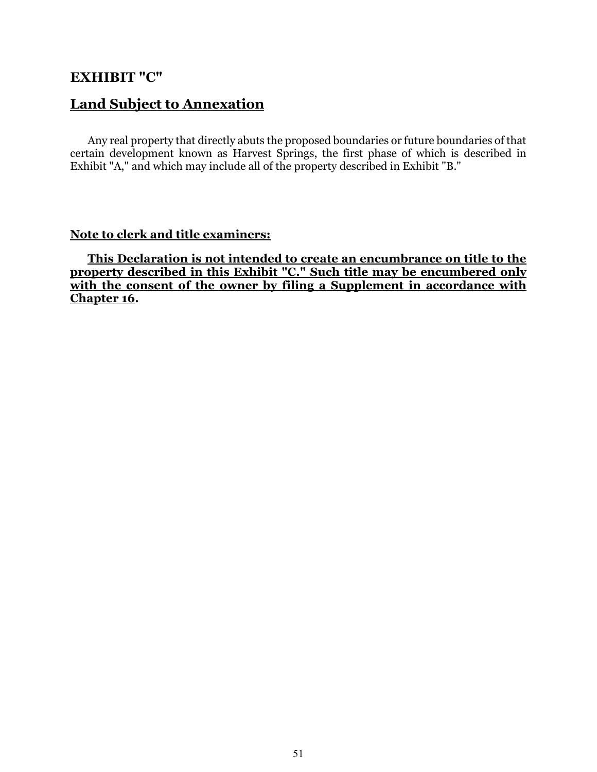### **EXHIBIT "C"**

### **Land Subject to Annexation**

Any real property that directly abuts the proposed boundaries or future boundaries of that certain development known as Harvest Springs, the first phase of which is described in Exhibit "A," and which may include all of the property described in Exhibit "B."

### **Note to clerk and title examiners:**

**This Declaration is not intended to create an encumbrance on title to the property described in this Exhibit "C." Such title may be encumbered only** with the consent of the owner by filing a Supplement in accordance with **Chapter 16.**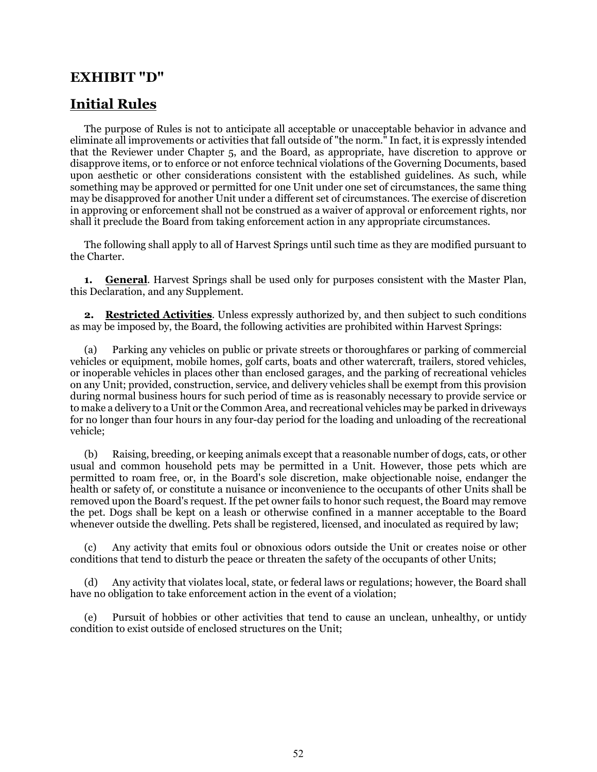### **EXHIBIT "D"**

### **Initial Rules**

The purpose of Rules is not to anticipate all acceptable or unacceptable behavior in advance and eliminate all improvements or activities that fall outside of "the norm." In fact, it is expressly intended that the Reviewer under Chapter 5, and the Board, as appropriate, have discretion to approve or disapprove items, or to enforce or not enforce technical violations of the Governing Documents, based upon aesthetic or other considerations consistent with the established guidelines. As such, while something may be approved or permitted for one Unit under one set of circumstances, the same thing may be disapproved for another Unit under a different set of circumstances. The exercise of discretion in approving or enforcement shall not be construed as a waiver of approval or enforcement rights, nor shall it preclude the Board from taking enforcement action in any appropriate circumstances.

The following shall apply to all of Harvest Springs until such time as they are modified pursuant to the Charter.

**1. General**. Harvest Springs shall be used only for purposes consistent with the Master Plan, this Declaration, and any Supplement.

**2. Restricted Activities**. Unless expressly authorized by, and then subject to such conditions as may be imposed by, the Board, the following activities are prohibited within Harvest Springs:

(a) Parking any vehicles on public or private streets or thoroughfares or parking of commercial vehicles or equipment, mobile homes, golf carts, boats and other watercraft, trailers, stored vehicles, or inoperable vehicles in places other than enclosed garages, and the parking of recreational vehicles on any Unit; provided, construction, service, and delivery vehicles shall be exempt from this provision during normal business hours for such period of time as is reasonably necessary to provide service or to make a delivery to a Unit or the Common Area, and recreational vehicles may be parked in driveways for no longer than four hours in any four-day period for the loading and unloading of the recreational vehicle;

(b) Raising, breeding, or keeping animals except that a reasonable number of dogs, cats, or other usual and common household pets may be permitted in a Unit. However, those pets which are permitted to roam free, or, in the Board's sole discretion, make objectionable noise, endanger the health or safety of, or constitute a nuisance or inconvenience to the occupants of other Units shall be removed upon the Board's request. If the pet owner fails to honor such request, the Board may remove the pet. Dogs shall be kept on a leash or otherwise confined in a manner acceptable to the Board whenever outside the dwelling. Pets shall be registered, licensed, and inoculated as required by law;

Any activity that emits foul or obnoxious odors outside the Unit or creates noise or other conditions that tend to disturb the peace or threaten the safety of the occupants of other Units;

(d) Any activity that violates local, state, or federal laws or regulations; however, the Board shall have no obligation to take enforcement action in the event of a violation;

(e) Pursuit of hobbies or other activities that tend to cause an unclean, unhealthy, or untidy condition to exist outside of enclosed structures on the Unit;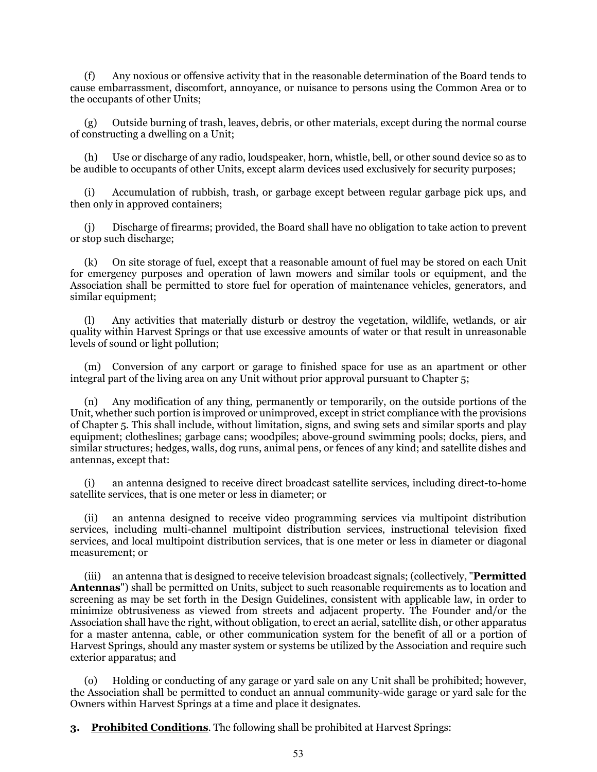(f) Any noxious or offensive activity that in the reasonable determination of the Board tends to cause embarrassment, discomfort, annoyance, or nuisance to persons using the Common Area or to the occupants of other Units;

(g) Outside burning of trash, leaves, debris, or other materials, except during the normal course of constructing a dwelling on a Unit;

(h) Use or discharge of any radio, loudspeaker, horn, whistle, bell, or other sound device so as to be audible to occupants of other Units, except alarm devices used exclusively for security purposes;

(i) Accumulation of rubbish, trash, or garbage except between regular garbage pick ups, and then only in approved containers;

(j) Discharge of firearms; provided, the Board shall have no obligation to take action to prevent or stop such discharge;

(k) On site storage of fuel, except that a reasonable amount of fuel may be stored on each Unit for emergency purposes and operation of lawn mowers and similar tools or equipment, and the Association shall be permitted to store fuel for operation of maintenance vehicles, generators, and similar equipment;

(l) Any activities that materially disturb or destroy the vegetation, wildlife, wetlands, or air quality within Harvest Springs or that use excessive amounts of water or that result in unreasonable levels of sound or light pollution;

(m) Conversion of any carport or garage to finished space for use as an apartment or other integral part of the living area on any Unit without prior approval pursuant to Chapter 5;

(n) Any modification of any thing, permanently or temporarily, on the outside portions of the Unit, whether such portion is improved or unimproved, except in strict compliance with the provisions of Chapter 5. This shall include, without limitation, signs, and swing sets and similar sports and play equipment; clotheslines; garbage cans; woodpiles; above-ground swimming pools; docks, piers, and similar structures; hedges, walls, dog runs, animal pens, or fences of any kind; and satellite dishes and antennas, except that:

(i) an antenna designed to receive direct broadcast satellite services, including direct-to-home satellite services, that is one meter or less in diameter; or

(ii) an antenna designed to receive video programming services via multipoint distribution services, including multi-channel multipoint distribution services, instructional television fixed services, and local multipoint distribution services, that is one meter or less in diameter or diagonal measurement; or

(iii) an antenna that is designed to receive television broadcast signals; (collectively, "**Permitted Antennas**") shall be permitted on Units, subject to such reasonable requirements as to location and screening as may be set forth in the Design Guidelines, consistent with applicable law, in order to minimize obtrusiveness as viewed from streets and adjacent property. The Founder and/or the Association shall have the right, without obligation, to erect an aerial, satellite dish, or other apparatus for a master antenna, cable, or other communication system for the benefit of all or a portion of Harvest Springs, should any master system or systems be utilized by the Association and require such exterior apparatus; and

(o) Holding or conducting of any garage or yard sale on any Unit shall be prohibited; however, the Association shall be permitted to conduct an annual community-wide garage or yard sale for the Owners within Harvest Springs at a time and place it designates.

**3. Prohibited Conditions**. The following shall be prohibited at Harvest Springs: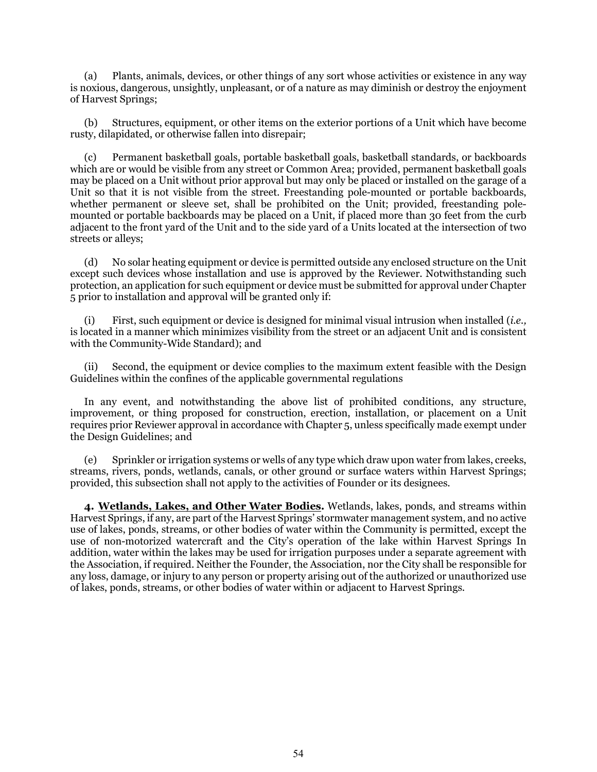(a) Plants, animals, devices, or other things of any sort whose activities or existence in any way is noxious, dangerous, unsightly, unpleasant, or of a nature as may diminish or destroy the enjoyment of Harvest Springs;

(b) Structures, equipment, or other items on the exterior portions of a Unit which have become rusty, dilapidated, or otherwise fallen into disrepair;

(c) Permanent basketball goals, portable basketball goals, basketball standards, or backboards which are or would be visible from any street or Common Area; provided, permanent basketball goals may be placed on a Unit without prior approval but may only be placed or installed on the garage of a Unit so that it is not visible from the street. Freestanding pole-mounted or portable backboards, whether permanent or sleeve set, shall be prohibited on the Unit; provided, freestanding polemounted or portable backboards may be placed on a Unit, if placed more than 30 feet from the curb adjacent to the front yard of the Unit and to the side yard of a Units located at the intersection of two streets or alleys;

(d) No solar heating equipment or device is permitted outside any enclosed structure on the Unit except such devices whose installation and use is approved by the Reviewer. Notwithstanding such protection, an application for such equipment or device must be submitted for approval under Chapter 5 prior to installation and approval will be granted only if:

(i) First, such equipment or device is designed for minimal visual intrusion when installed (*i.e.,* is located in a manner which minimizes visibility from the street or an adjacent Unit and is consistent with the Community-Wide Standard); and

Second, the equipment or device complies to the maximum extent feasible with the Design Guidelines within the confines of the applicable governmental regulations

In any event, and notwithstanding the above list of prohibited conditions, any structure, improvement, or thing proposed for construction, erection, installation, or placement on a Unit requires prior Reviewer approval in accordance with Chapter 5, unless specifically made exempt under the Design Guidelines; and

(e) Sprinkler or irrigation systems or wells of any type which draw upon water from lakes, creeks, streams, rivers, ponds, wetlands, canals, or other ground or surface waters within Harvest Springs; provided, this subsection shall not apply to the activities of Founder or its designees.

**4. Wetlands, Lakes, and Other Water Bodies.** Wetlands, lakes, ponds, and streams within Harvest Springs, if any, are part of the Harvest Springs' stormwater management system, and no active use of lakes, ponds, streams, or other bodies of water within the Community is permitted, except the use of non-motorized watercraft and the City's operation of the lake within Harvest Springs In addition, water within the lakes may be used for irrigation purposes under a separate agreement with the Association, if required. Neither the Founder, the Association, nor the City shall be responsible for any loss, damage, or injury to any person or property arising out of the authorized or unauthorized use of lakes, ponds, streams, or other bodies of water within or adjacent to Harvest Springs.